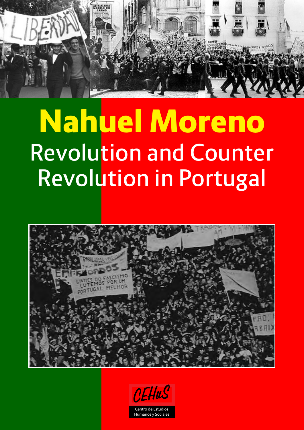

# Nahuel Moreno **Revolution and Counter Revolution in Portugal**



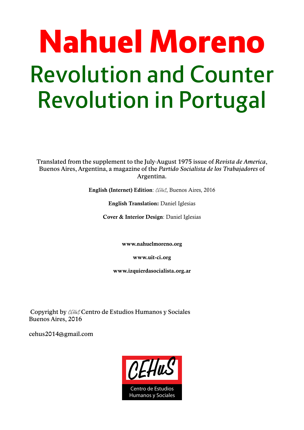# Nahuel Moreno **Revolution and Counter Revolution in Portugal**

Translated from the supplement to the July-August 1975 issue of *Revista de America*, Buenos Aires, Argentina, a magazine of the *Partido Socialista de los Trabajadores* of Argentina.

**English (Internet) Edition**: *CEHuS*, Buenos Aires, 2016

**English Translation:** Daniel Iglesias

**Cover & Interior Design**: Daniel Iglesias

**www.nahuelmoreno.org**

**www.uit-ci.org**

**www.izquierdasocialista.org.ar**

 Copyright by *CEHuS* Centro de Estudios Humanos y Sociales Buenos Aires, 2016

cehus2014@gmail.com

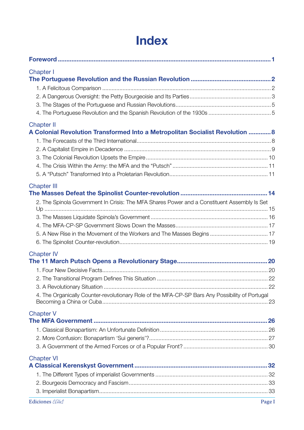# **Index**

| <b>Chapter I</b>                                                                                |  |
|-------------------------------------------------------------------------------------------------|--|
|                                                                                                 |  |
|                                                                                                 |  |
|                                                                                                 |  |
|                                                                                                 |  |
| <b>Chapter II</b>                                                                               |  |
| A Colonial Revolution Transformed Into a Metropolitan Socialist Revolution  8                   |  |
|                                                                                                 |  |
|                                                                                                 |  |
|                                                                                                 |  |
|                                                                                                 |  |
|                                                                                                 |  |
| <b>Chapter III</b>                                                                              |  |
| 2. The Spinola Government In Crisis: The MFA Shares Power and a Constituent Assembly Is Set     |  |
|                                                                                                 |  |
|                                                                                                 |  |
|                                                                                                 |  |
|                                                                                                 |  |
| <b>Chapter IV</b>                                                                               |  |
|                                                                                                 |  |
|                                                                                                 |  |
|                                                                                                 |  |
|                                                                                                 |  |
| 4. The Organically Counter-revolutionary Role of the MFA-CP-SP Bars Any Possibility of Portugal |  |
| <b>Chapter V</b>                                                                                |  |
|                                                                                                 |  |
|                                                                                                 |  |
|                                                                                                 |  |
|                                                                                                 |  |
| <b>Chapter VI</b>                                                                               |  |
|                                                                                                 |  |
|                                                                                                 |  |
|                                                                                                 |  |
| Ediciones CEHuS<br>Page I                                                                       |  |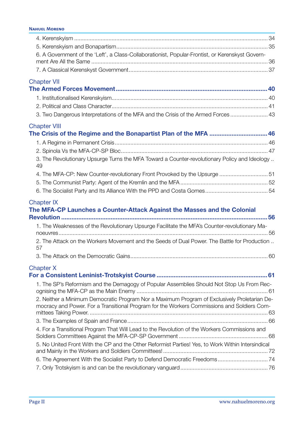| 6. A Government of the 'Left', a Class-Collaborationist, Popular-Frontist, or Kerenskyst Govern-    |  |
|-----------------------------------------------------------------------------------------------------|--|
|                                                                                                     |  |
|                                                                                                     |  |
| <b>Chapter VII</b>                                                                                  |  |
|                                                                                                     |  |
|                                                                                                     |  |
|                                                                                                     |  |
| 3. Two Dangerous Interpretations of the MFA and the Crisis of the Armed Forces  43                  |  |
| <b>Chapter VIII</b>                                                                                 |  |
| The Crisis of the Regime and the Bonapartist Plan of the MFA  46                                    |  |
|                                                                                                     |  |
|                                                                                                     |  |
| 3. The Revolutionary Upsurge Turns the MFA Toward a Counter-revolutionary Policy and Ideology<br>49 |  |
| 4. The MFA-CP: New Counter-revolutionary Front Provoked by the Upsurge 51                           |  |
|                                                                                                     |  |
|                                                                                                     |  |
|                                                                                                     |  |
|                                                                                                     |  |
| <b>Chapter IX</b><br>The MFA-CP Launches a Counter-Attack Against the Masses and the Colonial       |  |
|                                                                                                     |  |
| 1. The Weaknesses of the Revolutionary Upsurge Facilitate the MFA's Counter-revolutionary Ma-       |  |
| 2. The Attack on the Workers Movement and the Seeds of Dual Power. The Battle for Production<br>57  |  |
|                                                                                                     |  |
|                                                                                                     |  |
| <b>Chapter X</b>                                                                                    |  |
| 1. The SP's Reformism and the Demagogy of Popular Assemblies Should Not Stop Us From Rec-           |  |
| 2. Neither a Minimum Democratic Program Nor a Maximum Program of Exclusively Proletarian De-        |  |
| mocracy and Power. For a Transitional Program for the Workers Commissions and Soldiers Com-         |  |
|                                                                                                     |  |
| 4. For a Transitional Program That Will Lead to the Revolution of the Workers Commissions and       |  |
| 5. No United Front With the CP and the Other Reformist Parties! Yes, to Work Within Intersindical   |  |
|                                                                                                     |  |
| 6. The Agreement With the Socialist Party to Defend Democratic Freedoms 74                          |  |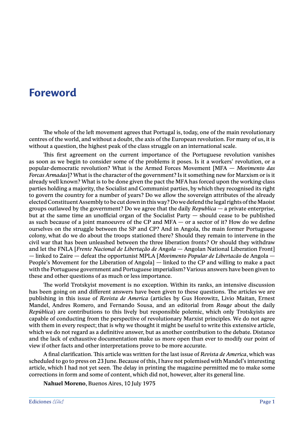## <span id="page-4-0"></span>**Foreword**

The whole of the left movement agrees that Portugal is, today, one of the main revolutionary centres of the world, and without a doubt, the axis of the European revolution. For many of us, it is without a question, the highest peak of the class struggle on an international scale.

This first agreement on the current importance of the Portuguese revolution vanishes as soon as we begin to consider some of the problems it poses. Is it a workers' revolution, or a popular-democratic revolution? What is the Armed Forces Movement [MFA — *Movimento das Forcas Armadas*]? What is the character of the government? Is it something new for Marxism or is it already well known? What is to be done given the pact the MFA has forced upon the working-class parties holding a majority, the Socialist and Communist parties, by which they recognised its right to govern the country for a number of years? Do we allow the sovereign attributes of the already elected Constituent Assembly to be cut down in this way? Do we defend the legal rights of the Maoist groups outlawed by the government? Do we agree that the daily *Republica* — a private enterprise, but at the same time an unofficial organ of the Socialist Party — should cease to be published as such because of a joint manoeuvre of the CP and MFA  $-$  or a sector of it? How do we define ourselves on the struggle between the SP and CP? And in Angola, the main former Portuguese colony, what do we do about the troops stationed there? Should they remain to intervene in the civil war that has been unleashed between the three liberation fronts? Or should they withdraw and let the FNLA [*Frente Nacional de Libertação de Angola* — Angolan National Liberation Front] — linked to Zaire — defeat the opportunist MPLA [*Movimento Popular de Libertacão* de Angola — People's Movement for the Liberation of Angola] — linked to the CP and willing to make a pact with the Portuguese government and Portuguese imperialism? Various answers have been given to these and other questions of as much or less importance.

The world Trotskyist movement is no exception. Within its ranks, an intensive discussion has been going on and different answers have been given to these questions. The articles we are publishing in this issue of *Revista de America* (articles by Gus Horowitz, Livio Maitan, Ernest Mandel, Andres Romero, and Fernando Sousa, and an editorial from *Rouge* about the daily *República*) are contributions to this lively but responsible polemic, which only Trotskyists are capable of conducting from the perspective of revolutionary Marxist principles. We do not agree with them in every respect; that is why we thought it might be useful to write this extensive article, which we do not regard as a definitive answer, but as another contribution to the debate. Distance and the lack of exhaustive documentation make us more open than ever to modify our point of view if other facts and other interpretations prove to be more accurate.

A final clarification. This article was written for the last issue of *Revista de America*, which was scheduled to go to press on 23 June. Because of this, I have not polemised with Mandel's interesting article, which I had not yet seen. The delay in printing the magazine permitted me to make some corrections in form and some of content, which did not, however, alter its general line.

**Nahuel Moreno**, Buenos Aires, 10 July 1975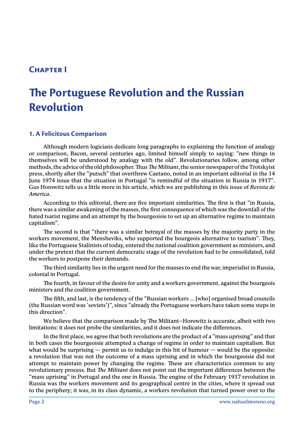## <span id="page-5-0"></span>**Chapter I**

# **The Portuguese Revolution and the Russian Revolution**

#### **1. A Felicitous Comparison**

Although modern logicians dedicate long paragraphs to explaining the function of analogy or comparison, Bacon, several centuries ago, limited himself simply to saying: "new things in themselves will be understood by analogy with the old". Revolutionaries follow, among other methods, the advice of the old philosopher. Thus *The Militant*, the senior newspaper of the Trotskyist press, shortly after the "putsch" that overthrew Caetano, noted in an important editorial in the 14 June 1974 issue that the situation in Portugal "is remindful of the situation in Russia in 1917". Gus Horowitz tells us a little more in his article, which we are publishing in this issue of *Revista de America*.

According to this editorial, there are five important similarities. The first is that "in Russia, there was a similar awakening of the masses, the first consequence of which was the downfall of the hated tsarist regime and an attempt by the bourgeoisie to set up an alternative regime to maintain capitalism".

The second is that "there was a similar betrayal of the masses by the majority party in the workers movement, the Mensheviks, who supported the bourgeois alternative to tsarism". They, like the Portuguese Stalinists of today, entered the national coalition government as ministers, and under the pretext that the current democratic stage of the revolution had to be consolidated, told the workers to postpone their demands.

The third similarity lies in the urgent need for the masses to end the war, imperialist in Russia, colonial in Portugal.

The fourth, in favour of the desire for unity and a workers government, against the bourgeois ministers and the coalition government.

The fifth, and last, is the tendency of the "Russian workers ... [who] organised broad councils (the Russian word was 'soviets')", since "already the Portuguese workers have taken some steps in this direction".

We believe that the comparison made by The Militant–Horowitz is accurate, albeit with two limitations: it does not probe the similarities, and it does not indicate the differences.

In the first place, we agree that both revolutions are the product of a "mass uprising" and that in both cases the bourgeoisie attempted a change of regime in order to maintain capitalism. But what would be surprising  $-$  permit us to indulge in this bit of humour  $-$  would be the opposite: a revolution that was not the outcome of a mass uprising and in which the bourgeoisie did not attempt to maintain power by changing the regime. These are characteristics common to any revolutionary process. But *The Militant* does not point out the important differences between the "mass uprising" in Portugal and the one in Russia. The engine of the February 1917 revolution in Russia was the workers movement and its geographical centre in the cities, where it spread out to the periphery; it was, in its class dynamic, a workers revolution that turned power over to the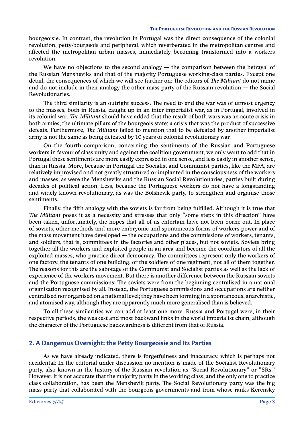<span id="page-6-0"></span>bourgeoisie. In contrast, the revolution in Portugal was the direct consequence of the colonial revolution, petty-bourgeois and peripheral, which reverberated in the metropolitan centres and affected the metropolitan urban masses, immediately becoming transformed into a workers revolution.

We have no objections to the second analogy  $-$  the comparison between the betrayal of the Russian Mensheviks and that of the majority Portuguese working-class parties. Except one detail, the consequences of which we will see further on: The editors of *The Militant* do not name and do not include in their analogy the other mass party of the Russian revolution — the Social Revolutionaries.

The third similarity is an outright success. The need to end the war was of utmost urgency to the masses, both in Russia, caught up in an inter-imperialist war, as in Portugal, involved in its colonial war. *The Militant* should have added that the result of both wars was an acute crisis in both armies, the ultimate pillars of the bourgeois state; a crisis that was the product of successive defeats. Furthermore, *The Militant* failed to mention that to be defeated by another imperialist army is not the same as being defeated by 10 years of colonial revolutionary war.

On the fourth comparison, concerning the sentiments of the Russian and Portuguese workers in favour of class unity and against the coalition government, we only want to add that in Portugal these sentiments are more easily expressed in one sense, and less easily in another sense, than in Russia. More, because in Portugal the Socialist and Communist parties, like the MFA, are relatively improvised and not greatly structured or implanted in the consciousness of the workers and masses, as were the Mensheviks and the Russian Social Revolutionaries, parties built during decades of political action. Less, because the Portuguese workers do not have a longstanding and widely known revolutionary, as was the Bolshevik party, to strengthen and organise those sentiments.

Finally, the fifth analogy with the soviets is far from being fulfilled. Although it is true that *The Militant* poses it as a necessity and stresses that only "some steps in this direction" have been taken, unfortunately, the hopes that all of us entertain have not been borne out. In place of soviets, other methods and more embryonic and spontaneous forms of workers power and of the mass movement have developed — the occupations and the commissions of workers, tenants, and soldiers, that is, committees in the factories and other places, but not soviets. Soviets bring together all the workers and exploited people in an area and become the coordinators of all the exploited masses, who practice direct democracy. The committees represent only the workers of one factory, the tenants of one building, or the soldiers of one regiment, not all of them together. The reasons for this are the sabotage of the Communist and Socialist parties as well as the lack of experience of the workers movement. But there is another difference between the Russian soviets and the Portuguese commissions: The soviets were from the beginning centralised in a national organisation recognised by all. Instead, the Portuguese commissions and occupations are neither centralised nor organised on a national level; they have been forming in a spontaneous, anarchistic, and atomised way, although they are apparently much more generalised than is believed.

To all these similarities we can add at least one more. Russia and Portugal were, in their respective periods, the weakest and most backward links in the world imperialist chain, although the character of the Portuguese backwardness is different from that of Russia.

#### **2. A Dangerous Oversight: the Petty Bourgeoisie and Its Parties**

As we have already indicated, there is forgetfulness and inaccuracy, which is perhaps not accidental: In the editorial under discussion no mention is made of the Socialist Revolutionary party, also known in the history of the Russian revolution as "Social Revolutionary" or "SRs." However, it is not accurate that the majority party in the working class, and the only one to practice class collaboration, has been the Menshevik party. The Social Revolutionary party was the big mass party that collaborated with the bourgeois governments and from whose ranks Kerensky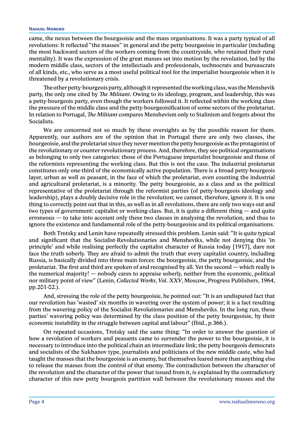#### **Nahuel Moreno**

came, the nexus between the bourgeoisie and the mass organisations. It was a party typical of all revolutions: It reflected "the masses" in general and the petty bourgeoisie in particular (including the most backward sectors of the workers coming from the countryside, who retained their rural mentality). It was the expression of the great masses set into motion by the revolution, led by the modern middle class, sectors of the intellectuals and professionals, technocrats and bureaucrats of all kinds, etc., who serve as a most useful political tool for the imperialist bourgeoisie when it is threatened by a revolutionary crisis.

The other petty-bourgeois party, although it represented the working class, was the Menshevik party, the only one cited by *The Militant*. Owing to its ideology, program, and leadership, this was a petty-bourgeois party, even though the workers followed it. It reflected within the working class the pressure of the middle class and the petty-bourgeoisification of some sectors of the proletariat. In relation to Portugal, *The Militant* compares Menshevism only to Stalinism and forgets about the Socialists.

We are concerned not so much by these oversights as by the possible reason for them. Apparently, our authors are of the opinion that in Portugal there are only two classes, the bourgeoisie, and the proletariat since they never mention the petty bourgeoisie as the protagonist of the revolutionary or counter-revolutionary process. And, therefore, they see political organisations as belonging to only two categories: those of the Portuguese imperialist bourgeoisie and those of the reformists representing the working class. But this is not the case. The industrial proletariat constitutes only one-third of the economically active population. There is a broad petty-bourgeois layer, urban as well as peasant, in the face of which the proletariat, even counting the industrial and agricultural proletariat, is a minority. The petty bourgeoisie, as a class and as the political representative of the proletariat through the reformist parties (of petty-bourgeois ideology and leadership), plays a doubly decisive role in the revolution; we cannot, therefore, ignore it. It is one thing to correctly point out that in this, as well as in all revolutions, there are only two ways out and two types of government: capitalist or working-class. But, it is quite a different thing — and quite erroneous — to take into account only these two classes in analysing the revolution, and thus to ignore the existence and fundamental role of the petty-bourgeoisie and its political organisations.

Both Trotsky and Lenin have repeatedly stressed this problem. Lenin said: "It is quite typical and significant that the Socialist-Revolutionaries and Mensheviks, while not denying this 'in principle' and while realising perfectly the capitalist character of Russia today [1917], dare not face the truth soberly. They are afraid to admit the truth that every capitalist country, including Russia, is basically divided into three main forces: the bourgeoisie, the petty bourgeoisie, and the proletariat. The first and third are spoken of and recognised by all. Yet the second — which really is the numerical majority! — nobody cares to appraise soberly, neither from the economic, political nor military point of view" (Lenin, *Collected Works, Vol. XXV*, Moscow, Progress Publishers, 1964, pp.201-02.).

And, stressing the role of the petty bourgeoisie, he pointed out: "It is an undisputed fact that our revolution has 'wasted' six months in wavering over the system of power; it is a fact resulting from the wavering policy of the Socialist-Revolutionaries and Mensheviks. In the long run, these parties' wavering policy was determined by the class position of the petty bourgeoisie, by their economic instability in the struggle between capital and labour" (Ibid., p.366.).

On repeated occasions, Trotsky said the same thing: "In order to answer the question of how a revolution of workers and peasants came to surrender the power to the bourgeoisie, it is necessary to introduce into the political chain an intermediate link; the petty bourgeois democrats and socialists of the Sukhanov type, journalists and politicians of the new middle caste, who had taught the masses that the bourgeoisie is an enemy, but themselves feared more than anything else to release the masses from the control of that enemy. The contradiction between the character of the revolution and the character of the power that issued from it, is explained by the contradictory character of this new petty bourgeois partition wall between the revolutionary masses and the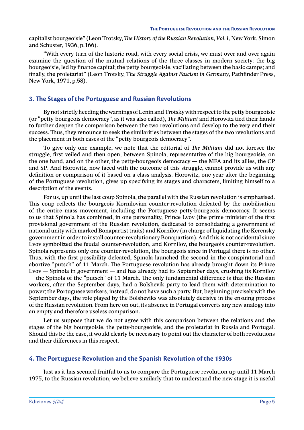<span id="page-8-0"></span>capitalist bourgeoisie" (Leon Trotsky, *The History of the Russian Revolution, Vol.1*, New York, Simon and Schuster, 1936, p.166).

"With every turn of the historic road, with every social crisis, we must over and over again examine the question of the mutual relations of the three classes in modern society: the big bourgeoisie, led by finance capital; the petty bourgeoisie, vacillating between the basic camps; and finally, the proletariat" (Leon Trotsky, T*he Struggle Against Fascism in Germany*, Pathfinder Press, New York, 1971, p.58).

#### **3. The Stages of the Portuguese and Russian Revolutions**

By not strictly heeding the warnings of Lenin and Trotsky with respect to the petty bourgeoisie (or "petty-bourgeois democracy", as it was also called), *The Militant* and Horowitz tied their hands to further deepen the comparison between the two revolutions and develop to the very end their success. Thus, they renounce to seek the similarities between the stages of the two revolutions and the placement in both cases of the "petty-bourgeois democracy".

To give only one example, we note that the editorial of *The Militant* did not foresee the struggle, first veiled and then open, between Spinola, representative of the big bourgeoisie, on the one hand, and on the other, the petty-bourgeois democracy — the MFA and its allies, the CP and SP. And Horowitz, now faced with the outcome of this struggle, cannot provide us with any definition or comparison of it based on a class analysis. Horowitz, one year after the beginning of the Portuguese revolution, gives up specifying its stages and characters, limiting himself to a description of the events.

For us, up until the last coup Spinola, the parallel with the Russian revolution is emphasised. This coup reflects the bourgeois Kornilovian counter-revolution defeated by the mobilisation of the entire mass movement, including the Portuguese petty-bourgeois democracy. It seems to us that Spinola has combined, in one personality, Prince Lvov (the prime minister of the first provisional government of the Russian revolution, dedicated to consolidating a government of national unity with marked Bonapartist traits) and Kornilov (in charge of liquidating the Kerensky government in order to install counter-revolutionary Bonapartism). And this is not accidental since Lvov symbolized the feudal counter-revolution, and Kornilov, the bourgeois counter-revolution. Spinola represents only one counter-revolution, the bourgeois since in Portugal there is no other. Thus, with the first possibility defeated, Spinola launched the second in the conspiratorial and abortive "putsch" of 11 March. The Portuguese revolution has already brought down its Prince Lvov — Spinola in government — and has already had its September days, crushing its Kornilov — the Spinola of the "putsch" of 11 March. The only fundamental difference is that the Russian workers, after the September days, had a Bolshevik party to lead them with determination to power; the Portuguese workers, instead, do not have such a party. But, beginning precisely with the September days, the role played by the Bolsheviks was absolutely decisive in the ensuing process of the Russian revolution. From here on out, its absence in Portugal converts any new analogy into an empty and therefore useless comparison.

Let us suppose that we do not agree with this comparison between the relations and the stages of the big bourgeoisie, the petty-bourgeoisie, and the proletariat in Russia and Portugal. Should this be the case, it would clearly be necessary to point out the character of both revolutions and their differences in this respect.

#### **4. The Portuguese Revolution and the Spanish Revolution of the 1930s**

Just as it has seemed fruitful to us to compare the Portuguese revolution up until 11 March 1975, to the Russian revolution, we believe similarly that to understand the new stage it is useful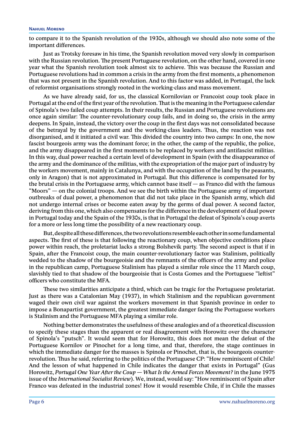to compare it to the Spanish revolution of the 1930s, although we should also note some of the important differences.

Just as Trotsky foresaw in his time, the Spanish revolution moved very slowly in comparison with the Russian revolution. The present Portuguese revolution, on the other hand, covered in one year what the Spanish revolution took almost six to achieve. This was because the Russian and Portuguese revolutions had in common a crisis in the army from the first moments, a phenomenon that was not present in the Spanish revolution. And to this factor was added, in Portugal, the lack of reformist organisations strongly rooted in the working-class and mass movement.

As we have already said, for us, the classical Kornilovian or Francoist coup took place in Portugal at the end of the first year of the revolution. That is the meaning in the Portuguese calendar of Spinola's two failed coup attempts. In their results, the Russian and Portuguese revolutions are once again similar: The counter-revolutionary coup fails, and in doing so, the crisis in the army deepens. In Spain, instead, the victory over the coup in the first days was not consolidated because of the betrayal by the government and the working-class leaders. Thus, the reaction was not disorganised, and it initiated a civil war. This divided the country into two camps: In one, the now fascist bourgeois army was the dominant force; in the other, the camp of the republic, the police, and the army disappeared in the first moments to be replaced by workers and antifascist militias. In this way, dual power reached a certain level of development in Spain (with the disappearance of the army and the dominance of the militias, with the expropriation of the major part of industry by the workers movement, mainly in Catalunya, and with the occupation of the land by the peasants, only in Aragon) that is not approximated in Portugal. But this difference is compensated for by the brutal crisis in the Portuguese army, which cannot base itself — as Franco did with the famous "Moors" — on the colonial troops. And we see the birth within the Portuguese army of important outbreaks of dual power, a phenomenon that did not take place in the Spanish army, which did not undergo internal crises or become eaten away by the germs of dual power. A second factor, deriving from this one, which also compensates for the difference in the development of dual power in Portugal today and the Spain of the 1930s, is that in Portugal the defeat of Spinola's coup averts for a more or less long time the possibility of a new reactionary coup.

But, despite all these differences, the two revolutions resemble each other in some fundamental aspects. The first of these is that following the reactionary coup, when objective conditions place power within reach, the proletariat lacks a strong Bolshevik party. The second aspect is that if in Spain, after the Francoist coup, the main counter-revolutionary factor was Stalinism, politically wedded to the shadow of the bourgeoisie and the remnants of the officers of the army and police in the republican camp, Portuguese Stalinism has played a similar role since the 11 March coup, slavishly tied to that shadow of the bourgeoisie that is Costa Gomes and the Portuguese "leftist" officers who constitute the MFA.

These two similarities anticipate a third, which can be tragic for the Portuguese proletariat. Just as there was a Catalonian May (1937), in which Stalinism and the republican government waged their own civil war against the workers movement in that Spanish province in order to impose a Bonapartist government, the greatest immediate danger facing the Portuguese workers is Stalinism and the Portuguese MFA playing a similar role.

Nothing better demonstrates the usefulness of these analogies and of a theoretical discussion to specify these stages than the apparent or real disagreement with Horowitz over the character of Spinola's "putsch". It would seem that for Horowitz, this does not mean the defeat of the Portuguese Kornilov or Pinochet for a long time, and that, therefore, the stage continues in which the immediate danger for the masses is Spinola or Pinochet, that is, the bourgeois counterrevolution. Thus he said, referring to the politics of the Portuguese CP: "How reminiscent of Chile! And the lesson of what happened in Chile indicates the danger that exists in Portugal" (Gus Horowitz, *Portugal One Year After the Coup — What Is the Armed Forces Movement?* in the June 1975 issue of the *International Socialist Review*). We, instead, would say: "How reminiscent of Spain after Franco was defeated in the industrial zones! How it would resemble Chile, if in Chile the masses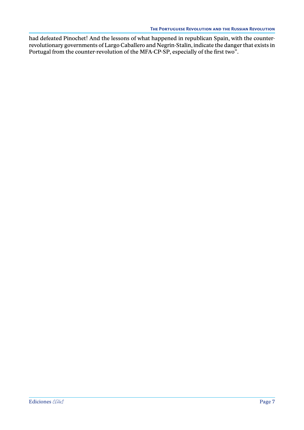had defeated Pinochet! And the lessons of what happened in republican Spain, with the counterrevolutionary governments of Largo Caballero and Negrin-Stalin, indicate the danger that exists in Portugal from the counter-revolution of the MFA-CP-SP, especially of the first two".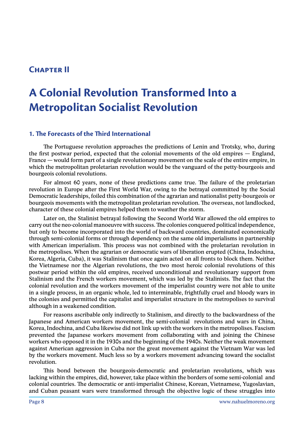### <span id="page-11-0"></span>**Chapter II**

# **A Colonial Revolution Transformed Into a Metropolitan Socialist Revolution**

#### **1. The Forecasts of the Third International**

The Portuguese revolution approaches the predictions of Lenin and Trotsky, who, during the first postwar period, expected that the colonial movements of the old empires — England, France — would form part of a single revolutionary movement on the scale of the entire empire, in which the metropolitan proletarian revolution would be the vanguard of the petty-bourgeois and bourgeois colonial revolutions.

For almost 60 years, none of these predictions came true. The failure of the proletarian revolution in Europe after the First World War, owing to the betrayal committed by the Social Democratic leaderships, foiled this combination of the agrarian and nationalist petty-bourgeois or bourgeois movements with the metropolitan proletarian revolution. The overseas, not landlocked, character of these colonial empires helped them to weather the storm.

Later on, the Stalinist betrayal following the Second World War allowed the old empires to carry out the neo-colonial manoeuvre with success. The colonies conquered political independence, but only to become incorporated into the world of backward countries, dominated economically through semi-colonial forms or through dependency on the same old imperialisms in partnership with American imperialism. This process was not combined with the proletarian revolution in the metropolises. When the agrarian or democratic wars of liberation erupted (China, Indochina, Korea, Algeria, Cuba), it was Stalinism that once again acted on all fronts to block them. Neither the Vietnamese nor the Algerian revolutions, the two most heroic colonial revolutions of this postwar period within the old empires, received unconditional and revolutionary support from Stalinism and the French workers movement, which was led by the Stalinists. The fact that the colonial revolution and the workers movement of the imperialist country were not able to unite in a single process, in an organic whole, led to interminable, frightfully cruel and bloody wars in the colonies and permitted the capitalist and imperialist structure in the metropolises to survival although in a weakened condition.

For reasons ascribable only indirectly to Stalinism, and directly to the backwardness of the Japanese and American workers movement, the semi-colonial revolutions and wars in China, Korea, Indochina, and Cuba likewise did not link up with the workers in the metropolises. Fascism prevented the Japanese workers movement from collaborating with and joining the Chinese workers who opposed it in the 1930s and the beginning of the 1940s. Neither the weak movement against American aggression in Cuba nor the great movement against the Vietnam War was led by the workers movement. Much less so by a workers movement advancing toward the socialist revolution.

This bond between the bourgeois-democratic and proletarian revolutions, which was lacking within the empires, did, however, take place within the borders of some semi-colonial and colonial countries. The democratic or anti-imperialist Chinese, Korean, Vietnamese, Yugoslavian, and Cuban peasant wars were transformed through the objective logic of these struggles into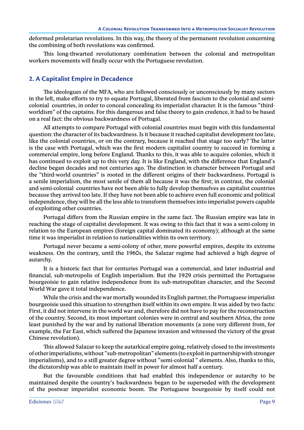<span id="page-12-0"></span>deformed proletarian revolutions. In this way, the theory of the permanent revolution concerning the combining of both revolutions was confirmed.

This long-thwarted revolutionary combination between the colonial and metropolitan workers movements will finally occur with the Portuguese revolution.

#### **2. A Capitalist Empire in Decadence**

The ideologues of the MFA, who are followed consciously or unconsciously by many sectors in the left, make efforts to try to equate Portugal, liberated from fascism to the colonial and semicolonial countries, in order to conceal concealing its imperialist character. It is the famous "thirdworldism" of the captains. For this dangerous and false theory to gain credence, it had to be based on a real fact: the obvious backwardness of Portugal.

All attempts to compare Portugal with colonial countries must begin with this fundamental question: the character of its backwardness. Is it because it reached capitalist development too late, like the colonial countries, or on the contrary, because it reached that stage too early? The latter is the case with Portugal, which was the first modern capitalist country to succeed in forming a commercial empire, long before England. Thanks to this, it was able to acquire colonies, which it has continued to exploit up to this very day. It is like England, with the difference that England's decline began decades and not centuries ago. The distinction in character between Portugal and the "third-world countries" is rooted in the different origins of their backwardness. Portugal is a senile imperialism, the most senile of them all because it was the first; in contrast, the colonial and semi-colonial countries have not been able to fully develop themselves as capitalist countries because they arrived too late. If they have not been able to achieve even full economic and political independence, they will be all the less able to transform themselves into imperialist powers capable of exploiting other countries.

Portugal differs from the Russian empire in the same fact. The Russian empire was late in reaching the stage of capitalist development. It was owing to this fact that it was a semi-colony in relation to the European empires (foreign capital dominated its economy); although at the same time it was imperialist in relation to nationalities within its own territory.

Portugal never became a semi-colony of other, more powerful empires, despite its extreme weakness. On the contrary, until the 1960s, the Salazar regime had achieved a high degree of autarchy.

It is a historic fact that for centuries Portugal was a commercial, and later industrial and financial, sub-metropolis of English imperialism. But the 1929 crisis permitted the Portuguese bourgeoisie to gain relative independence from its sub-metropolitan character, and the Second World War gave it total independence.

While the crisis and the war mortally wounded its English partner, the Portuguese imperialist bourgeoisie used this situation to strengthen itself within its own empire. It was aided by two facts: First, it did not intervene in the world war and, therefore did not have to pay for the reconstruction of the country. Second, its most important colonies were in central and southern Africa, the zone least punished by the war and by national liberation movements (a zone very different from, for example, the Far East, which suffered the Japanese invasion and witnessed the victory of the great Chinese revolution).

This allowed Salazar to keep the autarkical empire going, relatively closed to the investments of other imperialisms, without "sub-metropolitan" elements (to exploit in partnership with stronger imperialisms), and to a still greater degree without "semi-colonial " elements. Also, thanks to this, the dictatorship was able to maintain itself in power for almost half a century.

But the favourable conditions that had enabled this independence or autarchy to be maintained despite the country's backwardness began to be superseded with the development of the postwar imperialist economic boom. The Portuguese bourgeoisie by itself could not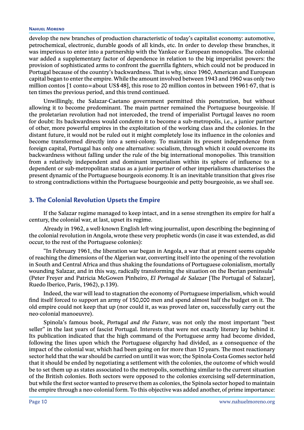#### <span id="page-13-0"></span>**Nahuel Moreno**

develop the new branches of production characteristic of today's capitalist economy: automotive, petrochemical, electronic, durable goods of all kinds, etc. In order to develop these branches, it was imperious to enter into a partnership with the Yankee or European monopolies. The colonial war added a supplementary factor of dependence in relation to the big imperialist powers: the provision of sophisticated arms to confront the guerrilla fighters, which could not be produced in Portugal because of the country's backwardness. That is why, since 1960, American and European capital began to enter the empire. While the amount involved between 1943 and 1960 was only two million contos [1 conto=about US\$48], this rose to 20 million contos in between 1961-67, that is ten times the previous period, and this trend continued.

Unwillingly, the Salazar-Caetano government permitted this penetration, but without allowing it to become predominant. The main partner remained the Portuguese bourgeoisie. If the proletarian revolution had not interceded, the trend of imperialist Portugal leaves no room for doubt: Its backwardness would condemn it to become a sub-metropolis, i.e., a junior partner of other, more powerful empires in the exploitation of the working class and the colonies. In the distant future, it would not be ruled out it might completely lose its influence in the colonies and become transformed directly into a semi-colony. To maintain its present independence from foreign capital, Portugal has only one alternative: socialism, through which it could overcome its backwardness without falling under the rule of the big international monopolies. This transition from a relatively independent and dominant imperialism within its sphere of influence to a dependent or sub-metropolitan status as a junior partner of other imperialisms characterises the present dynamic of the Portuguese bourgeois economy. It is an inevitable transition that gives rise to strong contradictions within the Portuguese bourgeoisie and petty bourgeoisie, as we shall see.

#### **3. The Colonial Revolution Upsets the Empire**

If the Salazar regime managed to keep intact, and in a sense strengthen its empire for half a century, the colonial war, at last, upset its regime.

Already in 1962, a well-known English left-wing journalist, upon describing the beginning of the colonial revolution in Angola, wrote these very prophetic words (in case it was extended, as did occur, to the rest of the Portuguese colonies):

"In February 1961, the liberation war began in Angola, a war that at present seems capable of reaching the dimensions of the Algerian war, converting itself into the opening of the revolution in South and Central Africa and thus shaking the foundations of Portuguese colonialism, mortally wounding Salazar, and in this way, radically transforming the situation on the Iberian peninsula" (Peter Freyer and Patricia McGowen Pinheiro, *El Portugal de Salazar* [The Portugal of Salazar], Ruedo Iberico, Paris, 1962), p.139).

Indeed, the war will lead to stagnation the economy of Portuguese imperialism, which would find itself forced to support an army of 150,000 men and spend almost half the budget on it. The old empire could not keep that up (nor could it, as was proved later on, successfully carry out the neo-colonial manoeuvre).

Spinola's famous book, *Portugal and the Future*, was not only the most important "best seller" in the last years of fascist Portugal. Interests that were not exactly literary lay behind it. Its publication indicated that the high command of the Portuguese army had become divided, following the lines upon which the Portuguese oligarchy had divided, as a consequence of the impact of the colonial war, which had been going on for more than 10 years. The most reactionary sector held that the war should be carried on until it was won; the Spinola-Costa Gomes sector held that it should be ended by negotiating a settlement with the colonies, the outcome of which would be to set them up as states associated to the metropolis, something similar to the current situation of the British colonies. Both sectors were opposed to the colonies exercising self-determination, but while the first sector wanted to preserve them as colonies, the Spinola sector hoped to maintain the empire through a neo-colonial form. To this objective was added another, of prime importance: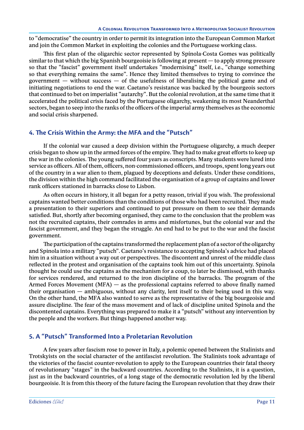<span id="page-14-0"></span>to "democratise" the country in order to permit its integration into the European Common Market and join the Common Market in exploiting the colonies and the Portuguese working class.

This first plan of the oligarchic sector represented by Spínola-Costa Gomes was politically similar to that which the big Spanish bourgeoisie is following at present — to apply strong pressure so that the "fascist" government itself undertakes "modernising" itself, i.e., "change something so that everything remains the same". Hence they limited themselves to trying to convince the government  $-$  without success  $-$  of the usefulness of liberalising the political game and of initiating negotiations to end the war. Caetano's resistance was backed by the bourgeois sectors that continued to bet on imperialist "autarchy". But the colonial revolution, at the same time that it accelerated the political crisis faced by the Portuguese oligarchy, weakening its most Neanderthal sectors, began to seep into the ranks of the officers of the imperial army themselves as the economic and social crisis sharpened.

#### **4. The Crisis Within the Army: the MFA and the "Putsch"**

If the colonial war caused a deep division within the Portuguese oligarchy, a much deeper crisis began to show up in the armed forces of the empire. They had to make great efforts to keep up the war in the colonies. The young suffered four years as conscripts. Many students were lured into service as officers. All of them, officers, non-commissioned officers, and troops, spent long years out of the country in a war alien to them, plagued by deceptions and defeats. Under these conditions, the division within the high command facilitated the organisation of a group of captains and lower rank officers stationed in barracks close to Lisbon.

As often occurs in history, it all began for a petty reason, trivial if you wish. The professional captains wanted better conditions than the conditions of those who had been recruited. They made a presentation to their superiors and continued to put pressure on them to see their demands satisfied. But, shortly after becoming organised, they came to the conclusion that the problem was not the recruited captains, their comrades in arms and misfortunes, but the colonial war and the fascist government, and they began the struggle. An end had to be put to the war and the fascist government.

The participation of the captains transformed the replacement plan of a sector of the oligarchy and Spinola into a military "putsch". Caetano's resistance to accepting Spínola's advice had placed him in a situation without a way out or perspectives. The discontent and unrest of the middle class reflected in the protest and organisation of the captains took him out of this uncertainty. Spinola thought he could use the captains as the mechanism for a coup, to later be dismissed, with thanks for services rendered, and returned to the iron discipline of the barracks. The program of the Armed Forces Movement (MFA)  $-$  as the professional captains referred to above finally named their organisation — ambiguous, without any clarity, lent itself to their being used in this way. On the other hand, the MFA also wanted to serve as the representative of the big bourgeoisie and assure discipline. The fear of the mass movement and of lack of discipline united Spinola and the discontented captains. Everything was prepared to make it a "putsch" without any intervention by the people and the workers. But things happened another way.

#### **5. A "Putsch" Transformed Into a Proletarian Revolution**

A few years after fascism rose to power in Italy, a polemic opened between the Stalinists and Trotskyists on the social character of the antifascist revolution. The Stalinists took advantage of the victories of the fascist counter-revolution to apply to the European countries their fatal theory of revolutionary "stages" in the backward countries. According to the Stalinists, it is a question, just as in the backward countries, of a long stage of the democratic revolution led by the liberal bourgeoisie. It is from this theory of the future facing the European revolution that they draw their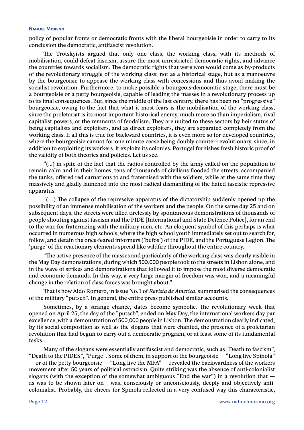policy of popular fronts or democratic fronts with the liberal bourgeoisie in order to carry to its conclusion the democratic, antifascist revolution.

The Trotskyists argued that only one class, the working class, with its methods of mobilisation, could defeat fascism, assure the most unrestricted democratic rights, and advance the countries towards socialism. The democratic rights that were won would come as by-products of the revolutionary struggle of the working class; not as a historical stage, but as a manoeuvre by the bourgeoisie to appease the working class with concessions and thus avoid making the socialist revolution. Furthermore, to make possible a bourgeois-democratic stage, there must be a bourgeoisie or a petty bourgeoisie, capable of leading the masses in a revolutionary process up to its final consequences. But, since the middle of the last century, there has been no "progressive" bourgeoisie, owing to the fact that what it most fears is the mobilisation of the working class, since the proletariat is its most important historical enemy, much more so than imperialism, rival capitalist powers, or the remnants of feudalism. They are united to these sectors by heir status of being capitalists and exploiters, and as direct exploiters, they are separated completely from the working class. If all this is true for backward countries, it is even more so for developed countries, where the bourgeoisie cannot for one minute cease being doubly counter-revolutionary, since, in addition to exploiting its workers, it exploits its colonies. Portugal furnishes fresh historic proof of the validity of both theories and policies. Let us see.

"(...) in spite of the fact that the radios controlled by the army called on the population to remain calm and in their homes, tens of thousands of civilians flooded the streets, accompanied the tanks, offered red carnations to and fraternised with the soldiers, while at the same time they massively and gladly launched into the most radical dismantling of the hated fascistic repressive apparatus.

"(…) The collapse of the repressive apparatus of the dictatorship suddenly opened up the possibility of an immense mobilisation of the workers and the people. On the same day 25 and on subsequent days, the streets were filled tirelessly by spontaneous demonstrations of thousands of people shouting against fascism and the PIDE [International and State Defence Police], for an end to the war, for fraternizing with the military men, etc. An eloquent symbol of this perhaps is what occurred in numerous high schools, where the high school youth immediately set out to search for, follow, and detain the once-feared informers ('bufos') of the PIDE, and the Portuguese Legion. The 'purge' of the reactionary elements spread like wildfire throughout the entire country.

"The active presence of the masses and particularly of the working class was clearly visible in the May Day demonstrations, during which 500,000 people took to the streets in Lisbon alone, and in the wave of strikes and demonstrations that followed it to impose the most diverse democratic and economic demands. In this way, a very large margin of freedom was won, and a meaningful change in the relation of class forces was brought about."

That is how Aldo Romero, in issue No.1 of *Revista de America*, summarised the consequences of the military "putsch". In general, the entire press published similar accounts.

Sometimes, by a strange chance, dates become symbolic. The revolutionary week that opened on April 25, the day of the "putsch", ended on May Day, the international workers day par excellence, with a demonstration of 500,000 people in Lisbon. The demonstration clearly indicated, by its social composition as well as the slogans that were chanted, the presence of a proletarian revolution that had begun to carry out a democratic program, or at least some of its fundamental tasks.

Many of the slogans were essentially antifascist and democratic, such as "Death to fascism", "Death to the PIDES", "Purge". Some of them, in support of the bourgeoisie — "Long live Spinola" — or of the petty bourgeoisie — "Long live the MFA" — revealed the backwardness of the workers movement after 50 years of political ostracism. Quite striking was the absence of anti-colonialist slogans (with the exception of the somewhat ambiguous "End the war") in a revolution that  $$ as was to be shown later on—-was, consciously or unconsciously, deeply and objectively anticolonialist. Probably, the cheers for Spinola reflected in a very confused way this characteristic,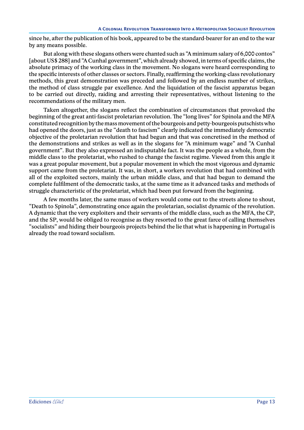since he, after the publication of his book, appeared to be the standard-bearer for an end to the war by any means possible.

But along with these slogans others were chanted such as "A minimum salary of 6,000 contos" [about US\$288] and "A Cunhal government", which already showed, in terms of specific claims, the absolute primacy of the working class in the movement. No slogans were heard corresponding to the specific interests of other classes or sectors. Finally, reaffirming the working-class revolutionary methods, this great demonstration was preceded and followed by an endless number of strikes, the method of class struggle par excellence. And the liquidation of the fascist apparatus began to be carried out directly, raiding and arresting their representatives, without listening to the recommendations of the military men.

Taken altogether, the slogans reflect the combination of circumstances that provoked the beginning of the great anti-fascist proletarian revolution. The "long lives" for Spinola and the MFA constituted recognition by the mass movement of the bourgeois and petty-bourgeois putschists who had opened the doors, just as the "death to fascism" clearly indicated the immediately democratic objective of the proletarian revolution that had begun and that was concretised in the method of the demonstrations and strikes as well as in the slogans for "A minimum wage" and "A Cunhal government". But they also expressed an indisputable fact. It was the people as a whole, from the middle class to the proletariat, who rushed to change the fascist regime. Viewed from this angle it was a great popular movement, but a popular movement in which the most vigorous and dynamic support came from the proletariat. It was, in short, a workers revolution that had combined with all of the exploited sectors, mainly the urban middle class, and that had begun to demand the complete fulfilment of the democratic tasks, at the same time as it advanced tasks and methods of struggle characteristic of the proletariat, which had been put forward from the beginning.

A few months later, the same mass of workers would come out to the streets alone to shout, "Death to Spinola", demonstrating once again the proletarian, socialist dynamic of the revolution. A dynamic that the very exploiters and their servants of the middle class, such as the MFA, the CP, and the SP, would be obliged to recognise as they resorted to the great farce of calling themselves "socialists" and hiding their bourgeois projects behind the lie that what is happening in Portugal is already the road toward socialism.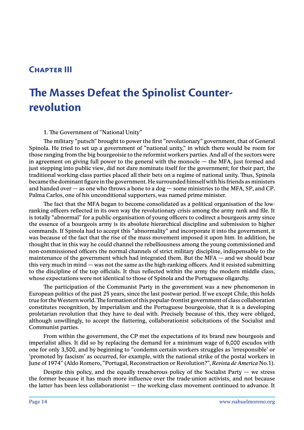## <span id="page-17-0"></span>**Chapter III**

# **The Masses Defeat the Spinolist Counterrevolution**

1. The Government of "National Unity"

The military "putsch" brought to power the first "revolutionary" government, that of General Spinola. He tried to set up a government of "national unity," in which there would be room for those ranging from the big bourgeoisie to the reformist workers parties. And all of the sectors were in agreement on giving full power to the general with the monocle — the MFA, just formed and just stepping into public view, did not dare nominate itself for the government; for their part, the traditional working-class parties placed all their bets on a regime of national unity. Thus, Spinola became the dominant figure in the government. He surrounded himself with his friends as ministers and handed over — as one who throws a bone to a dog — some ministries to the MFA, SP, and CP. Palma Carlos, one of his unconditional supporters, was named prime minister.

The fact that the MFA began to become consolidated as a political organisation of the lowranking officers reflected in its own way the revolutionary crisis among the army rank and file. It is totally "abnormal" for a public organisation of young officers to codirect a bourgeois army since the essence of a bourgeois army is its absolute hierarchical discipline and submission to higher commands. If Spinola had to accept this "abnormality" and incorporate it into the government, it was because of the fact that the rise of the mass movement imposed it upon him. In addition, he thought that in this way he could channel the rebelliousness among the young commissioned and non-commissioned officers the normal channels of strict military discipline, indispensable to the maintenance of the government which had integrated them. But the MFA — and we should bear this very much in mind — was not the same as the high-ranking officers. And it resisted submitting to the discipline of the top officials. It thus reflected within the army the modern middle class, whose expectations were not identical to those of Spinola and the Portuguese oligarchy.

The participation of the Communist Party in the government was a new phenomenon in European politics of the past 25 years, since the last postwar period. If we except Chile, this holds true for the Western world. The formation of this popular-frontist government of class collaboration constitutes recognition, by imperialism and the Portuguese bourgeoisie, that it is a developing proletarian revolution that they have to deal with. Precisely because of this, they were obliged, although unwillingly, to accept the flattering, collaborationist solicitations of the Socialist and Communist parties.

From within the government, the CP met the expectations of its brand new bourgeois and imperialist allies. It did so by replacing the demand for a minimum wage of 6,000 escudos with one for only 3,500, and by beginning to "condemn certain workers struggles as 'irresponsible' or 'promoted by fascism' as occurred, for example, with the national strike of the postal workers in June of 1974" (Aldo Romero, "Portugal, Reconstruction or Revolution?", *Revista de America* No.1).

Despite this policy, and the equally treacherous policy of the Socialist Party  $-$  we stress the former because it has much more influence over the trade-union activists, and not because the latter has been less collaborationist — the working class movement continued to advance. It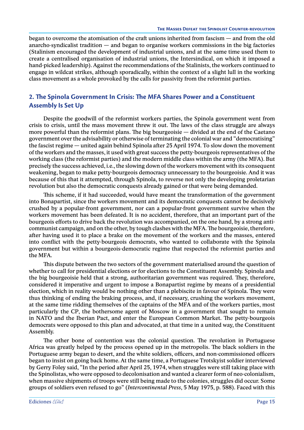<span id="page-18-0"></span>began to overcome the atomisation of the craft unions inherited from fascism — and from the old anarcho-syndicalist tradition  $-$  and began to organise workers commissions in the big factories (Stalinism encouraged the development of industrial unions, and at the same time used them to create a centralised organisation of industrial unions, the Intersindical, on which it imposed a hand-picked leadership). Against the recommendations of the Stalinists, the workers continued to engage in wildcat strikes, although sporadically, within the context of a slight lull in the working class movement as a whole provoked by the calls for passivity from the reformist parties.

#### **2. The Spinola Government In Crisis: The MFA Shares Power and a Constituent Assembly Is Set Up**

Despite the goodwill of the reformist workers parties, the Spinola government went from crisis to crisis, until the mass movement threw it out. The laws of the class struggle are always more powerful than the reformist plans. The big bourgeoisie — divided at the end of the Caetano government over the advisability or otherwise of terminating the colonial war and "democratising" the fascist regime — united again behind Spinola after 25 April 1974. To slow down the movement of the workers and the masses, it used with great success the petty-bourgeois representatives of the working class (the reformist parties) and the modern middle class within the army (the MFA). But precisely the success achieved, i.e., the slowing down of the workers movement with its consequent weakening, began to make petty-bourgeois democracy unnecessary to the bourgeoisie. And it was because of this that it attempted, through Spinola, to reverse not only the developing proletarian revolution but also the democratic conquests already gained or that were being demanded.

This scheme, if it had succeeded, would have meant the transformation of the government into Bonapartist, since the workers movement and its democratic conquests cannot be decisively crushed by a popular-front government, nor can a popular-front government survive when the workers movement has been defeated. It is no accident, therefore, that an important part of the bourgeois efforts to drive back the revolution was accompanied, on the one hand, by a strong anticommunist campaign, and on the other, by tough clashes with the MFA. The bourgeoisie, therefore, after having used it to place a brake on the movement of the workers and the masses, entered into conflict with the petty-bourgeois democrats, who wanted to collaborate with the Spinola government but within a bourgeois-democratic regime that respected the reformist parties and the MFA.

This dispute between the two sectors of the government materialised around the question of whether to call for presidential elections or for elections to the Constituent Assembly. Spinola and the big bourgeoisie held that a strong, authoritarian government was required. They, therefore, considered it imperative and urgent to impose a Bonapartist regime by means of a presidential election, which in reality would be nothing other than a plebiscite in favour of Spinola. They were thus thinking of ending the braking process, and, if necessary, crushing the workers movement, at the same time ridding themselves of the captains of the MFA and of the workers parties, most particularly the CP, the bothersome agent of Moscow in a government that sought to remain in NATO and the Iberian Pact, and enter the European Common Market. The petty-bourgeois democrats were opposed to this plan and advocated, at that time in a united way, the Constituent Assembly.

The other bone of contention was the colonial question. The revolution in Portuguese Africa was greatly helped by the process opened up in the metropolis. The black soldiers in the Portuguese army began to desert, and the white soldiers, officers, and non-commissioned officers began to insist on going back home. At the same time, a Portuguese Trotskyist soldier interviewed by Gerry Foley said, "In the period after April 25, 1974, when struggles were still taking place with the Spinolistas, who were opposed to decolonisation and wanted a clearer form of neo-colonialism, when massive shipments of troops were still being made to the colonies, struggles did occur. Some groups of soldiers even refused to go" (*Intercontinental Press*, 5 May 1975, p. 588). Faced with this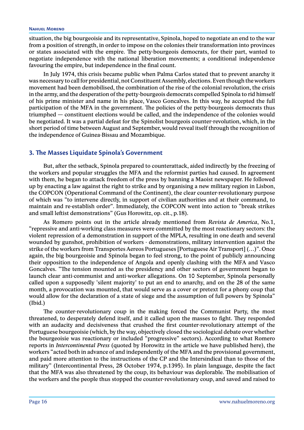<span id="page-19-0"></span>situation, the big bourgeoisie and its representative, Spinola, hoped to negotiate an end to the war from a position of strength, in order to impose on the colonies their transformation into provinces or states associated with the empire. The petty-bourgeois democrats, for their part, wanted to negotiate independence with the national liberation movements; a conditional independence favouring the empire, but independence in the final count.

In July 1974, this crisis became public when Palma Carlos stated that to prevent anarchy it was necessary to call for presidential, not Constituent Assembly, elections. Even though the workers movement had been demobilised, the combination of the rise of the colonial revolution, the crisis in the army, and the desperation of the petty-bourgeois democrats compelled Spinola to rid himself of his prime minister and name in his place, Vasco Goncalves. In this way, he accepted the full participation of the MFA in the government. The policies of the petty-bourgeois democrats thus triumphed — constituent elections would be called, and the independence of the colonies would be negotiated. It was a partial defeat for the Spinolist bourgeois counter-revolution, which, in the short period of time between August and September, would reveal itself through the recognition of the independence of Guinea-Bissau and Mozambique.

#### **3. The Masses Liquidate Spinola's Government**

But, after the setback, Spinola prepared to counterattack, aided indirectly by the freezing of the workers and popular struggles the MFA and the reformist parties had caused. In agreement with them, he began to attack freedom of the press by banning a Maoist newspaper. He followed up by enacting a law against the right to strike and by organising a new military region in Lisbon, the COPCON (Operational Command of the Continent), the clear counter-revolutionary purpose of which was "to intervene directly, in support of civilian authorities and at their command, to maintain and re-establish order". Immediately, the COPCON went into action to "break strikes and small leftist demonstrations" (Gus Horowitz, op. cit., p.18).

As Romero points out in the article already mentioned from *Revista de America*, No.1, "repressive and anti-working class measures were committed by the most reactionary sectors: the violent repression of a demonstration in support of the MPLA, resulting in one death and several wounded by gunshot, prohibition of workers - demonstrations, military intervention against the strike of the workers from Transportes Aereos Portugueses [Portuguese Air Transport] (…)". Once again, the big bourgeoisie and Spinola began to feel strong, to the point of publicly announcing their opposition to the independence of Angola and openly clashing with the MFA and Vasco Goncalves. "The tension mounted as the presidency and other sectors of government began to launch clear anti-communist and anti-worker allegations. On 10 September, Spinola personally called upon a supposedly 'silent majority' to put an end to anarchy, and on the 28 of the same month, a provocation was mounted, that would serve as a cover or pretext for a phony coup that would allow for the declaration of a state of siege and the assumption of full powers by Spinola" (Ibid.)

The counter-revolutionary coup in the making forced the Communist Party, the most threatened, to desperately defend itself, and it called upon the masses to fight. They responded with an audacity and decisiveness that crushed the first counter-revolutionary attempt of the Portuguese bourgeoisie (which, by the way, objectively closed the sociological debate over whether the bourgeoisie was reactionary or included "progressive" sectors). According to what Romero reports in *Intercontinental Press* (quoted by Horowitz in the article we have published here), the workers "acted both in advance of and independently of the MFA and the provisional government, and paid more attention to the instructions of the CP and the Intersindical than to those of the military" (Intercontinental Press, 28 October 1974, p.1395). In plain language, despite the fact that the MFA was also threatened by the coup, its behaviour was deplorable. The mobilisation of the workers and the people thus stopped the counter-revolutionary coup, and saved and raised to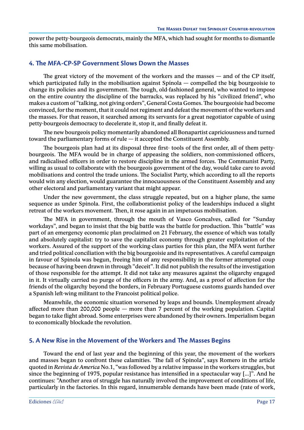<span id="page-20-0"></span>power the petty-bourgeois democrats, mainly the MFA, which had sought for months to dismantle this same mobilisation.

#### **4. The MFA-CP-SP Government Slows Down the Masses**

The great victory of the movement of the workers and the masses — and of the CP itself, which participated fully in the mobilisation against  $Spínola - computed$  the big bourgeoisie to change its policies and its government. The tough, old-fashioned general, who wanted to impose on the entire country the discipline of the barracks, was replaced by his "civilized friend", who makes a custom of "talking, not giving orders", General Costa Gomes. The bourgeoisie had become convinced, for the moment, that it could not regiment and defeat the movement of the workers and the masses. For that reason, it searched among its servants for a great negotiator capable of using petty-bourgeois democracy to decelerate it, stop it, and finally defeat it.

The new bourgeois policy momentarily abandoned all Bonapartist capriciousness and turned toward the parliamentary forms of rule — it accepted the Constituent Assembly.

The bourgeois plan had at its disposal three first- tools of the first order, all of them pettybourgeois. The MFA would be in charge of appeasing the soldiers, non-commissioned officers, and radicalised officers in order to restore discipline in the armed forces. The Communist Party, willing as usual to collaborate with the bourgeois government of the day, would take care to avoid mobilisations and control the trade unions. The Socialist Party, which according to all the reports would win any election, would guarantee the innocuousness of the Constituent Assembly and any other electoral and parliamentary variant that might appear.

Under the new government, the class struggle repeated, but on a higher plane, the same sequence as under Spinola. First, the collaborationist policy of the leaderships induced a slight retreat of the workers movement. Then, it rose again in an impetuous mobilisation.

The MFA in government, through the mouth of Vasco Goncalves, called for "Sunday workdays", and began to insist that the big battle was the battle for production. This "battle" was part of an emergency economic plan proclaimed on 21 February, the essence of which was totally and absolutely capitalist: try to save the capitalist economy through greater exploitation of the workers. Assured of the support of the working-class parties for this plan, the MFA went further and tried political conciliation with the big bourgeoisie and its representatives. A careful campaign in favour of Spinola was begun, freeing him of any responsibility in the former attempted coup because of having been drawn in through "deceit". It did not publish the results of the investigation of those responsible for the attempt. It did not take any measures against the oligarchy engaged in it. It virtually carried no purge of the officers in the army. And, as a proof of affection for the friends of the oligarchy beyond the borders, in February Portuguese customs guards handed over a Spanish left-wing militant to the Francoist political police.

Meanwhile, the economic situation worsened by leaps and bounds. Unemployment already affected more than 200,000 people — more than 7 percent of the working population. Capital began to take flight abroad. Some enterprises were abandoned by their owners. Imperialism began to economically blockade the revolution.

#### **5. A New Rise in the Movement of the Workers and The Masses Begins**

Toward the end of last year and the beginning of this year, the movement of the workers and masses began to confront these calamities. 'The fall of Spinola", says Romero in the article quoted in *Revista de America* No.1, "was followed by a relative impasse in the workers struggles, but since the beginning of 1975, popular resistance has intensified in a spectacular way [...]". And he continues: "Another area of struggle has naturally involved the improvement of conditions of life, particularly in the factories. In this regard, innumerable demands have been made (rate of work,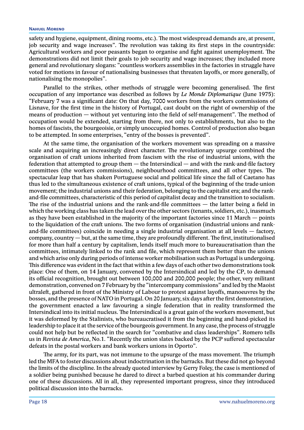#### **Nahuel Moreno**

safety and hygiene, equipment, dining rooms, etc.). The most widespread demands are, at present, job security and wage increases". The revolution was taking its first steps in the countryside: Agricultural workers and poor peasants began to organise and fight against unemployment. The demonstrations did not limit their goals to job security and wage increases; they included more general and revolutionary slogans: "countless workers assemblies in the factories in struggle have voted for motions in favour of nationalising businesses that threaten layoffs, or more generally, of nationalising the monopolies".

Parallel to the strikes, other methods of struggle were becoming generalised. The first occupation of any importance was described as follows by *Le Monde Diplomatique* (June 1975): "February 7 was a significant date: On that day, 7000 workers from the workers commissions of Lisnave, for the first time in the history of Portugal, cast doubt on the right of ownership of the means of production — without yet venturing into the field of self-management". The method of occupation would be extended, starting from there, not only to establishments, but also to the homes of fascists, the bourgeoisie, or simply unoccupied homes. Control of production also began to be attempted. In some enterprises, "entry of the bosses is prevented".

At the same time, the organisation of the workers movement was spreading on a massive scale and acquiring an increasingly direct character. The revolutionary upsurge combined the organisation of craft unions inherited from fascism with the rise of industrial unions, with the federation that attempted to group them — the Intersindical — and with the rank-and-file factory committees (the workers commissions), neighbourhood committees, and all other types. The spectacular leap that has shaken Portuguese social and political life since the fall of Caetano has thus led to the simultaneous existence of craft unions, typical of the beginning of the trade-union movement; the industrial unions and their federation, belonging to the capitalist era; and the rankand-file committees, characteristic of this period of capitalist decay and the transition to socialism. The rise of the industrial unions and the rank-and-file committees — the latter being a field in which the working class has taken the lead over the other sectors (tenants, soldiers, etc.), inasmuch as they have been established in the majority of the important factories since 11 March — points to the liquidation of the craft unions. The two forms of organisation (industrial unions and rankand-file committees) coincide in needing a single industrial organisation at all levels — factory, company, country — but, at the same time, they are profoundly different. The first, institutionalised for more than half a century by capitalism, lends itself much more to bureaucratisation than the committees, intimately linked to the rank and file, which represent them better than the unions and which arise only during periods of intense worker mobilisation such as Portugal is undergoing. This difference was evident in the fact that within a few days of each other two demonstrations took place: One of them, on 14 January, convened by the Intersindical and led by the CP, to demand its official recognition, brought out between 100,000 and 200,000 people; the other, very militant demonstration, convened on 7 February by the "intercompany commissions" and led by the Maoist ultraleft, gathered in front of the Ministry of Labour to protest against layoffs, manoeuvres by the bosses, and the presence of NATO in Portugal. On 20 January, six days after the first demonstration, the government enacted a law favouring a single federation that in reality transformed the Intersindical into its initial nucleus. The Intersindical is a great gain of the workers movement, but it was deformed by the Stalinists, who bureaucratised it from the beginning and hand-picked its leadership to place it at the service of the bourgeois government. In any case, the process of struggle could not help but be reflected in the search for "combative and class leaderships". Romero tells us in *Revista de America*, No.1. "Recently the union slates backed by the PCP suffered spectacular defeats in the postal workers and bank workers unions in Oporto".

The army, for its part, was not immune to the upsurge of the mass movement. The triumph led the MFA to foster discussions about indoctrination in the barracks. But these did not go beyond the limits of the discipline. In the already quoted interview by Gerry Foley, the case is mentioned of a soldier being punished because he dared to direct a barbed question at his commander during one of these discussions. All in all, they represented important progress, since they introduced political discussion into the barracks.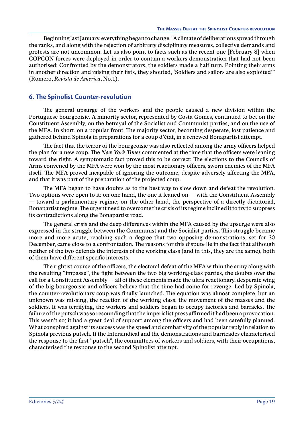<span id="page-22-0"></span>Beginning last January, everything began to change. "A climate of deliberations spread through the ranks, and along with the rejection of arbitrary disciplinary measures, collective demands and protests are not uncommon. Let us also point to facts such as the recent one [February 8] when COPCON forces were deployed in order to contain a workers demonstration that had not been authorised: Confronted by the demonstrators, the soldiers made a half turn. Pointing their arms in another direction and raising their fists, they shouted, 'Soldiers and sailors are also exploited'" (Romero, *Revista de America*, No.1).

#### **6. The Spinolist Counter-revolution**

The general upsurge of the workers and the people caused a new division within the Portuguese bourgeoisie. A minority sector, represented by Costa Gomes, continued to bet on the Constituent Assembly, on the betrayal of the Socialist and Communist parties, and on the use of the MFA. In short, on a popular front. The majority sector, becoming desperate, lost patience and gathered behind Spinola in preparations for a coup d'état, in a renewed Bonapartist attempt.

The fact that the terror of the bourgeoisie was also reflected among the army officers helped the plan for a new coup. The *New York Times* commented at the time that the officers were leaning toward the right. A symptomatic fact proved this to be correct: The elections to the Councils of Arms convened by the MFA were won by the most reactionary officers, sworn enemies of the MFA itself. The MFA proved incapable of ignoring the outcome, despite adversely affecting the MFA, and that it was part of the preparation of the projected coup.

The MFA began to have doubts as to the best way to slow down and defeat the revolution. Two options were open to it: on one hand, the one it leaned on  $-$  with the Constituent Assembly — toward a parliamentary regime; on the other hand, the perspective of a directly dictatorial, Bonapartist regime. The urgent need to overcome the crisis of its regime inclined it to try to suppress its contradictions along the Bonapartist road.

The general crisis and the deep differences within the MFA caused by the upsurge were also expressed in the struggle between the Communist and the Socialist parties. This struggle became more and more acute, reaching such a degree that two opposing demonstrations, set for 30 December, came close to a confrontation. The reasons for this dispute lie in the fact that although neither of the two defends the interests of the working class (and in this, they are the same), both of them have different specific interests.

The rightist course of the officers, the electoral defeat of the MFA within the army along with the resulting "impasse", the fight between the two big working-class parties, the doubts over the call for a Constituent Assembly — all of these elements made the ultra-reactionary, desperate wing of the big bourgeoisie and officers believe that the time had come for revenge. Led by Spinola, the counter-revolutionary coup was finally launched. The equation was almost complete, but an unknown was missing, the reaction of the working class, the movement of the masses and the soldiers. It was terrifying, the workers and soldiers began to occupy factories and barracks. The failure of the putsch was so resounding that the imperialist press affirmed it had been a provocation. This wasn't so; it had a great deal of support among the officers and had been carefully planned. What conspired against its success was the speed and combativity of the popular reply in relation to Spinola previous putsch. If the Intersindical and the demonstrations and barricades characterised the response to the first "putsch", the committees of workers and soldiers, with their occupations, characterised the response to the second Spinolist attempt.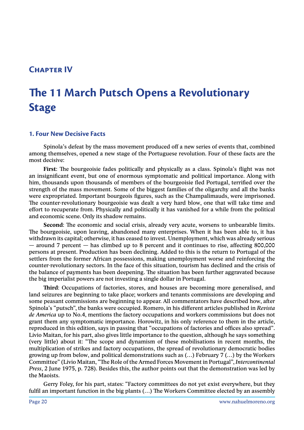## <span id="page-23-0"></span>**Chapter IV**

# **The 11 March Putsch Opens a Revolutionary Stage**

#### **1. Four New Decisive Facts**

Spinola's defeat by the mass movement produced off a new series of events that, combined among themselves, opened a new stage of the Portuguese revolution. Four of these facts are the most decisive:

**First**: The bourgeoisie fades politically and physically as a class. Spinola's flight was not an insignificant event, but one of enormous symptomatic and political importance. Along with him, thousands upon thousands of members of the bourgeoisie fled Portugal, terrified over the strength of the mass movement. Some of the biggest families of the oligarchy and all the banks were expropriated. Important bourgeois figures, such as the Champalimauds, were imprisoned. The counter-revolutionary bourgeoisie was dealt a very hard blow, one that will take time and effort to recuperate from. Physically and politically it has vanished for a while from the political and economic scene. Only its shadow remains.

**Second**: The economic and social crisis, already very acute, worsens to unbearable limits. The bourgeoisie, upon leaving, abandoned many enterprises. When it has been able to, it has withdrawn its capital; otherwise, it has ceased to invest. Unemployment, which was already serious — around 7 percent — has climbed up to 8 percent and it continues to rise, affecting 800,000 persons at present. Production has been declining. Added to this is the return to Portugal of the settlers from the former African possessions, making unemployment worse and reinforcing the counter-revolutionary sectors. In the face of this situation, tourism has declined and the crisis of the balance of payments has been deepening. The situation has been further aggravated because the big imperialist powers are not investing a single dollar in Portugal.

**Third**: Occupations of factories, stores, and houses are becoming more generalised, and land seizures are beginning to take place; workers and tenants commissions are developing and some peasant commissions are beginning to appear. All commentators have described how, after Spinola's "putsch", the banks were occupied. Romero, in his different articles published in *Revista de America* up to No.4, mentions the factory occupations and workers commissions but does not grant them any symptomatic importance. Horowitz, in his only reference to them in the article, reproduced in this edition, says in passing that "occupations of factories and offices also spread". Livio Maitan, for his part, also gives little importance to the question, although he says something (very little) about it: "The scope and dynamism of these mobilisations in recent months, the multiplication of strikes and factory occupations, the spread of revolutionary democratic bodies growing up from below, and political demonstrations such as (…) February 7 (…) by the Workers Committee" (Livio Maitan, "The Role of the Armed Forces Movement in Portugal", *Intercontinental Press*, 2 June 1975, p. 728). Besides this, the author points out that the demonstration was led by the Maoists.

Gerry Foley, for his part, states: "Factory committees do not yet exist everywhere, but they fulfil an important function in the big plants (…) The Workers Committee elected by an assembly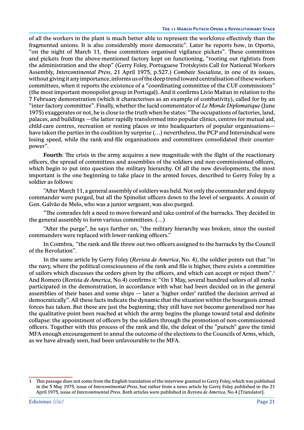of all the workers in the plant is much better able to represent the workforce effectively than the fragmented unions. It is also considerably more democratic". Later he reports how, in Oporto, "on the night of March 11, these committees organised vigilance pickets". These committees and pickets from the above-mentioned factory kept on functioning, "rooting out rightists from the administration and the shop" (Gerry Foley, Portuguese Trotskyists Call for National Workers Assembly, *Intercontinental Press*, 21 April 1975, p.527.) *Combate Socialista*, in one of its issues, without giving it any importance, informs us of the deep trend toward centralisation of these workers committees, when it reports the existence of a "coordinating committee of the CUF commissions" (the most important monopolist group in Portugal). And it confirms Livio Maitan in relation to the 7 February demonstration (which it characterises as an example of combativity), called for by an "inter-factory committee". Finally, whether the lucid commentator of *Le Monde Diplomatique* (June 1975) exaggerates or not, he is close to the truth when he states: "The occupations of factories, land, palaces, and buildings —the latter rapidly transformed into popular clinics, centres for mutual aid, child-care centres, recreation or resting places or into headquarters of popular organisations have taken the parties in the coalition by surprise (…) nevertheless, the PCP and Intersindical were losing speed, while the rank-and-file organisations and committees consolidated their counterpower".

**Fourth**: The crisis in the army acquires a new magnitude with the flight of the reactionary officers, the spread of committees and assemblies of the soldiers and non-commissioned officers, which begin to put into question the military hierarchy. Of all the new developments, the most important is the one beginning to take place in the armed forces, described to Gerry Foley by a soldier as follows:

"After March 11, a general assembly of soldiers was held. Not only the commander and deputy commander were purged, but all the Spinolist officers down to the level of sergeants. A cousin of Gen. Galvão de Melo, who was a junior sergeant, was also purged.

"The comrades felt a need to move forward and take control of the barracks. They decided in the general assembly to form various committees. (…)

"After the purge", he says further on, "the military hierarchy was broken, since the ousted commanders were replaced with lower-ranking officers."

In Coimbra, "the rank and file threw out two officers assigned to the barracks by the Council of the Revolution".

In the same article by Gerry Foley (*Revista de America*, No. 4), the soldier points out that "in the navy, where the political consciousness of the rank and file is higher, there exists a committee of sailors which discusses the orders given by the officers, and which can accept or reject them".1 And Romero (*Revista de America,* No.4) confirms it: "On 1 May, several hundred sailors of all ranks participated in the demonstration, in accordance with what had been decided on in the general assemblies of their bases and some ships — later a 'higher order' ratified the decision arrived at democratically". All these facts indicate the dynamic that the situation within the bourgeois armed forces has taken. But these are just the beginning; they still have not become generalised nor has the qualitative point been reached at which the army begins the plunge toward total and definite collapse: the appointment of officers by the soldiers through the promotion of non-commissioned officers. Together with this process of the rank and file, the defeat of the "putsch" gave the timid MFA enough encouragement to annul the outcome of the elections to the Councils of Arms, which, as we have already seen, had been unfavourable to the MFA.

<sup>1</sup> This passage does not come from the English translation of the interview granted to Gerry Foley, which was published in the 5 May 1975, issue of *Intercontinental Press*, but rather from a news article by Gerry Foley published in the 21 April 1975, issue of *Intercontinental Press*. Both articles were published in *Revista de America*, No.4 [Translator].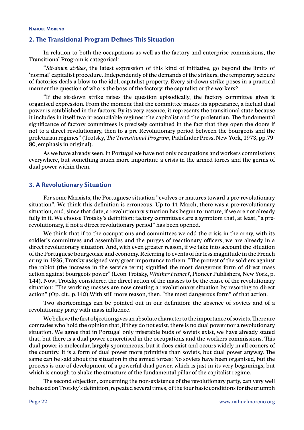#### <span id="page-25-0"></span>**2. The Transitional Program Defines This Situation**

In relation to both the occupations as well as the factory and enterprise commissions, the Transitional Program is categorical:

"*Sit-down strikes*, the latest expression of this kind of initiative, go beyond the limits of 'normal' capitalist procedure. Independently of the demands of the strikers, the temporary seizure of factories deals a blow to the idol, capitalist property. Every sit-down strike poses in a practical manner the question of who is the boss of the factory: the capitalist or the workers?

"If the sit-down strike raises the question episodically, the factory committee gives it organised expression. From the moment that the committee makes its appearance, a factual dual power is established in the factory. By its very essence, it represents the transitional state because it includes in itself two irreconcilable regimes: the capitalist and the proletarian. The fundamental significance of factory committees is precisely contained in the fact that they open the doors if not to a direct revolutionary, then to a pre-Revolutionary period between the bourgeois and the proletarian regimes" (Trotsky, *The Transitional Program*, Pathfinder Press, New York, 1973, pp.79- 80, emphasis in original).

As we have already seen, in Portugal we have not only occupations and workers commissions everywhere, but something much more important: a crisis in the armed forces and the germs of dual power within them.

#### **3. A Revolutionary Situation**

For some Marxists, the Portuguese situation "evolves or matures toward a pre-revolutionary situation". We think this definition is erroneous. Up to 11 March, there was a pre-revolutionary situation, and, since that date, a revolutionary situation has begun to mature, if we are not already fully in it. We choose Trotsky's definition: factory committees are a symptom that, at least, "a prerevolutionary, if not a direct revolutionary period" has been opened.

We think that if to the occupations and committees we add the crisis in the army, with its soldier's committees and assemblies and the purges of reactionary officers, we are already in a direct revolutionary situation. And, with even greater reason, if we take into account the situation of the Portuguese bourgeoisie and economy. Referring to events of far less magnitude in the French army in 1936, Trotsky assigned very great importance to them: "The protest of the soldiers against the rabiot (the increase in the service term) signified the most dangerous form of direct mass action against bourgeois power" (Leon Trotsky, *Whither France?,* Pioneer Publishers, New York, p. 144). Now, Trotsky considered the direct action of the masses to be the cause of the revolutionary situation: "The working masses are now creating a revolutionary situation by resorting to direct action" (Op. cit., p.140).With still more reason, then, "the most dangerous form" of that action.

Two shortcomings can be pointed out in our definition: the absence of soviets and of a revolutionary party with mass influence.

We believe the first objection gives an absolute character to the importance of soviets. There are comrades who hold the opinion that, if they do not exist, there is no dual power nor a revolutionary situation. We agree that in Portugal only miserable buds of soviets exist, we have already stated that; but there is a dual power concretised in the occupations and the workers commissions. This dual power is molecular, largely spontaneous, but it does exist and occurs widely in all corners of the country. It is a form of dual power more primitive than soviets, but dual power anyway. The same can be said about the situation in the armed forces: No soviets have been organised, but the process is one of development of a powerful dual power, which is just in its very beginnings, but which is enough to shake the structure of the fundamental pillar of the capitalist regime.

The second objection, concerning the non-existence of the revolutionary party, can very well be based on Trotsky's definition, repeated several times, of the four basic conditions for the triumph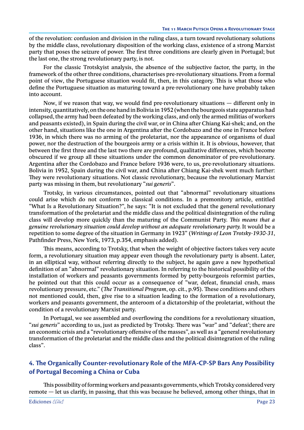<span id="page-26-0"></span>of the revolution: confusion and division in the ruling class, a turn toward revolutionary solutions by the middle class, revolutionary disposition of the working class, existence of a strong Marxist party that poses the seizure of power. The first three conditions are clearly given in Portugal; but the last one, the strong revolutionary party, is not.

For the classic Trotskyist analysis, the absence of the subjective factor, the party, in the framework of the other three conditions, characterises pre-revolutionary situations. From a formal point of view, the Portuguese situation would fit, then, in this category. This is what those who define the Portuguese situation as maturing toward a pre-revolutionary one have probably taken into account.

Now, if we reason that way, we would find pre-revolutionary situations — different only in intensity, quantitatively, on the one hand in Bolivia in 1952 (when the bourgeois state apparatus had collapsed, the army had been defeated by the working class, and only the armed militias of workers and peasants existed), in Spain during the civil war, or in China after Chiang Kai-shek; and, on the other hand, situations like the one in Argentina after the Cordobazo and the one in France before 1936, in which there was no arming of the proletariat, nor the appearance of organisms of dual power, nor the destruction of the bourgeois army or a crisis within it. It is obvious, however, that between the first three and the last two there are profound, qualitative differences, which become obscured if we group all these situations under the common denominator of pre-revolutionary. Argentina after the Cordobazo and France before 1936 were, to us, pre-revolutionary situations. Bolivia in 1952, Spain during the civil war, and China after Chiang Kai-shek went much further: They were revolutionary situations. Not classic revolutionary, because the revolutionary Marxist party was missing in them, but revolutionary "*sui generis*".

Trotsky, in various circumstances, pointed out that "abnormal" revolutionary situations could arise which do not conform to classical conditions. In a premonitory article, entitled "What Is a Revolutionary Situation?", he says: "It is not excluded that the general revolutionary transformation of the proletariat and the middle class and the political disintegration of the ruling class will develop more quickly than the maturing of the Communist Party. *This means that a genuine revolutionary situation could develop without an adequate revolutionary party.* It would be a repetition to some degree of the situation in Germany in 1923" (*Writings of Leon Trotsky-1930-31*, Pathfinder Press, New York, 1973, p.354, emphasis added).

This means, according to Trotsky, that when the weight of objective factors takes very acute form, a revolutionary situation may appear even though the revolutionary party is absent. Later, in an elliptical way, without referring directly to the subject, he again gave a new hypothetical definition of an "abnormal" revolutionary situation. In referring to the historical possibility of the installation of workers and peasants governments formed by petty-bourgeois reformist parties, he pointed out that this could occur as a consequence of "war, defeat, financial crash, mass revolutionary pressure, etc." (*The Transitional Program*, op. cit., p.95). These conditions and others not mentioned could, then, give rise to a situation leading to the formation of a revolutionary, workers and peasants government, the anteroom of a dictatorship of the proletariat, without the condition of a revolutionary Marxist party.

In Portugal, we see assembled and overflowing the conditions for a revolutionary situation, "*sui generis*" according to us, just as predicted by Trotsky. There was "war" and "defeat'; there are an economic crisis and a "revolutionary offensive of the masses", as well as a "general revolutionary transformation of the proletariat and the middle class and the political disintegration of the ruling class".

### **4. The Organically Counter-revolutionary Role of the MFA-CP-SP Bars Any Possibility of Portugal Becoming a China or Cuba**

This possibility of forming workers and peasants governments, which Trotsky considered very remote — let us clarify, in passing, that this was because he believed, among other things, that in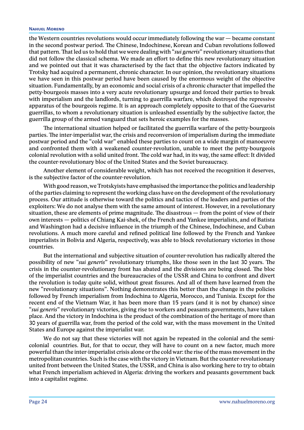#### **Nahuel Moreno**

the Western countries revolutions would occur immediately following the war — became constant in the second postwar period. The Chinese, Indochinese, Korean and Cuban revolutions followed that pattern. That led us to hold that we were dealing with "*sui generis*" revolutionary situations that did not follow the classical schema. We made an effort to define this new revolutionary situation and we pointed out that it was characterised by the fact that the objective factors indicated by Trotsky had acquired a permanent, chronic character. In our opinion, the revolutionary situations we have seen in this postwar period have been caused by the enormous weight of the objective situation. Fundamentally, by an economic and social crisis of a chronic character that impelled the petty-bourgeois masses into a very acute revolutionary upsurge and forced their parties to break with imperialism and the landlords, turning to guerrilla warfare, which destroyed the repressive apparatus of the bourgeois regime. It is an approach completely opposite to that of the Guevarist guerrillas, to whom a revolutionary situation is unleashed essentially by the subjective factor, the guerrilla group of the armed vanguard that sets heroic examples for the masses.

The international situation helped or facilitated the guerrilla warfare of the petty-bourgeois parties. The inter-imperialist war, the crisis and reconversion of imperialism during the immediate postwar period and the "cold war" enabled these parties to count on a wide margin of manoeuvre and confronted them with a weakened counter-revolution, unable to meet the petty-bourgeois colonial revolution with a solid united front. The cold war had, in its way, the same effect: It divided the counter-revolutionary bloc of the United States and the Soviet bureaucracy.

Another element of considerable weight, which has not received the recognition it deserves, is the subjective factor of the counter-revolution.

With good reason, we Trotskyists have emphasised the importance the politics and leadership of the parties claiming to represent the working class have on the development of the revolutionary process. Our attitude is otherwise toward the politics and tactics of the leaders and parties of the exploiters: We do not analyse them with the same amount of interest. However, in a revolutionary situation, these are elements of prime magnitude. The disastrous — from the point of view of their own interests — politics of Chiang Kai-shek, of the French and Yankee imperialists, and of Batista and Washington had a decisive influence in the triumph of the Chinese, Indochinese, and Cuban revolutions. A much more careful and refined political line followed by the French and Yankee imperialists in Bolivia and Algeria, respectively, was able to block revolutionary victories in those countries.

But the international and subjective situation of counter-revolution has radically altered the possibility of new "*sui generis*" revolutionary triumphs, like those seen in the last 30 years. The crisis in the counter-revolutionary front has abated and the divisions are being closed. The bloc of the imperialist countries and the bureaucracies of the USSR and China to confront and divert the revolution is today quite solid, without great fissures. And all of them have learned from the new "revolutionary situations". Nothing demonstrates this better than the change in the policies followed by French imperialism from Indochina to Algeria, Morocco, and Tunisia. Except for the recent end of the Vietnam War, it has been more than 15 years (and it is not by chance) since "*sui generis*" revolutionary victories, giving rise to workers and peasants governments, have taken place. And the victory in Indochina is the product of the combination of the heritage of more than 30 years of guerrilla war, from the period of the cold war, with the mass movement in the United States and Europe against the imperialist war.

We do not say that these victories will not again be repeated in the colonial and the semicolonial countries. But, for that to occur, they will have to count on a new factor, much more powerful than the inter-imperialist crisis alone or the cold war: the rise of the mass movement in the metropolitan countries. Such is the case with the victory in Vietnam. But the counter-revolutionary united front between the United States, the USSR, and China is also working here to try to obtain what French imperialism achieved in Algeria: driving the workers and peasants government back into a capitalist regime.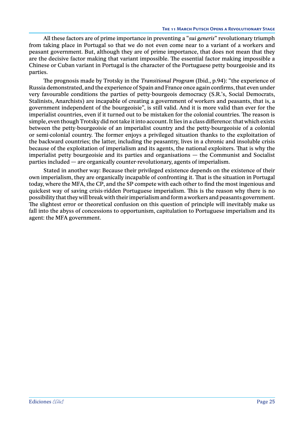All these factors are of prime importance in preventing a "*sui generis*" revolutionary triumph from taking place in Portugal so that we do not even come near to a variant of a workers and peasant government. But, although they are of prime importance, that does not mean that they are the decisive factor making that variant impossible. The essential factor making impossible a Chinese or Cuban variant in Portugal is the character of the Portuguese petty bourgeoisie and its parties.

The prognosis made by Trotsky in the *Transitional Program* (Ibid., p.94): "the experience of Russia demonstrated, and the experience of Spain and France once again confirms, that even under very favourable conditions the parties of petty-bourgeois democracy (S.R.'s, Social Democrats, Stalinists, Anarchists) are incapable of creating a government of workers and peasants, that is, a government independent of the bourgeoisie", is still valid. And it is more valid than ever for the imperialist countries, even if it turned out to be mistaken for the colonial countries. The reason is simple, even though Trotsky did not take it into account. It lies in a class difference: that which exists between the petty-bourgeoisie of an imperialist country and the petty-bourgeoisie of a colonial or semi-colonial country. The former enjoys a privileged situation thanks to the exploitation of the backward countries; the latter, including the peasantry, lives in a chronic and insoluble crisis because of the exploitation of imperialism and its agents, the national exploiters. That is why the imperialist petty bourgeoisie and its parties and organisations — the Communist and Socialist parties included — are organically counter-revolutionary, agents of imperialism.

Stated in another way: Because their privileged existence depends on the existence of their own imperialism, they are organically incapable of confronting it. That is the situation in Portugal today, where the MFA, the CP, and the SP compete with each other to find the most ingenious and quickest way of saving crisis-ridden Portuguese imperialism. This is the reason why there is no possibility that they will break with their imperialism and form a workers and peasants government. The slightest error or theoretical confusion on this question of principle will inevitably make us fall into the abyss of concessions to opportunism, capitulation to Portuguese imperialism and its agent: the MFA government.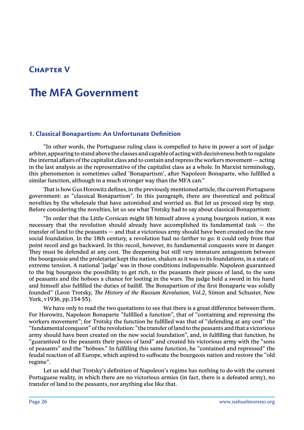## <span id="page-29-0"></span>**Chapter V**

## **The MFA Government**

#### **1. Classical Bonapartism: An Unfortunate Definition**

"In other words, the Portuguese ruling class is compelled to have in power a sort of judgearbiter, appearing to stand above the classes and capable of acting with decisiveness both to regulate the internal affairs of the capitalist class and to contain and repress the workers movement — acting in the last analysis as the representative of the capitalist class as a whole. In Marxist terminology, this phenomenon is sometimes called 'Bonapartism', after Napoleon Bonaparte, who fulfilled a similar function, although in a much stronger way than the MFA can."

That is how Gus Horowitz defines, in the previously mentioned article, the current Portuguese government: as "classical Bonapartism". In this paragraph, there are theoretical and political novelties by the wholesale that have astonished and worried us. But let us proceed step by step. Before considering the novelties, let us see what Trotsky had to say about classical Bonapartism:

"In order that the Little Corsican might lift himself above a young bourgeois nation, it was necessary that the revolution should already have accomplished its fundamental task — the transfer of land to the peasants — and that a victorious army should have been created on the new social foundation. In the 18th century, a revolution had no farther to go: it could only from that point recoil and go backward. In this recoil, however, its fundamental conquests were in danger. They must be defended at any cost. The deepening but still very immature antagonism between the bourgeoisie and the proletariat kept the nation, shaken as it was to its foundations, in a state of extreme tension. A national 'judge' was in those conditions indispensable. Napoleon guaranteed to the big bourgeois the possibility to get rich, to the peasants their pieces of land, to the sons of peasants and the hoboes a chance for looting in the wars. The judge held a sword in his hand and himself also fulfilled the duties of bailiff. The Bonapartism of the first Bonaparte was solidly founded" (Leon Trotsky, *The History of the Russian Revolution, Vol.2*, Simon and Schuster, New York, v1936, pp.154-55).

We have only to read the two quotations to see that there is a great difference between them. For Horowitz, Napoleon Bonaparte "fulfilled a function", that of "containing and repressing the workers movement"; for Trotsky the function he fulfilled was that of "defending at any cost" the "fundamental conquest" of the revolution: "the transfer of land to the peasants and that a victorious army should have been created on the new social foundation", and, in fulfilling that function, he "guaranteed to the peasants their pieces of land" and created his victorious army with the "sons of peasants" and the "hoboes." In fulfilling this same function, he "contained and repressed" the feudal reaction of all Europe, which aspired to suffocate the bourgeois nation and restore the "old regime".

Let us add that Trotsky's definition of Napoleon's regime has nothing to do with the current Portuguese reality, in which there are no victorious armies (in fact, there is a defeated army), no transfer of land to the peasants, nor anything else like that.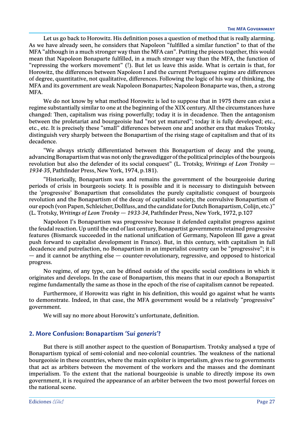<span id="page-30-0"></span>Let us go back to Horowitz. His definition poses a question of method that is really alarming. As we have already seen, he considers that Napoleon "fulfilled a similar function" to that of the MFA "although in a much stronger way than the MFA can". Putting the pieces together, this would mean that Napoleon Bonaparte fulfilled, in a much stronger way than the MFA, the function of "repressing the workers movement" (!). But let us leave this aside. What is certain is that, for Horowitz, the differences between Napoleon I and the current Portuguese regime are differences of degree, quantitative, not qualitative, differences. Following the logic of his way of thinking, the MFA and its government are weak Napoleon Bonapartes; Napoleon Bonaparte was, then, a strong MFA.

We do not know by what method Horowitz is led to suppose that in 1975 there can exist a regime substantially similar to one at the beginning of the XIX century. All the circumstances have changed: Then, capitalism was rising powerfully; today it is in decadence. Then the antagonism between the proletariat and bourgeoisie had "not yet matured"; today it is fully developed; etc., etc., etc. It is precisely these "small" differences between one and another era that makes Trotsky distinguish very sharply between the Bonapartism of the rising stage of capitalism and that of its decadence.

"We always strictly differentiated between this Bonapartism of decay and the young, advancing Bonapartism that was not only the gravedigger of the political principles of the bourgeois revolution but also the defender of its social conquest" (L. Trotsky, *Writings of Leon Trotsky — 1934-35*, Pathfinder Press, New York, 1974, p.181).

"Historically, Bonapartism was and remains the government of the bourgeoisie during periods of crisis in bourgeois society. It is possible and it is necessary to distinguish between the 'progressive' Bonapartism that consolidates the purely capitalistic conquest of bourgeois revolution and the Bonapartism of the decay of capitalist society, the convulsive Bonapartism of our epoch (von Papen, Schleicher, Dollfuss, and the candidate for Dutch Bonapartism, Colijn, etc.)" (L. Trotsky, *Writings of Leon Trotsky — 1933-34*, Pathfinder Press, New York, 1972, p.107

Napoleon I's Bonapartism was progressive because it defended capitalist progress against the feudal reaction. Up until the end of last century, Bonapartist governments retained progressive features (Bismarck succeeded in the national unification of Germany, Napoleon III gave a great push forward to capitalist development in France). But, in this century, with capitalism in full decadence and putrefaction, no Bonapartism in an imperialist country can be "progressive"; it is — and it cannot be anything else — counter-revolutionary, regressive, and opposed to historical progress.

No regime, of any type, can be dfined outside of the specific social conditions in which it originates and develops. In the case of Bonapartism, this means that in our epoch a Bonapartist regime fundamentally the same as those in the epoch of the rise of capitalism cannot be repeated.

Furthermore, if Horowitz was right in his definition, this would go against what he wants to demonstrate. Indeed, in that case, the MFA government would be a relatively "progressive" government.

We will say no more about Horowitz's unfortunate, definition.

#### **2. More Confusion: Bonapartism** *'Sui generis'***?**

But there is still another aspect to the question of Bonapartism. Trotsky analysed a type of Bonapartism typical of semi-colonial and neo-colonial countries. The weakness of the national bourgeoisie in these countries, where the main exploiter is imperialism, gives rise to governments that act as arbiters between the movement of the workers and the masses and the dominant imperialism. To the extent that the national bourgeoisie is unable to directly impose its own government, it is required the appearance of an arbiter between the two most powerful forces on the national scene.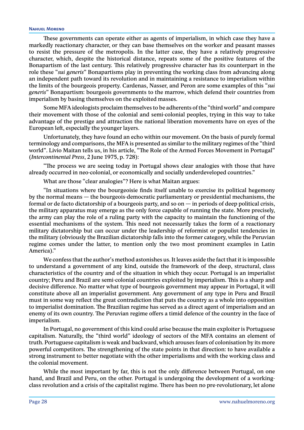#### **Nahuel Moreno**

These governments can operate either as agents of imperialism, in which case they have a markedly reactionary character, or they can base themselves on the worker and peasant masses to resist the pressure of the metropolis. In the latter case, they have a relatively progressive character, which, despite the historical distance, repeats some of the positive features of the Bonapartism of the last century. This relatively progressive character has its counterpart in the role these "*sui generis*" Bonapartisms play in preventing the working class from advancing along an independent path toward its revolution and in maintaining a resistance to imperialism within the limits of the bourgeois property. Cardenas, Nasser, and Peron are some examples of this "*sui generis*" Bonapartism: bourgeois governments to the marrow, which defend their countries from imperialism by basing themselves on the exploited masses.

Some MFA ideologists proclaim themselves to be adherents of the "third world" and compare their movement with those of the colonial and semi-colonial peoples, trying in this way to take advantage of the prestige and attraction the national liberation movements have on eyes of the European left, especially the younger layers.

Unfortunately, they have found an echo within our movement. On the basis of purely formal terminology and comparisons, the MFA is presented as similar to the military regimes of the "third world". Livio Maitan tells us, in his article, "The Role of the Armed Forces Movement in Portugal" (*Intercontinental Press*, 2 June 1975, p. 728):

"The process we are seeing today in Portugal shows clear analogies with those that have already occurred in neo-colonial, or economically and socially underdeveloped countries."

What are those "clear analogies"? Here is what Maitan argues:

"In situations where the bourgeoisie finds itself unable to exercise its political hegemony by the normal means — the bourgeois-democratic parliamentary or presidential mechanisms, the formal or de facto dictatorship of a bourgeois party, and so on  $-$  in periods of deep political crisis, the military apparatus may emerge as the only force capable of running the state. More precisely, the army can play the role of a ruling party with the capacity to maintain the functioning of the essential mechanisms of the system. This need not necessarily takes the form of a reactionary military dictatorship but can occur under the leadership of reformist or populist tendencies in the military (obviously the Brazilian dictatorship falls into the former category, while the Peruvian regime comes under the latter, to mention only the two most prominent examples in Latin America)."

We confess that the author's method astonishes us. It leaves aside the fact that it is impossible to understand a government of any kind, outside the framework of the deep, structural, class characteristics of the country and of the situation in which they occur. Portugal is an imperialist country; Peru and Brazil are semi-colonial countries exploited by imperialism. This is a sharp and decisive difference. No matter what type of bourgeois government may appear in Portugal, it will constitute above all an imperialist government. Any government of any type in Peru and Brazil must in some way reflect the great contradiction that puts the country as a whole into opposition to imperialist domination. The Brazilian regime has served as a direct agent of imperialism and an enemy of its own country. The Peruvian regime offers a timid defence of the country in the face of imperialism.

In Portugal, no government of this kind could arise because the main exploiter is Portuguese capitalism. Naturally, the "third world" ideology of sectors of the MFA contains an element of truth. Portuguese capitalism is weak and backward, which arouses fears of colonisation by its more powerful competitors. The strengthening of the state points in that direction: to have available a strong instrument to better negotiate with the other imperialisms and with the working class and the colonial movement.

While the most important by far, this is not the only difference between Portugal, on one hand, and Brazil and Peru, on the other. Portugal is undergoing the development of a workingclass revolution and a crisis of the capitalist regime. There has been no pre-revolutionary, let alone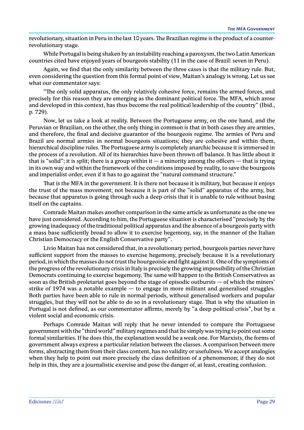revolutionary, situation in Peru in the last 10 years. The Brazilian regime is the product of a counterrevolutionary stage.

While Portugal is being shaken by an instability reaching a paroxysm, the two Latin American countries cited have enjoyed years of bourgeois stability (11 in the case of Brazil: seven in Peru).

Again, we find that the only similarity between the three cases is that the military rule. But, even considering the question from this formal point of view, Maitan's analogy is wrong. Let us see what our commentator says:

"The only solid apparatus, the only relatively cohesive force, remains the armed forces, and precisely for this reason they are emerging as the dominant political force. The MFA, which arose and developed in this context, has thus become the real political leadership of the country" (Ibid., p. 729).

Now, let us take a look at reality. Between the Portuguese army, on the one hand, and the Peruvian or Brazilian, on the other, the only thing in common is that in both cases they are armies, and therefore, the final and decisive guarantor of the bourgeois regime. The armies of Peru and Brazil are normal armies in normal bourgeois situations; they are cohesive and within them, hierarchical discipline rules. The Portuguese army is completely anarchic because it is immersed in the process of a revolution. All of its hierarchies have been thrown off balance. It has little about it that is "solid"; it is split; there is a group within it — a minority among the officers — that is trying in its own way and within the framework of the conditions imposed by reality, to save the bourgeois and imperialist order, even if it has to go against the "natural command structure."

That is the MFA in the government. It is there not because it is military, but because it enjoys the trust of the mass movement; not because it is part of the "solid" apparatus of the army, but because that apparatus is going through such a deep crisis that it is unable to rule without basing itself on the captains.

Comrade Maitan makes another comparison in the same article as unfortunate as the one we have just considered. According to him, the Portuguese situation is characterised "precisely by the growing inadequacy of the traditional political apparatus and the absence of a bourgeois party with a mass base sufficiently broad to allow it to exercise hegemony, say, in the manner of the Italian Christian Democracy or the English Conservative party".

Livio Maitan has not considered that, in a revolutionary period, bourgeois parties never have sufficient support from the masses to exercise hegemony, precisely because it is a revolutionary period, in which the masses do not trust the bourgeoisie and fight against it. One of the symptoms of the progress of the revolutionary crisis in Italy is precisely the growing impossibility of the Christian Democrats continuing to exercise hegemony. The same will happen to the British Conservatives as soon as the British proletariat goes beyond the stage of episodic outbursts — of which the miners' strike of 1974 was a notable example — to engage in more militant and generalised struggles. Both parties have been able to rule in normal periods, without generalised workers and popular struggles, but they will not be able to do so in a revolutionary stage. That is why the situation in Portugal is not defined, as our commentator affirms, merely by "a deep political crisis", but by a violent social and economic crisis.

Perhaps Comrade Maitan will reply that he never intended to compare the Portuguese government with the "third world" military regimes and that he simply was trying to point out some formal similarities. If he does this, the explanation would be a weak one. For Marxists, the forms of government always express a particular relation between the classes. A comparison between mere forms, abstracting them from their class content, has no validity or usefulness. We accept analogies when they help to point out more precisely the class definition of a phenomenon; if they do not help in this, they are a journalistic exercise and pose the danger of, at least, creating confusion.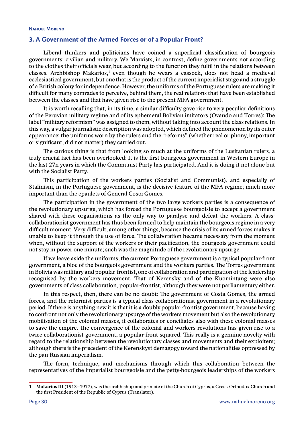#### <span id="page-33-0"></span>**3. A Government of the Armed Forces or of a Popular Front?**

Liberal thinkers and politicians have coined a superficial classification of bourgeois governments: civilian and military. We Marxists, in contrast, define governments not according to the clothes their officials wear, but according to the function they fulfil in the relations between classes. Archbishop Makarios,<sup>1</sup> even though he wears a cassock, does not head a medieval ecclesiastical government, but one that is the product of the current imperialist stage and a struggle of a British colony for independence. However, the uniforms of the Portuguese rulers are making it difficult for many comrades to perceive, behind them, the real relations that have been established between the classes and that have given rise to the present MFA government.

It is worth recalling that, in its time, a similar difficulty gave rise to very peculiar definitions of the Peruvian military regime and of its ephemeral Bolivian imitators (Ovando and Torres): The label "military reformism" was assigned to them, without taking into account the class relations. In this way, a vulgar journalistic description was adopted, which defined the phenomenon by its outer appearance: the uniforms worn by the rulers and the "reforms" (whether real or phony, important or significant, did not matter) they carried out.

The curious thing is that from looking so much at the uniforms of the Lusitanian rulers, a truly crucial fact has been overlooked: It is the first bourgeois government in Western Europe in the last 27n years in which the Communist Party has participated. And it is doing it not alone but with the Socialist Party.

This participation of the workers parties (Socialist and Communist), and especially of Stalinism, in the Portuguese government, is the decisive feature of the MFA regime; much more important than the epaulets of General Costa Gomes.

The participation in the government of the two large workers parties is a consequence of the revolutionary upsurge, which has forced the Portuguese bourgeoisie to accept a government shared with these organisations as the only way to paralyse and defeat the workers. A classcollaborationist government has thus been formed to help maintain the bourgeois regime in a very difficult moment. Very difficult, among other things, because the crisis of its armed forces makes it unable to keep it through the use of force. The collaboration became necessary from the moment when, without the support of the workers or their pacification, the bourgeois government could not stay in power one minute; such was the magnitude of the revolutionary upsurge.

If we leave aside the uniforms, the current Portuguese government is a typical popular-front government, a bloc of the bourgeois government and the workers parties. The Torres government in Bolivia was military and popular-frontist, one of collaboration and participation of the leadership recognised by the workers movement. That of Kerensky and of the Kuomintang were also governments of class collaboration, popular-frontist, although they were not parliamentary either.

In this respect, then, there can be no doubt: The government of Costa Gomes, the armed forces, and the reformist parties is a typical class-collaborationist government in a revolutionary period. If there is anything new it is that it is a doubly popular-frontist government, because having to confront not only the revolutionary upsurge of the workers movement but also the revolutionary mobilisation of the colonial masses, it collaborates or conciliates also with these colonial masses to save the empire. The convergence of the colonial and workers revolutions has given rise to a twice collaborationist government, a popular-front squared. This really is a genuine novelty with regard to the relationship between the revolutionary classes and movements and their exploiters; although there is the precedent of the Kerenskyst demagogy toward the nationalities oppressed by the pan-Russian imperialism.

The form, technique, and mechanisms through which this collaboration between the representatives of the imperialist bourgeoisie and the petty-bourgeois leaderships of the workers

<sup>1</sup> **Makarios III** (1913–1977), was the archbishop and primate of the Church of Cyprus, a Greek Orthodox Church and the first President of the Republic of Cyprus (Translator).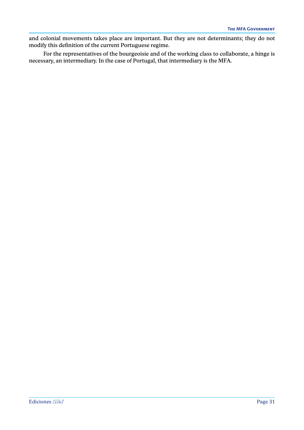and colonial movements takes place are important. But they are not determinants; they do not modify this definition of the current Portuguese regime.

For the representatives of the bourgeoisie and of the working class to collaborate, a hinge is necessary, an intermediary. In the case of Portugal, that intermediary is the MFA.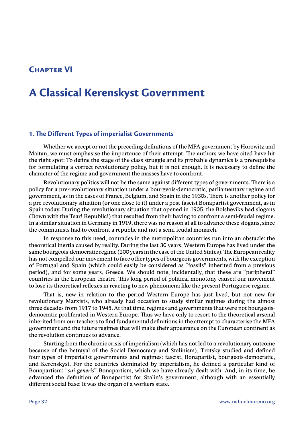## <span id="page-35-0"></span>**Chapter VI**

## **A Classical Kerenskyst Government**

#### **1. The Different Types of imperialist Governments**

Whether we accept or not the preceding definitions of the MFA government by Horowitz and Maitan, we must emphasise the importance of their attempt. The authors we have cited have hit the right spot: To define the stage of the class struggle and its probable dynamics is a prerequisite for formulating a correct revolutionary policy, but it is not enough. It is necessary to define the character of the regime and government the masses have to confront.

Revolutionary politics will not be the same against different types of governments. There is a policy for a pre-revolutionary situation under a bourgeois-democratic, parliamentary regime and government, as in the cases of France, Belgium, and Spain in the 1930s. There is another policy for a pre-revolutionary situation (or one close to it) under a post-fascist Bonapartist government, as in Spain today. During the revolutionary situation that opened in 1905, the Bolsheviks had slogans (Down with the Tsar! Republic!) that resulted from their having to confront a semi-feudal regime. In a similar situation in Germany in 1919, there was no reason at all to advance these slogans, since the communists had to confront a republic and not a semi-feudal monarch.

In response to this need, comrades in the metropolitan countries run into an obstacle: the theoretical inertia caused by reality. During the last 30 years, Western Europe has lived under the same bourgeois-democratic regime (200 years in the case of the United States). The European reality has not compelled our movement to face other types of bourgeois governments, with the exception of Portugal and Spain (which could easily be considered as "fossils" inherited from a previous period), and for some years, Greece. We should note, incidentally, that these are "peripheral" countries in the European theatre. This long period of political monotony caused our movement to lose its theoretical reflexes in reacting to new phenomena like the present Portuguese regime.

That is, new in relation to the period Western Europe has just lived, but not new for revolutionary Marxists, who already had occasion to study similar regimes during the almost three decades from 1917 to 1945. At that time, regimes and governments that were not bourgeoisdemocratic proliferated in Western Europe. Thus we have only to resort to the theoretical arsenal inherited from our teachers to find fundamental definitions in the attempt to characterise the MFA government and the future regimes that will make their appearance on the European continent as the revolution continues to advance.

Starting from the chronic crisis of imperialism (which has not led to a revolutionary outcome because of the betrayal of the Social Democracy and Stalinism), Trotsky studied and defined four types of imperialist governments and regimes: fascist, Bonapartist, bourgeois-democratic, and Kerenskyst. For the countries dominated by imperialism, he defined a particular kind of Bonapartism: "*sui generis*" Bonapartism, which we have already dealt with. And, in its time, he advanced the definition of Bonapartist for Stalin's government, although with an essentially different social base: It was the organ of a workers state.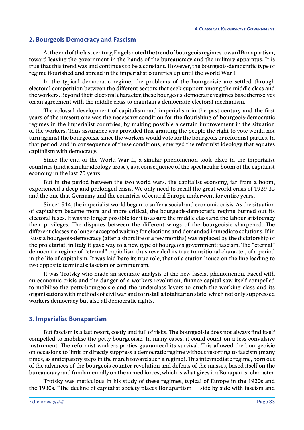## **2. Bourgeois Democracy and Fascism**

At the end of the last century, Engels noted the trend of bourgeois regimes toward Bonapartism, toward leaving the government in the hands of the bureaucracy and the military apparatus. It is true that this trend was and continues to be a constant. However, the bourgeois-democratic type of regime flourished and spread in the imperialist countries up until the World War I.

In the typical democratic regime, the problems of the bourgeoisie are settled through electoral competition between the different sectors that seek support among the middle class and the workers. Beyond their electoral character, these bourgeois-democratic regimes base themselves on an agreement with the middle class to maintain a democratic-electoral mechanism.

The colossal development of capitalism and imperialism in the past century and the first years of the present one was the necessary condition for the flourishing of bourgeois-democratic regimes in the imperialist countries, by making possible a certain improvement in the situation of the workers. Thus assurance was provided that granting the people the right to vote would not turn against the bourgeoisie since the workers would vote for the bourgeois or reformist parties. In that period, and in consequence of these conditions, emerged the reformist ideology that equates capitalism with democracy.

Since the end of the World War II, a similar phenomenon took place in the imperialist countries (and a similar ideology arose), as a consequence of the spectacular boom of the capitalist economy in the last 25 years.

But in the period between the two world wars, the capitalist economy, far from a boom, experienced a deep and prolonged crisis. We only need to recall the great world crisis of 1929-32 and the one that Germany and the countries of central Europe underwent for entire years.

Since 1914, the imperialist world began to suffer a social and economic crisis. As the situation of capitalism became more and more critical, the bourgeois-democratic regime burned out its electoral fuses. It was no longer possible for it to assure the middle class and the labour aristocracy their privileges. The disputes between the different wings of the bourgeoisie sharpened. The different classes no longer accepted waiting for elections and demanded immediate solutions. If in Russia bourgeois-democracy (after a short life of a few months) was replaced by the dictatorship of the proletariat, in Italy it gave way to a new type of bourgeois government: fascism. The "eternal" democratic regime of "eternal" capitalism thus revealed its true transitional character, of a period in the life of capitalism. It was laid bare its true role, that of a station house on the line leading to two opposite terminals: fascism or communism.

It was Trotsky who made an accurate analysis of the new fascist phenomenon. Faced with an economic crisis and the danger of a workers revolution, finance capital saw itself compelled to mobilise the petty-bourgeoisie and the underclass layers to crush the working class and its organisations with methods of civil war and to install a totalitarian state, which not only suppressed workers democracy but also all democratic rights.

## **3. Imperialist Bonapartism**

But fascism is a last resort, costly and full of risks. The bourgeoisie does not always find itself compelled to mobilise the petty-bourgeoisie. In many cases, it could count on a less convulsive instrument: The reformist workers parties guaranteed its survival. This allowed the bourgeoisie on occasions to limit or directly suppress a democratic regime without resorting to fascism (many times, as anticipatory steps in the march toward such a regime). This intermediate regime, born out of the advances of the bourgeois counter-revolution and defeats of the masses, based itself on the bureaucracy and fundamentally on the armed forces, which is what gives it a Bonapartist character.

Trotsky was meticulous in his study of these regimes, typical of Europe in the 1920s and the 1930s. "The decline of capitalist society places Bonapartism — side by side with fascism and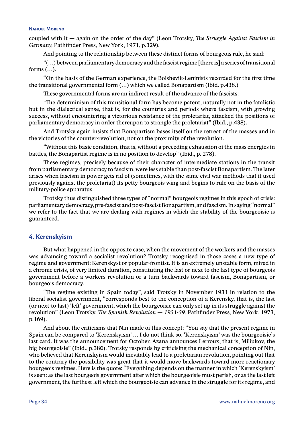coupled with it — again on the order of the day" (Leon Trotsky, *The Struggle Against Fascism in Germany,* Pathfinder Press, New York, 1971, p.329).

And pointing to the relationship between these distinct forms of bourgeois rule, he said:

"(…) between parliamentary democracy and the fascist regime [there is] a series of transitional forms (…).

"On the basis of the German experience, the Bolshevik-Leninists recorded for the first time the transitional governmental form (…) which we called Bonapartism (Ibid. p.438.)

These governmental forms are an indirect result of the advance of the fascists:

"The determinism of this transitional form has become patent, naturally not in the fatalistic but in the dialectical sense, that is, for the countries and periods where fascism, with growing success, without encountering a victorious resistance of the proletariat, attacked the positions of parliamentary democracy in order thereupon to strangle the proletariat" (Ibid., p.438).

And Trotsky again insists that Bonapartism bases itself on the retreat of the masses and in the victories of the counter-revolution, not on the proximity of the revolution.

"Without this basic condition, that is, without a preceding exhaustion of the mass energies in battles, the Bonapartist regime is in no position to develop" (Ibid., p. 278).

These regimes, precisely because of their character of intermediate stations in the transit from parliamentary democracy to fascism, were less stable than post-fascist Bonapartism. The later arises when fascism in power gets rid of (sometimes, with the same civil war methods that it used previously against the proletariat) its petty-bourgeois wing and begins to rule on the basis of the military-police apparatus.

Trotsky thus distinguished three types of "normal" bourgeois regimes in this epoch of crisis: parliamentary democracy, pre-fascist and post-fascist Bonapartism, and fascism. In saying "normal" we refer to the fact that we are dealing with regimes in which the stability of the bourgeoisie is guaranteed.

## **4. Kerenskyism**

But what happened in the opposite case, when the movement of the workers and the masses was advancing toward a socialist revolution? Trotsky recognised in those cases a new type of regime and government: Kerenskyst or popular-frontist. It is an extremely unstable form, mired in a chronic crisis, of very limited duration, constituting the last or next to the last type of bourgeois government before a workers revolution or a turn backwards toward fascism, Bonapartism, or bourgeois democracy.

"The regime existing in Spain today", said Trotsky in November 1931 in relation to the liberal-socialist government, "corresponds best to the conception of a Kerensky, that is, the last (or next-to-last) 'left' government, which the bourgeoisie can only set up in its struggle against the revolution" (Leon Trotsky, *The Spanish Revolution — 1931-39*, Pathfinder Press, New York, 1973, p.169).

And about the criticisms that Nin made of this concept: "You say that the present regime in Spain can be compared to 'Kerenskyism' … I do not think so. 'Kerenskyism' was the bourgeoisie's last card. It was the announcement for October. Azana announces Lerroux, that is, Miliukov, the big bourgeoisie" (Ibid., p.380). Trotsky responds by criticising the mechanical conception of Nin, who believed that Kerenskyism would inevitably lead to a proletarian revolution, pointing out that to the contrary the possibility was great that it would move backwards toward more reactionary bourgeois regimes. Here is the quote: "Everything depends on the manner in which 'Kerenskyism' is seen: as the last bourgeois government after which the bourgeoisie must perish, or as the last left government, the furthest left which the bourgeoisie can advance in the struggle for its regime, and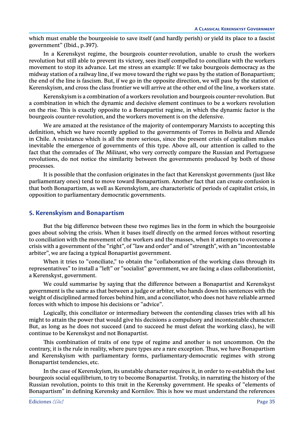which must enable the bourgeoisie to save itself (and hardly perish) or yield its place to a fascist government" (Ibid., p.397).

In a Kerenskyst regime, the bourgeois counter-revolution, unable to crush the workers revolution but still able to prevent its victory, sees itself compelled to conciliate with the workers movement to stop its advance. Let me stress an example: If we take bourgeois democracy as the midway station of a railway line, if we move toward the right we pass by the station of Bonapartism; the end of the line is fascism. But, if we go in the opposite direction, we will pass by the station of Kerenskyism, and cross the class frontier we will arrive at the other end of the line, a workers state.

Kerenskyism is a combination of a workers revolution and bourgeois counter-revolution. But a combination in which the dynamic and decisive element continues to be a workers revolution on the rise. This is exactly opposite to a Bonapartist regime, in which the dynamic factor is the bourgeois counter-revolution, and the workers movement is on the defensive.

We are amazed at the resistance of the majority of contemporary Marxists to accepting this definition, which we have recently applied to the governments of Torres in Bolivia and Allende in Chile. A resistance which is all the more serious, since the present crisis of capitalism makes inevitable the emergence of governments of this type. Above all, our attention is called to the fact that the comrades of *The Militant*, who very correctly compare the Russian and Portuguese revolutions, do not notice the similarity between the governments produced by both of those processes.

It is possible that the confusion originates in the fact that Kerenskyst governments (just like parliamentary ones) tend to move toward Bonapartism. Another fact that can create confusion is that both Bonapartism, as well as Kerenskyism, are characteristic of periods of capitalist crisis, in opposition to parliamentary democratic governments.

## **5. Kerenskyism and Bonapartism**

But the big difference between these two regimes lies in the form in which the bourgeoisie goes about solving the crisis. When it bases itself directly on the armed forces without resorting to conciliation with the movement of the workers and the masses, when it attempts to overcome a crisis with a government of the "right", of "law and order" and of "strength", with an "incontestable arbiter", we are facing a typical Bonapartist government.

When it tries to "conciliate," to obtain the "collaboration of the working class through its representatives" to install a "left" or "socialist" government, we are facing a class collaborationist, a Kerenskyst, government.

We could summarise by saying that the difference between a Bonapartist and Kerenskyst government is the same as that between a judge or arbiter, who hands down his sentences with the weight of disciplined armed forces behind him, and a conciliator, who does not have reliable armed forces with which to impose his decisions or "advice".

Logically, this conciliator or intermediary between the contending classes tries with all his might to attain the power that would give his decisions a compulsory and incontestable character. But, as long as he does not succeed (and to succeed he must defeat the working class), he will continue to be Kerenskyst and not Bonapartist.

This combination of traits of one type of regime and another is not uncommon. On the contrary, it is the rule in reality, where pure types are a rare exception. Thus, we have Bonapartism and Kerenskyism with parliamentary forms, parliamentary-democratic regimes with strong Bonapartist tendencies, etc.

In the case of Kerenskyism, its unstable character requires it, in order to re-establish the lost bourgeois social equilibrium, to try to become Bonapartist. Trotsky, in narrating the history of the Russian revolution, points to this trait in the Kerensky government. He speaks of "elements of Bonapartism" in defining Kerensky and Kornilov. This is how we must understand the references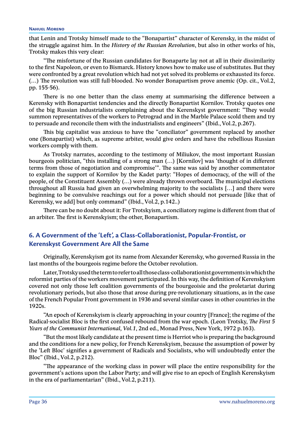that Lenin and Trotsky himself made to the "Bonapartist" character of Kerensky, in the midst of the struggle against him. In the *History of the Russian Revolution*, but also in other works of his, Trotsky makes this very clear:

"The misfortune of the Russian candidates for Bonaparte lay not at all in their dissimilarity to the first Napoleon, or even to Bismarck. History knows how to make use of substitutes. But they were confronted by a great revolution which had not yet solved its problems or exhausted its force. (…) The revolution was still full-blooded. No wonder Bonapartism prove anemic (Op. cit., Vol.2, pp. 155-56).

There is no one better than the class enemy at summarising the difference between a Kerensky with Bonapartist tendencies and the directly Bonapartist Kornilov. Trotsky quotes one of the big Russian industrialists complaining about the Kerenskyst government: "They would summon representatives of the workers to Petrograd and in the Marble Palace scold them and try to persuade and reconcile them with the industrialists and engineers" (Ibid., Vol.2, p.267).

This big capitalist was anxious to have the "conciliator" government replaced by another one (Bonapartist) which, as supreme arbiter, would give orders and have the rebellious Russian workers comply with them.

As Trotsky narrates, according to the testimony of Miliukov, the most important Russian bourgeois politician, "this installing of a strong man (…) [Kornilov] was 'thought of in different terms from those of negotiation and compromise'". The same was said by another commentator to explain the support of Kornilov by the Kadet party: "Hopes of democracy, of the will of the people, of the Constituent Assembly (…) were already thrown overboard. The municipal elections throughout all Russia had given an overwhelming majority to the socialists […] and there were beginning to be convulsive reachings out for a power which should not persuade [like that of Kerensky, we add] but only command" (Ibid., Vol.2, p.142..)

There can be no doubt about it: For Trotskyism, a conciliatory regime is different from that of an arbiter. The first is Kerenskyism; the other, Bonapartism.

# **6. A Government of the 'Left', a Class-Collaborationist, Popular-Frontist, or Kerenskyst Government Are All the Same**

Originally, Kerenskyism got its name from Alexander Kerensky, who governed Russia in the last months of the bourgeois regime before the October revolution.

Later, Trotsky used the term to refer to all those class-collaborationist governments in which the reformist parties of the workers movement participated. In this way, the definition of Kerenskyism covered not only those left coalition governments of the bourgeoisie and the proletariat during revolutionary periods, but also those that arose during pre-revolutionary situations, as in the case of the French Popular Front government in 1936 and several similar cases in other countries in the 1920s.

"An epoch of Kerenskyism is clearly approaching in your country [France]; the regime of the Radical-socialist Bloc is the first confused rebound from the war epoch. (Leon Trotsky, *The First 5 Years of the Communist International, Vol.1*, 2nd ed., Monad Press, New York, 1972 p.163).

"But the most likely candidate at the present time is Herriot who is preparing the background and the conditions for a new policy, for French Kerenskyism, because the assumption of power by the 'Left Bloc' signifies a government of Radicals and Socialists, who will undoubtedly enter the Bloc" (Ibid., Vol.2, p.212).

"The appearance of the working class in power will place the entire responsibility for the government's actions upon the Labor Party; and will give rise to an epoch of English Kerenskyism in the era of parliamentarian" (Ibid., Vol.2, p.211).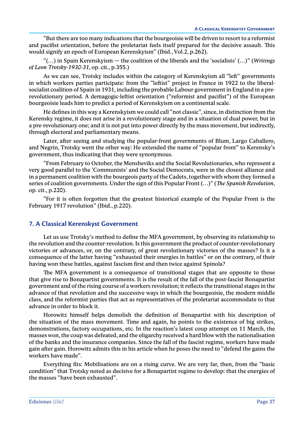"But there are too many indications that the bourgeoisie will be driven to resort to a reformist and pacifist orientation, before the proletariat feels itself prepared for the decisive assault. This would signify an epoch of European Kerenskyism" (Ibid., Vol.2, p.262).

"(…) in Spain Kerenskyism — the coalition of the liberals and the 'socialists' (…)" (*Writings of Leon Trotsky-1930-31*, op. cit., p.355.)

As we can see, Trotsky includes within the category of Kerenskyism all "left" governments in which workers parties participate: from the "leftist" project in France in 1922 to the liberalsocialist coalition of Spain in 1931, including the probable Labour government in England in a prerevolutionary period. A demagogic-leftist orientation ("reformist and pacifist") of the European bourgeoisie leads him to predict a period of Kerenskyism on a continental scale.

He defines in this way a Kerenskyism we could call "not classic", since, in distinction from the Kerensky regime, it does not arise in a revolutionary stage and in a situation of dual power, but in a pre-revolutionary one; and it is not put into power directly by the mass movement, but indirectly, through electoral and parliamentary means.

Later, after seeing and studying the popular-front governments of Blum, Largo Caballero, and Negrin, Trotsky went the other way: He extended the name of "popular front" to Kerensky's government, thus indicating that they were synonymous.

"From February to October, the Mensheviks and the Social Revolutionaries, who represent a very good parallel to the 'Communists' and the Social Democrats, were in the closest alliance and in a permanent coalition with the bourgeois party of the Cadets, together with whom they formed a series of coalition governments. Under the sign of this Popular Front (…)" (*The Spanish Revolution*, op. cit., p.220).

"For it is often forgotten that the greatest historical example of the Popular Front is the February 1917 revolution" (Ibid., p.220).

# **7. A Classical Kerenskyst Government**

Let us use Trotsky's method to define the MFA government, by observing its relationship to the revolution and the counter-revolution. Is this government the product of counter-revolutionary victories or advances, or, on the contrary, of great revolutionary victories of the masses? Is it a consequence of the latter having "exhausted their energies in battles" or on the contrary, of their having won these battles, against fascism first and then twice against Spinola?

The MFA government is a consequence of transitional stages that are opposite to those that give rise to Bonapartist governments. It is the result of the fall of the post-fascist Bonapartist government and of the rising course of a workers revolution; it reflects the transitional stages in the advance of that revolution and the successive ways in which the bourgeoisie, the modern middle class, and the reformist parties that act as representatives of the proletariat accommodate to that advance in order to block it.

Horowitz himself helps demolish the definition of Bonapartist with his description of the situation of the mass movement. Time and again, he points to the existence of big strikes, demonstrations, factory occupations, etc. In the reaction's latest coup attempt on 11 March, the masses won, the coup was defeated, and the oligarchy received a hard blow with the nationalisation of the banks and the insurance companies. Since the fall of the fascist regime, workers have made gain after gain. Horowitz admits this in his article when he poses the need to "defend the gains the workers have made".

Everything fits: Mobilisations are on a rising curve. We are very far, then, from the "basic condition" that Trotsky noted as decisive for a Bonapartist regime to develop: that the energies of the masses "have been exhausted".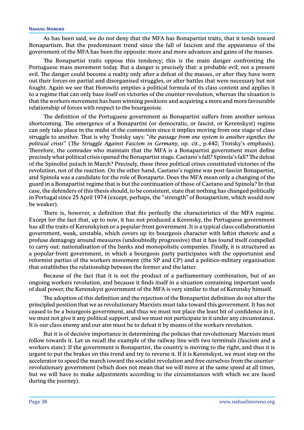As has been said, we do not deny that the MFA has Bonapartist traits, that it tends toward Bonapartism. But the predominant trend since the fall of fascism and the appearance of the government of the MFA has been the opposite: more and more advances and gains of the masses.

The Bonapartist traits oppose this tendency; this is the main danger confronting the Portuguese mass movement today. But a danger is precisely that: a probable evil; not a present evil. The danger could become a reality only after a defeat of the masses, or after they have worn out their forces on partial and disorganised struggles, or after battles that were necessary but not fought. Again we see that Horowitz empties a political formula of its class content and applies it to a regime that can only base itself on victories of the counter-revolution, whereas the situation is that the workers movement has been winning positions and acquiring a more and more favourable relationship of forces with respect to the bourgeoisie.

The definition of the Portuguese government as Bonapartist suffers from another serious shortcoming. The emergence of a Bonapartist (or democratic, or fascist, or Kerenskyst) regime can only take place in the midst of the commotion since it implies moving from one stage of class struggle to another. That is why Trotsky says: "*the passage from one system to another signifies the political crisis*" (*The Struggle Against Fascism in Germany*, op. cit., p.440; Trotsky's emphasis). Therefore, the comrades who maintain that the MFA is a Bonapartist government must define precisely what political crisis opened the Bonapartist stage. Caetano's fall? Spinola's fall? The defeat of the Spinolist putsch in March? Precisely, these three political crises constituted victories of the revolution, not of the reaction. On the other hand, Caetano's regime was post-fascist Bonapartist, and Spinola was a candidate for the role of Bonaparte. Does the MFA mean only a changing of the guard in a Bonapartist regime that is but the continuation of those of Caetano and Spinola? In that case, the defenders of this thesis should, to be consistent, state that nothing has changed politically in Portugal since 25 April 1974 (except, perhaps, the "strength" of Bonapartism, which would now be weaker).

There is, however, a definition that fits perfectly the characteristics of the MFA regime. Except for the fact that, up to now, it has not produced a Kerensky, the Portuguese government has all the traits of Kerenskyism or a popular-front government. It is a typical class-collaborationist government, weak, unstable, which covers up its bourgeois character with leftist rhetoric and a profuse demagogy around measures (undoubtedly progressive) that it has found itself compelled to carry out: nationalisation of the banks and monopolistic companies. Finally, it is structured as a popular-front government, in which a bourgeois party participates with the opportunist and reformist parties of the workers movement (the SP and CP) and a politico-military organisation that establishes the relationship between the former and the latter.

Because of the fact that it is not the product of a parliamentary combination, but of an ongoing workers revolution, and because it finds itself in a situation containing important seeds of dual power, the Kerenskyst government of the MFA is very similar to that of Kerensky himself.

The adoption of this definition and the rejection of the Bonapartist definition do not alter the principled position that we as revolutionary Marxists must take toward this government. It has not ceased to be a bourgeois government, and thus we must not place the least bit of confidence in it, we must not give it any political support, and we must not participate in it under any circumstance. It is our class enemy and our aim must be to defeat it by means of the workers revolution.

But it is of decisive importance in determining the policies that revolutionary Marxists must follow towards it. Let us recall the example of the railway line with two terminals (fascism and a workers state): If the government is Bonapartist, the country is moving to the right, and thus it is urgent to put the brakes on this trend and try to reverse it. If it is Kerenskyst, we must step on the accelerator to speed the march toward the socialist revolution and free ourselves from the counterrevolutionary government (which does not mean that we will move at the same speed at all times, but we will have to make adjustments according to the circumstances with which we are faced during the journey).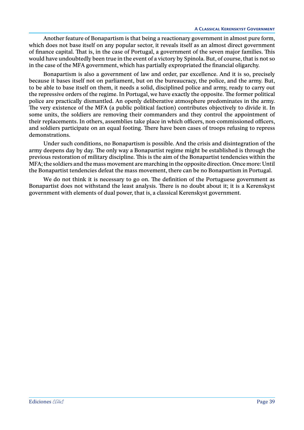Another feature of Bonapartism is that being a reactionary government in almost pure form, which does not base itself on any popular sector, it reveals itself as an almost direct government of finance capital. That is, in the case of Portugal, a government of the seven major families. This would have undoubtedly been true in the event of a victory by Spinola. But, of course, that is not so in the case of the MFA government, which has partially expropriated the financial oligarchy.

Bonapartism is also a government of law and order, par excellence. And it is so, precisely because it bases itself not on parliament, but on the bureaucracy, the police, and the army. But, to be able to base itself on them, it needs a solid, disciplined police and army, ready to carry out the repressive orders of the regime. In Portugal, we have exactly the opposite. The former political police are practically dismantled. An openly deliberative atmosphere predominates in the army. The very existence of the MFA (a public political faction) contributes objectively to divide it. In some units, the soldiers are removing their commanders and they control the appointment of their replacements. In others, assemblies take place in which officers, non-commissioned officers, and soldiers participate on an equal footing. There have been cases of troops refusing to repress demonstrations.

Under such conditions, no Bonapartism is possible. And the crisis and disintegration of the army deepens day by day. The only way a Bonapartist regime might be established is through the previous restoration of military discipline. This is the aim of the Bonapartist tendencies within the MFA; the soldiers and the mass movement are marching in the opposite direction. Once more: Until the Bonapartist tendencies defeat the mass movement, there can be no Bonapartism in Portugal.

We do not think it is necessary to go on. The definition of the Portuguese government as Bonapartist does not withstand the least analysis. There is no doubt about it; it is a Kerenskyst government with elements of dual power, that is, a classical Kerenskyst government.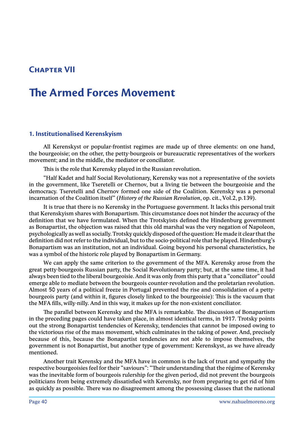# **Chapter VII**

# **The Armed Forces Movement**

## **1. Institutionalised Kerenskyism**

All Kerenskyst or popular-frontist regimes are made up of three elements: on one hand, the bourgeoisie; on the other, the petty-bourgeois or bureaucratic representatives of the workers movement; and in the middle, the mediator or conciliator.

This is the role that Kerensky played in the Russian revolution.

"Half Kadet and half Social Revolutionary, Kerensky was not a representative of the soviets in the government, like Tseretelli or Chernov, but a living tie between the bourgeoisie and the democracy. Tseretelli and Chernov formed one side of the Coalition. Kerensky was a personal incarnation of the Coalition itself" (*History of the Russian Revolution*, op. cit., Vol.2, p.139).

It is true that there is no Kerensky in the Portuguese government. It lacks this personal trait that Kerenskyism shares with Bonapartism. This circumstance does not hinder the accuracy of the definition that we have formulated. When the Trotskyists defined the Hindenburg government as Bonapartist, the objection was raised that this old marshal was the very negation of Napoleon, psychologically as well as socially. Trotsky quickly disposed of the question: He made it clear that the definition did not refer to the individual, but to the socio-political role that he played. Hindenburg's Bonapartism was an institution, not an individual. Going beyond his personal characteristics, he was a symbol of the historic role played by Bonapartism in Germany.

We can apply the same criterion to the government of the MFA. Kerensky arose from the great petty-bourgeois Russian party, the Social Revolutionary party; but, at the same time, it had always been tied to the liberal bourgeoisie. And it was only from this party that a "conciliator" could emerge able to mediate between the bourgeois counter-revolution and the proletarian revolution. Almost 50 years of a political freeze in Portugal prevented the rise and consolidation of a pettybourgeois party (and within it, figures closely linked to the bourgeoisie): This is the vacuum that the MFA fills, willy-nilly. And in this way, it makes up for the non-existent conciliator.

The parallel between Kerensky and the MFA is remarkable. The discussion of Bonapartism in the preceding pages could have taken place, in almost identical terms, in 1917. Trotsky points out the strong Bonapartist tendencies of Kerensky, tendencies that cannot be imposed owing to the victorious rise of the mass movement, which culminates in the taking of power. And, precisely because of this, because the Bonapartist tendencies are not able to impose themselves, the government is not Bonapartist, but another type of government: Kerenskyst, as we have already mentioned.

Another trait Kerensky and the MFA have in common is the lack of trust and sympathy the respective bourgeoisies feel for their "saviours": "Their understanding that the régime of Kerensky was the inevitable form of bourgeois rulership for the given period, did not prevent the bourgeois politicians from being extremely dissatisfied with Kerensky, nor from preparing to get rid of him as quickly as possible. There was no disagreement among the possessing classes that the national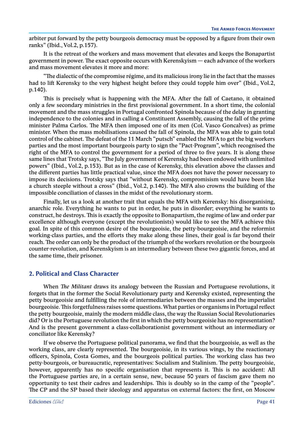arbiter put forward by the petty bourgeois democracy must be opposed by a figure from their own ranks" (Ibid., Vol.2, p.157).

It is the retreat of the workers and mass movement that elevates and keeps the Bonapartist government in power. The exact opposite occurs with Kerenskyism — each advance of the workers and mass movement elevates it more and more:

"The dialectic of the compromise régime, and its malicious irony lie in the fact that the masses had to lift Kerensky to the very highest height before they could topple him over" (Ibid., Vol.2, p.140).

This is precisely what is happening with the MFA. After the fall of Caetano, it obtained only a few secondary ministries in the first provisional government. In a short time, the colonial movement and the mass struggles in Portugal confronted Spinola because of the delay in granting independence to the colonies and in calling a Constituent Assembly, causing the fall of the prime minister Palma Carlos. The MFA then imposed one of its men (Col. Vasco Goncalves) as prime minister. When the mass mobilisations caused the fall of Spinola, the MFA was able to gain total control of the cabinet. The defeat of the 11 March "putsch" enabled the MFA to get the big workers parties and the most important bourgeois party to sign the "Pact-Program", which recognised the right of the MFA to control the government for a period of three to five years. It is along these same lines that Trotsky says, "The July government of Kerensky had been endowed with unlimited powers" (Ibid., Vol.2, p.153). But as in the case of Kerensky, this elevation above the classes and the different parties has little practical value, since the MFA does not have the power necessary to impose its decisions. Trotsky says that "without Kerensky, compromisism would have been like a church steeple without a cross" (Ibid., Vol.2, p.140). The MFA also crowns the building of the impossible conciliation of classes in the midst of the revolutionary storm.

Finally, let us a look at another trait that equals the MFA with Kerensky: his disorganising, anarchic role. Everything he wants to put in order, he puts in disorder; everything he wants to construct, he destroys. This is exactly the opposite to Bonapartism, the regime of law and order par excellence although everyone (except the revolutionists) would like to see the MFA achieve this goal. In spite of this common desire of the bourgeoisie, the petty-bourgeoisie, and the reformist working-class parties, and the efforts they make along these lines, their goal is far beyond their reach. The order can only be the product of the triumph of the workers revolution or the bourgeois counter-revolution, and Kerenskyism is an intermediary between these two gigantic forces, and at the same time, their prisoner.

# **2. Political and Class Character**

When *The Militant* draws its analogy between the Russian and Portuguese revolutions, it forgets that in the former the Social Revolutionary party and Kerensky existed, representing the petty bourgeoisie and fulfilling the role of intermediaries between the masses and the imperialist bourgeoisie. This forgetfulness raises some questions. What parties or organisms in Portugal reflect the petty bourgeoisie, mainly the modern middle class, the way the Russian Social Revolutionaries did? Or is the Portuguese revolution the first in which the petty bourgeoisie has no representation? And is the present government a class-collaborationist government without an intermediary or conciliator like Kerensky?

If we observe the Portuguese political panorama, we find that the bourgeoisie, as well as the working class, are clearly represented. The bourgeoisie, in its various wings, by the reactionary officers, Spinola, Costa Gomes, and the bourgeois political parties. The working class has two petty-bourgeois, or bureaucratic, representatives: Socialism and Stalinism. The petty bourgeoisie, however, apparently has no specific organisation that represents it. This is no accident: All the Portuguese parties are, in a certain sense, new, because 50 years of fascism gave them no opportunity to test their cadres and leaderships. This is doubly so in the camp of the "people". The CP and the SP based their ideology and apparatus on external factors: the first, on Moscow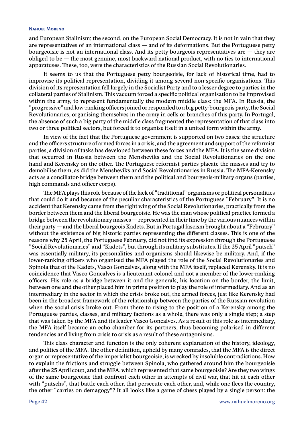and European Stalinism; the second, on the European Social Democracy. It is not in vain that they are representatives of an international class — and of its deformations. But the Portuguese petty bourgeoisie is not an international class. And its petty-bourgeois representatives are — they are obliged to be  $-$  the most genuine, most backward national product, with no ties to international apparatuses. These, too, were the characteristics of the Russian Social Revolutionaries.

It seems to us that the Portuguese petty bourgeoisie, for lack of historical time, had to improvise its political representation, dividing it among several non-specific organisations. This division of its representation fell largely in the Socialist Party and to a lesser degree to parties in the collateral parties of Stalinism. This vacuum forced a specific political organisation to be improvised within the army, to represent fundamentally the modern middle class: the MFA. In Russia, the "progressive" and low-ranking officers joined or responded to a big petty-bourgeois party, the Social Revolutionaries, organising themselves in the army in cells or branches of this party. In Portugal, the absence of such a big party of the middle class fragmented the representation of that class into two or three political sectors, but forced it to organise itself in a united form within the army.

In view of the fact that the Portuguese government is supported on two bases: the structure and the officers structure of armed forces in a crisis, and the agreement and support of the reformist parties, a division of tasks has developed between these forces and the MFA. It is the same division that occurred in Russia between the Mensheviks and the Social Revolutionaries on the one hand and Kerensky on the other. The Portuguese reformist parties placate the masses and try to demobilise them, as did the Mensheviks and Social Revolutionaries in Russia. The MFA-Kerensky acts as a conciliator-bridge between them and the political and bourgeois-military organs (parties, high commands and officer corps).

The MFA plays this role because of the lack of "traditional" organisms or political personalities that could do it and because of the peculiar characteristics of the Portuguese "February". It is no accident that Kerensky came from the right wing of the Social Revolutionaries, practically from the border between them and the liberal bourgeoisie. He was the man whose political practice formed a bridge between the revolutionary masses — represented in their time by the various nuances within their party — and the liberal bourgeois Kadets. But in Portugal fascism brought about a "February" without the existence of big historic parties representing the different classes. This is one of the reasons why 25 April, the Portuguese February, did not find its expression through the Portuguese "Social Revolutionaries" and "Kadets", but through its military substitutes. If the 25 April "putsch" was essentially military, its personalities and organisms should likewise be military. And, if the lower-ranking officers who organised the MFA played the role of the Social Revolutionaries and Spinola that of the Kadets, Vasco Goncalves, along with the MFA itself, replaced Kerensky. It is no coincidence that Vasco Goncalves is a lieutenant colonel and not a member of the lower-ranking officers. His role as a bridge between it and the generals, his location on the border, the limit, between one and the other placed him in prime position to play the role of intermediary. And as an intermediary in the sector in which the crisis broke out, the armed forces, just like Kerensky had been in the broadest framework of the relationship between the parties of the Russian revolution when the social crisis broke out. From there to rising to the position of a Kerensky among the Portuguese parties, classes, and military factions as a whole, there was only a single step; a step that was taken by the MFA and its leader Vasco Goncalves. As a result of this role as intermediary, the MFA itself became an echo chamber for its partners, thus becoming polarised in different tendencies and living from crisis to crisis as a result of these antagonisms.

This class character and function is the only coherent explanation of the history, ideology, and politics of the MFA. The other definition, upheld by many comrades, that the MFA is the direct organ or representative of the imperialist bourgeoisie, is wrecked by insoluble contradictions. How to explain the frictions and struggle between Spinola, who gathered around him the bourgeoisie after the 25 April coup, and the MFA, which represented that same bourgeoisie? Are they two wings of the same bourgeoisie that confront each other in attempts of civil war, that hit at each other with "putschs", that battle each other, that persecute each other, and, while one flees the country, the other "carries on demagogy"? It all looks like a game of chess played by a single person: the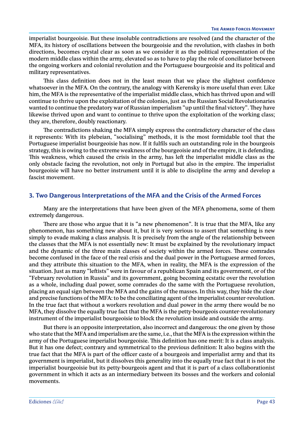imperialist bourgeoisie. But these insoluble contradictions are resolved (and the character of the MFA, its history of oscillations between the bourgeoisie and the revolution, with clashes in both directions, becomes crystal clear as soon as we consider it as the political representation of the modern middle class within the army, elevated so as to have to play the role of conciliator between the ongoing workers and colonial revolution and the Portuguese bourgeoisie and its political and military representatives.

This class definition does not in the least mean that we place the slightest confidence whatsoever in the MFA. On the contrary, the analogy with Kerensky is more useful than ever. Like him, the MFA is the representative of the imperialist middle class, which has thrived upon and will continue to thrive upon the exploitation of the colonies, just as the Russian Social Revolutionaries wanted to continue the predatory war of Russian imperialism "up until the final victory". They have likewise thrived upon and want to continue to thrive upon the exploitation of the working class; they are, therefore, doubly reactionary.

The contradictions shaking the MFA simply express the contradictory character of the class it represents: With its plebeian, "socialising" methods, it is the most formidable tool that the Portuguese imperialist bourgeoisie has now. If it fulfils such an outstanding role in the bourgeois strategy, this is owing to the extreme weakness of the bourgeoisie and of the empire, it is defending. This weakness, which caused the crisis in the army, has left the imperialist middle class as the only obstacle facing the revolution, not only in Portugal but also in the empire. The imperialist bourgeoisie will have no better instrument until it is able to discipline the army and develop a fascist movement.

## **3. Two Dangerous Interpretations of the MFA and the Crisis of the Armed Forces**

Many are the interpretations that have been given of the MFA phenomena, some of them extremely dangerous.

There are those who argue that it is "a new phenomenon". It is true that the MFA, like any phenomenon, has something new about it, but it is very serious to assert that something is new simply to evade making a class analysis. It is precisely from the angle of the relationship between the classes that the MFA is not essentially new: It must be explained by the revolutionary impact and the dynamic of the three main classes of society within the armed forces. These comrades become confused in the face of the real crisis and the dual power in the Portuguese armed forces, and they attribute this situation to the MFA, when in reality, the MFA is the expression of the situation. Just as many "leftists" were in favour of a republican Spain and its government, or of the "February revolution in Russia" and its government, going becoming ecstatic over the revolution as a whole, including dual power, some comrades do the same with the Portuguese revolution, placing an equal sign between the MFA and the gains of the masses. In this way, they hide the clear and precise functions of the MFA: to be the conciliating agent of the imperialist counter-revolution. In the true fact that without a workers revolution and dual power in the army there would be no MFA, they dissolve the equally true fact that the MFA is the petty-bourgeois counter-revolutionary instrument of the imperialist bourgeoisie to block the revolution inside and outside the army.

But there is an opposite interpretation, also incorrect and dangerous: the one given by those who state that the MFA and imperialism are the same, i.e., that the MFA is the expression within the army of the Portuguese imperialist bourgeoisie. This definition has one merit: It is a class analysis. But it has one defect; contrary and symmetrical to the previous definition: It also begins with the true fact that the MFA is part of the officer caste of a bourgeois and imperialist army and that its government is imperialist, but it dissolves this generality into the equally true fact that it is not the imperialist bourgeoisie but its petty-bourgeois agent and that it is part of a class collaborationist government in which it acts as an intermediary between its bosses and the workers and colonial movements.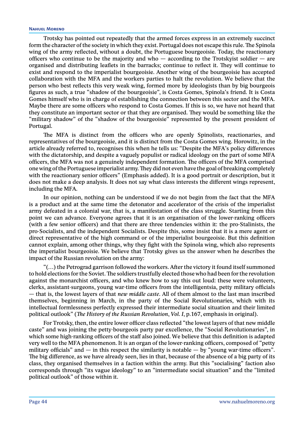Trotsky has pointed out repeatedly that the armed forces express in an extremely succinct form the character of the society in which they exist. Portugal does not escape this rule. The Spinola wing of the army reflected, without a doubt, the Portuguese bourgeoisie. Today, the reactionary officers who continue to be the majority and who  $-$  according to the Trotskyist soldier  $-$  are organised and distributing leaflets in the barracks; continue to reflect it. They will continue to exist and respond to the imperialist bourgeoisie. Another wing of the bourgeoisie has accepted collaboration with the MFA and the workers parties to halt the revolution. We believe that the person who best reflects this very weak wing, formed more by ideologists than by big bourgeois figures as such, a true "shadow of the bourgeoisie", is Costa Gomes, Spinola's friend. It is Costa Gomes himself who is in charge of establishing the connection between this sector and the MFA. Maybe there are some officers who respond to Costa Gomes. If this is so, we have not heard that they constitute an important sector or that they are organised. They would be something like the "military shadow" of the "shadow of the bourgeoisie" represented by the present president of Portugal.

The MFA is distinct from the officers who are openly Spinolists, reactionaries, and representatives of the bourgeoisie, and it is distinct from the Costa Gomes wing. Horowitz, in the article already referred to, recognises this when he tells us: "Despite the MFA's policy differences with the dictatorship, and despite a vaguely populist or radical ideology on the part of some MFA officers, the MFA was not a genuinely independent formation. The officers of the MFA comprised one wing of the Portuguese imperialist army. They did not even have the goal of breaking completely with the reactionary senior officers" (Emphasis added). It is a good portrait or description, but it does not make a deep analysis. It does not say what class interests the different wings represent, including the MFA.

In our opinion, nothing can be understood if we do not begin from the fact that the MFA is a product and at the same time the detonator and accelerator of the crisis of the imperialist army defeated in a colonial war, that is, a manifestation of the class struggle. Starting from this point we can advance. Everyone agrees that it is an organisation of the lower-ranking officers (with a few senior officers) and that there are three tendencies within it: the pro-Stalinists, the pro-Socialists, and the independent Socialists. Despite this, some insist that it is a mere agent or direct representative of the high command or of the imperialist bourgeoisie. But this definition cannot explain, among other things, why they fight with the Spinola wing, which also represents the imperialist bourgeoisie. We believe that Trotsky gives us the answer when he describes the impact of the Russian revolution on the army:

"(…) the Petrograd garrison followed the workers. After the victory it found itself summoned to hold elections for the Soviet. The soldiers trustfully elected those who had been for the revolution against the monarchist officers, and who knew how to say this out loud: these were volunteers, clerks, assistant-surgeons, young war-time officers from the intelligentsia, petty military officials — that is, the lowest layers of that *new middle caste*. All of them almost to the last man inscribed themselves, beginning in March, in the party of the Social Revolutionaries, which with its intellectual formlessness perfectly expressed their intermediate social situation and their limited political outlook" (*The History of the Russian Revolution*, *Vol. I*, p.167, emphasis in original).

For Trotsky, then, the entire lower officer class reflected "the lowest layers of that new middle caste" and was joining the petty-bourgeois party par excellence, the "Social Revolutionaries", in which some high-ranking officers of the staff also joined. We believe that this definition is adapted very well to the MFA phenomenon. It is an organ of the lower-ranking officers, composed of "petty military officials" and  $-$  in this respect the similarity is notable  $-$  by "young war-time officers". The big difference, as we have already seen, lies in that, because of the absence of a big party of its class, they organised themselves in a faction within the army. But this "socialising" faction also corresponds through "its vague ideology" to an "intermediate social situation" and the "limited political outlook" of those within it.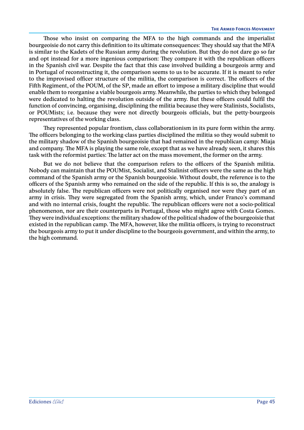Those who insist on comparing the MFA to the high commands and the imperialist bourgeoisie do not carry this definition to its ultimate consequences: They should say that the MFA is similar to the Kadets of the Russian army during the revolution. But they do not dare go so far and opt instead for a more ingenious comparison: They compare it with the republican officers in the Spanish civil war. Despite the fact that this case involved building a bourgeois army and in Portugal of reconstructing it, the comparison seems to us to be accurate. If it is meant to refer to the improvised officer structure of the militia, the comparison is correct. The officers of the Fifth Regiment, of the POUM, of the SP, made an effort to impose a military discipline that would enable them to reorganise a viable bourgeois army. Meanwhile, the parties to which they belonged were dedicated to halting the revolution outside of the army. But these officers could fulfil the function of convincing, organising, disciplining the militia because they were Stalinists, Socialists, or POUMists; i.e. because they were not directly bourgeois officials, but the petty-bourgeois representatives of the working class.

They represented popular frontism, class collaborationism in its pure form within the army. The officers belonging to the working-class parties disciplined the militia so they would submit to the military shadow of the Spanish bourgeoisie that had remained in the republican camp: Miaja and company. The MFA is playing the same role, except that as we have already seen, it shares this task with the reformist parties: The latter act on the mass movement, the former on the army.

But we do not believe that the comparison refers to the officers of the Spanish militia. Nobody can maintain that the POUMist, Socialist, and Stalinist officers were the same as the high command of the Spanish army or the Spanish bourgeoisie. Without doubt, the reference is to the officers of the Spanish army who remained on the side of the republic. If this is so, the analogy is absolutely false. The republican officers were not politically organised nor were they part of an army in crisis. They were segregated from the Spanish army, which, under Franco's command and with no internal crisis, fought the republic. The republican officers were not a socio-political phenomenon, nor are their counterparts in Portugal, those who might agree with Costa Gomes. They were individual exceptions: the military shadow of the political shadow of the bourgeoisie that existed in the republican camp. The MFA, however, like the militia officers, is trying to reconstruct the bourgeois army to put it under discipline to the bourgeois government, and within the army, to the high command.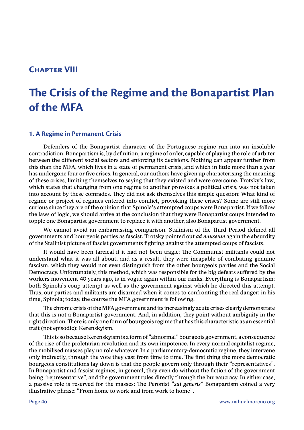# **Chapter VIII**

# **The Crisis of the Regime and the Bonapartist Plan of the MFA**

# **1. A Regime in Permanent Crisis**

Defenders of the Bonapartist character of the Portuguese regime run into an insoluble contradiction. Bonapartism is, by definition, a regime of order, capable of playing the role of arbiter between the different social sectors and enforcing its decisions. Nothing can appear further from this than the MFA, which lives in a state of permanent crisis, and which in little more than a year has undergone four or five crises. In general, our authors have given up characterising the meaning of these crises, limiting themselves to saying that they existed and were overcome. Trotsky's law, which states that changing from one regime to another provokes a political crisis, was not taken into account by these comrades. They did not ask themselves this simple question: What kind of regime or project of regimes entered into conflict, provoking these crises? Some are still more curious since they are of the opinion that Spinola's attempted coups were Bonapartist. If we follow the laws of logic, we should arrive at the conclusion that they were Bonapartist coups intended to topple one Bonapartist government to replace it with another, also Bonapartist government.

We cannot avoid an embarrassing comparison. Stalinism of the Third Period defined all governments and bourgeois parties as fascist. Trotsky pointed out *ad nauseum* again the absurdity of the Stalinist picture of fascist governments fighting against the attempted coups of fascists.

It would have been farcical if it had not been tragic: The Communist militants could not understand what it was all about; and as a result, they were incapable of combating genuine fascism, which they would not even distinguish from the other bourgeois parties and the Social Democracy. Unfortunately, this method, which was responsible for the big defeats suffered by the workers movement 40 years ago, is in vogue again within our ranks. Everything is Bonapartism: both Spinola's coup attempt as well as the government against which he directed this attempt. Thus, our parties and militants are disarmed when it comes to confronting the real danger: in his time, Spinola; today, the course the MFA government is following.

The chronic crisis of the MFA government and its increasingly acute crises clearly demonstrate that this is not a Bonapartist government. And, in addition, they point without ambiguity in the right direction. There is only one form of bourgeois regime that has this characteristic as an essential trait (not episodic): Kerenskyism.

This is so because Kerenskyism is a form of "abnormal" bourgeois government, a consequence of the rise of the proletarian revolution and its own impotence. In every normal capitalist regime, the mobilised masses play no role whatever. In a parliamentary-democratic regime, they intervene only indirectly, through the vote they cast from time to time. The first thing the more democratic bourgeois constitutions lay down is that the people govern only through their "representatives". In Bonapartist and fascist regimes, in general, they even do without the fiction of the government being "representative", and the government rules directly through the bureaucracy. In either case, a passive role is reserved for the masses: The Peronist "*sui generis*" Bonapartism coined a very illustrative phrase: "From home to work and from work to home".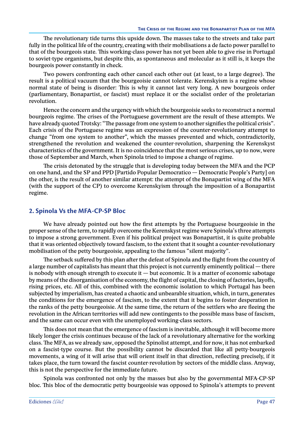The revolutionary tide turns this upside down. The masses take to the streets and take part fully in the political life of the country, creating with their mobilisations a de facto power parallel to that of the bourgeois state. This working-class power has not yet been able to give rise in Portugal to soviet-type organisms, but despite this, as spontaneous and molecular as it still is, it keeps the bourgeois power constantly in check.

Two powers confronting each other cancel each other out (at least, to a large degree). The result is a political vacuum that the bourgeoisie cannot tolerate. Kerenskyism is a regime whose normal state of being is disorder: This is why it cannot last very long. A new bourgeois order (parliamentary, Bonapartist, or fascist) must replace it or the socialist order of the proletarian revolution.

Hence the concern and the urgency with which the bourgeoisie seeks to reconstruct a normal bourgeois regime. The crises of the Portuguese government are the result of these attempts. We have already quoted Trotsky: "The passage from one system to another signifies the political crisis". Each crisis of the Portuguese regime was an expression of the counter-revolutionary attempt to change "from one system to another", which the masses prevented and which, contradictorily, strengthened the revolution and weakened the counter-revolution, sharpening the Kerenskyst characteristics of the government. It is no coincidence that the most serious crises, up to now, were those of September and March, when Spinola tried to impose a change of regime.

The crisis detonated by the struggle that is developing today between the MFA and the PCP on one hand, and the SP and PPD [Partido Popular Democratico — Democratic People's Party] on the other, is the result of another similar attempt: the attempt of the Bonapartist wing of the MFA (with the support of the CP) to overcome Kerenskyism through the imposition of a Bonapartist regime.

## **2. Spinola Vs the MFA-CP-SP Bloc**

We have already pointed out how the first attempts by the Portuguese bourgeoisie in the proper sense of the term, to rapidly overcome the Kerenskyst regime were Spinola's three attempts to impose a strong government. Even if his political project was Bonapartist, it is quite probable that it was oriented objectively toward fascism, to the extent that it sought a counter-revolutionary mobilisation of the petty bourgeoisie, appealing to the famous "silent majority".

The setback suffered by this plan after the defeat of Spinola and the flight from the country of a large number of capitalists has meant that this project is not currently eminently political — there is nobody with enough strength to execute it  $-$  but economic. It is a matter of economic sabotage by means of the disorganisation of the economy, the flight of capital, the closing of factories, layoffs, rising prices, etc. All of this, combined with the economic isolation to which Portugal has been subjected by imperialism, has created a chaotic and unbearable situation, which, in turn, generates the conditions for the emergence of fascism, to the extent that it begins to foster desperation in the ranks of the petty bourgeoisie. At the same time, the return of the settlers who are fleeing the revolution in the African territories will add new contingents to the possible mass base of fascism, and the same can occur even with the unemployed working-class sectors.

This does not mean that the emergence of fascism is inevitable, although it will become more likely longer the crisis continues because of the lack of a revolutionary alternative for the working class. The MFA, as we already saw, opposed the Spinolist attempt, and for now, it has not embarked on a fascist-type course. But the possibility cannot be discarded that like all petty-bourgeois movements, a wing of it will arise that will orient itself in that direction, reflecting precisely, if it takes place, the turn toward the fascist counter-revolution by sectors of the middle class. Anyway, this is not the perspective for the immediate future.

Spinola was confronted not only by the masses but also by the governmental MFA-CP-SP bloc. This bloc of the democratic petty bourgeoisie was opposed to Spinola's attempts to prevent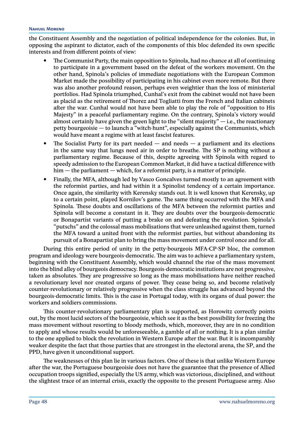the Constituent Assembly and the negotiation of political independence for the colonies. But, in opposing the aspirant to dictator, each of the components of this bloc defended its own specific interests and from different points of view:

- The Communist Party, the main opposition to Spinola, had no chance at all of continuing to participate in a government based on the defeat of the workers movement. On the other hand, Spinola's policies of immediate negotiations with the European Common Market made the possibility of participating in his cabinet even more remote. But there was also another profound reason, perhaps even weightier than the loss of ministerial portfolios. Had Spinola triumphed, Cunhal's exit from the cabinet would not have been as placid as the retirement of Thorez and Togliatti from the French and Italian cabinets after the war. Cunhal would not have been able to play the role of "opposition to His Majesty" in a peaceful parliamentary regime. On the contrary, Spinola's victory would almost certainly have given the green light to the "silent majority"  $-$  i.e., the reactionary petty bourgeoisie — to launch a "witch-hunt", especially against the Communists, which would have meant a regime with at least fascist features.
- The Socialist Party for its part needed  $-$  and needs  $-$  a parliament and its elections in the same way that lungs need air in order to breathe. The SP is nothing without a parliamentary regime. Because of this, despite agreeing with Spinola with regard to speedy admission to the European Common Market, it did have a tactical difference with  $him - the parliament - which, for a reformist party, is a matter of principle.$
- y Finally, the MFA, although led by Vasco Goncalves turned mostly to an agreement with the reformist parties, and had within it a Spinolist tendency of a certain importance. Once again, the similarity with Kerensky stands out. It is well known that Kerensky, up to a certain point, played Kornilov's game. The same thing occurred with the MFA and Spinola. These doubts and oscillations of the MFA between the reformist parties and Spinola will become a constant in it. They are doubts over the bourgeois-democratic or Bonapartist variants of putting a brake on and defeating the revolution. Spinola's "putschs" and the colossal mass mobilisations that were unleashed against them, turned the MFA toward a united front with the reformist parties, but without abandoning its pursuit of a Bonapartist plan to bring the mass movement under control once and for all.

During this entire period of unity in the petty-bourgeois MFA-CP-SP bloc, the common program and ideology were bourgeois-democratic. The aim was to achieve a parliamentary system, beginning with the Constituent Assembly, which would channel the rise of the mass movement into the blind alley of bourgeois democracy. Bourgeois-democratic institutions are not progressive, taken as absolutes. They are progressive so long as the mass mobilisations have neither reached a revolutionary level nor created organs of power. They cease being so, and become relatively counter-revolutionary or relatively progressive when the class struggle has advanced beyond the bourgeois-democratic limits. This is the case in Portugal today, with its organs of dual power: the workers and soldiers commissions.

This counter-revolutionary parliamentary plan is supported, as Horowitz correctly points out, by the most lucid sectors of the bourgeoisie, which see it as the best possibility for freezing the mass movement without resorting to bloody methods, which, moreover, they are in no condition to apply and whose results would be unforeseeable, a gamble of all or nothing. It is a plan similar to the one applied to block the revolution in Western Europe after the war. But it is incomparably weaker despite the fact that those parties that are strongest in the electoral arena, the SP, and the PPD, have given it unconditional support.

The weaknesses of this plan lie in various factors. One of these is that unlike Western Europe after the war, the Portuguese bourgeoisie does not have the guarantee that the presence of Allied occupation troops signified, especially the US army, which was victorious, disciplined, and without the slightest trace of an internal crisis, exactly the opposite to the present Portuguese army. Also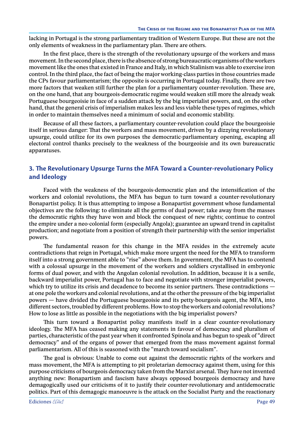lacking in Portugal is the strong parliamentary tradition of Western Europe. But these are not the only elements of weakness in the parliamentary plan. There are others.

In the first place, there is the strength of the revolutionary upsurge of the workers and mass movement. In the second place, there is the absence of strong bureaucratic organisms of the workers movement like the ones that existed in France and Italy, in which Stalinism was able to exercise iron control. In the third place, the fact of being the major working-class parties in those countries made the CPs favour parliamentarism; the opposite is occurring in Portugal today. Finally, there are two more factors that weaken still further the plan for a parliamentary counter-revolution. These are, on the one hand, that any bourgeois-democratic regime would weaken still more the already weak Portuguese bourgeoisie in face of a sudden attack by the big imperialist powers, and, on the other hand, that the general crisis of imperialism makes less and less viable these types of regimes, which in order to maintain themselves need a minimum of social and economic stability.

Because of all these factors, a parliamentary counter-revolution could place the bourgeoisie itself in serious danger: That the workers and mass movement, driven by a dizzying revolutionary upsurge, could utilize for its own purposes the democratic-parliamentary opening, escaping all electoral control thanks precisely to the weakness of the bourgeoisie and its own bureaucratic apparatuses.

# **3. The Revolutionary Upsurge Turns the MFA Toward a Counter-revolutionary Policy and Ideology**

Faced with the weakness of the bourgeois-democratic plan and the intensification of the workers and colonial revolutions, the MFA has begun to turn toward a counter-revolutionary Bonapartist policy. It is thus attempting to impose a Bonapartist government whose fundamental objectives are the following: to eliminate all the germs of dual power; take away from the masses the democratic rights they have won and block the conquest of new rights; continue to control the empire under a neo-colonial form (especially Angola); guarantee an upward trend in capitalist production; and negotiate from a position of strength their partnership with the senior imperialist powers.

The fundamental reason for this change in the MFA resides in the extremely acute contradictions that reign in Portugal, which make more urgent the need for the MFA to transform itself into a strong government able to "rise" above them. In government, the MFA has to contend with a colossal upsurge in the movement of the workers and soldiers crystallised in embryonic forms of dual power, and with the Angolan colonial revolution. In addition, because it is a senile, backward imperialist power, Portugal has to face and negotiate with stronger imperialist powers, which try to utilize its crisis and decadence to become its senior partners. These contradictions at one pole the workers and colonial revolutions, and at the other the pressure of the big imperialist powers — have divided the Portuguese bourgeoisie and its petty-bourgeois agent, the MFA, into different sectors, troubled by different problems. How to stop the workers and colonial revolutions? How to lose as little as possible in the negotiations with the big imperialist powers?

This turn toward a Bonapartist policy manifests itself in a clear counter-revolutionary ideology. The MFA has ceased making any statements in favour of democracy and pluralism of parties, characteristic of the past year when it confronted Spinola and has begun to speak of "direct democracy" and of the organs of power that emerged from the mass movement against formal parliamentarism. All of this is seasoned with the "march toward socialism".

The goal is obvious: Unable to come out against the democratic rights of the workers and mass movement, the MFA is attempting to pit proletarian democracy against them, using for this purpose criticisms of bourgeois democracy taken from the Marxist arsenal. They have not invented anything new: Bonapartism and fascism have always opposed bourgeois democracy and have demagogically used our criticisms of it to justify their counter-revolutionary and antidemocratic politics. Part of this demagogic manoeuvre is the attack on the Socialist Party and the reactionary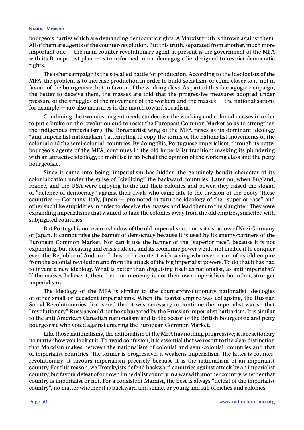bourgeois parties which are demanding democratic rights. A Marxist truth is thrown against them: All of them are agents of the counter-revolution. But this truth, separated from another, much more important one — the main counter-revolutionary agent at present is the government of the MFA with its Bonapartist plan — is transformed into a demagogic lie, designed to restrict democratic rights.

The other campaign is the so-called battle for production. According to the ideologists of the MFA, the problem is to increase production in order to build socialism, or come closer to it, not in favour of the bourgeoisie, but in favour of the working class. As part of this demagogic campaign, the better to deceive them, the masses are told that the progressive measures adopted under pressure of the struggles of the movement of the workers and the masses — the nationalisations for example — are also measures in the march toward socialism.

Combining the two most urgent needs (to deceive the working and colonial masses in order to put a brake on the revolution and to resist the European Common Market so as to strengthen the indigenous imperialism), the Bonapartist wing of the MFA raises as its dominant ideology "anti-imperialist nationalism", attempting to copy the forms of the nationalist movements of the colonial and the semi-colonial countries. By doing this, Portuguese imperialism, through its pettybourgeois agents of the MFA, continues in the old imperialist tradition: masking its plundering with an attractive ideology, to mobilise in its behalf the opinion of the working class and the petty bourgeoisie.

Since it came into being, imperialism has hidden the genuinely bandit character of its colonialization under the guise of "civilizing" the backward countries. Later on, when England, France, and the USA were enjoying to the full their colonies and power, they raised the slogan of "defence of democracy" against their rivals who came late to the division of the booty. These countries  $-$  Germany, Italy, Iapan  $-$  promoted in turn the ideology of the "superior race" and other suchlike stupidities in order to deceive the masses and lead them to the slaughter. They were expanding imperialisms that wanted to take the colonies away from the old empires, surfeited with subjugated countries.

But Portugal is not even a shadow of the old imperialisms, nor is it a shadow of Nazi Germany or Japan. It cannot raise the banner of democracy because it is used by its enemy-partners of the European Common Market. Nor can it use the banner of the "superior race", because it is not expanding, but decaying and crisis-ridden, and its economic power would not enable it to conquer even the Republic of Andorra. It has to be content with saving whatever it can of its old empire from the colonial revolution and from the attack of the big imperialist powers. To do that it has had to invent a new ideology. What is better than disguising itself as nationalist, as anti-imperialist? If the masses believe it, then their main enemy is not their own imperialism but other, stronger imperialisms.

The ideology of the MFA is similar to the counter-revolutionary nationalist ideologies of other small or decadent imperialisms. When the tsarist empire was collapsing, the Russian Social Revolutionaries discovered that it was necessary to continue the imperialist war so that "revolutionary" Russia would not be subjugated by the Prussian imperialist barbarism. It is similar to the anti-American Canadian nationalism and to the sector of the British bourgeoisie and petty bourgeoisie who voted against entering the European Common Market.

Like those nationalisms, the nationalism of the MFA has nothing progressive; it is reactionary no matter how you look at it. To avoid confusion, it is essential that we resort to the clear distinction that Marxism makes between the nationalism of colonial and semi-colonial countries and that of imperialist countries. The former is progressive; it weakens imperialism. The latter is counterrevolutionary; it favours imperialism precisely because it is the nationalism of an imperialist country. For this reason, we Trotskyists defend backward countries against attack by an imperialist country, but favour defeat of our own imperialist country in a war with another country, whether that country is imperialist or not. For a consistent Marxist, the best is always "defeat of the imperialist country", no matter whether it is backward and senile, or young and full of riches and colonies.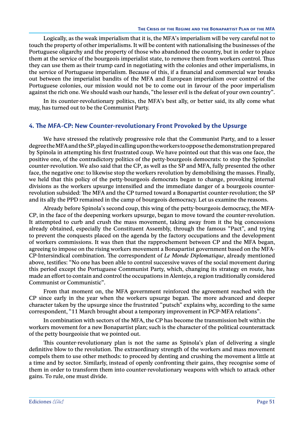Logically, as the weak imperialism that it is, the MFA's imperialism will be very careful not to touch the property of other imperialisms. It will be content with nationalising the businesses of the Portuguese oligarchy and the property of those who abandoned the country, but in order to place them at the service of the bourgeois imperialist state, to remove them from workers control. Thus they can use them as their trump card in negotiating with the colonies and other imperialisms, in the service of Portuguese imperialism. Because of this, if a financial and commercial war breaks out between the imperialist bandits of the MFA and European imperialism over control of the Portuguese colonies, our mission would not be to come out in favour of the poor imperialism against the rich one. We should wash our hands, "the lesser evil is the defeat of your own country".

In its counter-revolutionary politics, the MFA's best ally, or better said, its ally come what may, has turned out to be the Communist Party.

# **4. The MFA-CP: New Counter-revolutionary Front Provoked by the Upsurge**

We have stressed the relatively progressive role that the Communist Party, and to a lesser degree the MFA and the SP, played in calling upon the workers to oppose the demonstration prepared by Spinola in attempting his first frustrated coup. We have pointed out that this was one face, the positive one, of the contradictory politics of the petty-bourgeois democrats: to stop the Spinolist counter-revolution. We also said that the CP, as well as the SP and MFA, fully presented the other face, the negative one: to likewise stop the workers revolution by demobilising the masses. Finally, we held that this policy of the petty-bourgeois democrats began to change, provoking internal divisions as the workers upsurge intensified and the immediate danger of a bourgeois counterrevolution subsided: The MFA and the CP turned toward a Bonapartist counter-revolution; the SP and its ally the PPD remained in the camp of bourgeois democracy. Let us examine the reasons.

Already before Spinola's second coup, this wing of the petty-bourgeois democracy, the MFA-CP, in the face of the deepening workers upsurge, began to move toward the counter-revolution. It attempted to curb and crush the mass movement, taking away from it the big concessions already obtained, especially the Constituent Assembly, through the famous "Pact", and trying to prevent the conquests placed on the agenda by the factory occupations and the development of workers commissions. It was then that the rapprochement between CP and the MFA began, agreeing to impose on the rising workers movement a Bonapartist government based on the MFA-CP-Intersindical combination. The correspondent of *Le Monde Diplomatique*, already mentioned above, testifies: "No one has been able to control successive waves of the social movement during this period except the Portuguese Communist Party, which, changing its strategy en route, has made an effort to contain and control the occupations in Alentejo, a region traditionally considered Communist or Communistic".

From that moment on, the MFA government reinforced the agreement reached with the CP since early in the year when the workers upsurge began. The more advanced and deeper character taken by the upsurge since the frustrated "putsch" explains why, according to the same correspondent, "11 March brought about a temporary improvement in PCP-MFA relations".

In combination with sectors of the MFA, the CP has become the transmission belt within the workers movement for a new Bonapartist plan; such is the character of the political counterattack of the petty bourgeoisie that we pointed out.

This counter-revolutionary plan is not the same as Spinola's plan of delivering a single definitive blow to the revolution. The extraordinary strength of the workers and mass movement compels them to use other methods: to proceed by denting and crushing the movement a little at a time and by sector. Similarly, instead of openly confronting their gains, they recognise some of them in order to transform them into counter-revolutionary weapons with which to attack other gains. To rule, one must divide.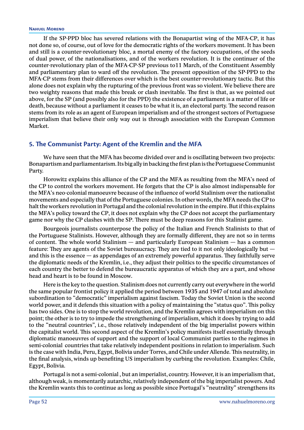If the SP-PPD bloc has severed relations with the Bonapartist wing of the MFA-CP, it has not done so, of course, out of love for the democratic rights of the workers movement. It has been and still is a counter-revolutionary bloc, a mortal enemy of the factory occupations, of the seeds of dual power, of the nationalisations, and of the workers revolution. It is the continuer of the counter-revolutionary plan of the MFA-CP-SP previous to11 March, of the Constituent Assembly and parliamentary plan to ward off the revolution. The present opposition of the SP-PPD to the MFA-CP stems from their differences over which is the best counter-revolutionary tactic. But this alone does not explain why the rupturing of the previous front was so violent. We believe there are two weighty reasons that made this break or clash inevitable. The first is that, as we pointed out above, for the SP (and possibly also for the PPD) the existence of a parliament is a matter of life or death, because without a parliament it ceases to be what it is, an electoral party. The second reason stems from its role as an agent of European imperialism and of the strongest sectors of Portuguese imperialism that believe their only way out is through association with the European Common Market.

## **5. The Communist Party: Agent of the Kremlin and the MFA**

We have seen that the MFA has become divided over and is oscillating between two projects: Bonapartism and parliamentarism. Its big ally in backing the first plan is the Portuguese Communist Party.

Horowitz explains this alliance of the CP and the MFA as resulting from the MFA's need of the CP to control the workers movement. He forgets that the CP is also almost indispensable for the MFA's neo-colonial manoeuvre because of the influence of world Stalinism over the nationalist movements and especially that of the Portuguese colonies. In other words, the MFA needs the CP to halt the workers revolution in Portugal and the colonial revolution in the empire. But if this explains the MFA's policy toward the CP, it does not explain why the CP does not accept the parliamentary game nor why the CP clashes with the SP. There must be deep reasons for this Stalinist game.

Bourgeois journalists counterpose the policy of the Italian and French Stalinists to that of the Portuguese Stalinists. However, although they are formally different, they are not so in terms of content. The whole world Stalinism — and particularly European Stalinism — has a common feature: They are agents of the Soviet bureaucracy. They are tied to it not only ideologically but and this is the essence — as appendages of an extremely powerful apparatus. They faithfully serve the diplomatic needs of the Kremlin, i.e., they adjust their politics to the specific circumstances of each country the better to defend the bureaucratic apparatus of which they are a part, and whose head and heart is to be found in Moscow.

Here is the key to the question. Stalinism does not currently carry out everywhere in the world the same popular frontist policy it applied the period between 1935 and 1947 of total and absolute subordination to "democratic" imperialism against fascism. Today the Soviet Union is the second world power, and it defends this situation with a policy of maintaining the "status quo". This policy has two sides. One is to stop the world revolution, and the Kremlin agrees with imperialism on this point; the other is to try to impede the strengthening of imperialism, which it does by trying to add to the "neutral countries", i.e., those relatively independent of the big imperialist powers within the capitalist world. This second aspect of the Kremlin's policy manifests itself essentially through diplomatic manoeuvres of support and the support of local Communist parties to the regimes in semi-colonial countries that take relatively independent positions in relation to imperialism. Such is the case with India, Peru, Egypt, Bolivia under Torres, and Chile under Allende. This neutrality, in the final analysis, winds up benefiting US imperialism by curbing the revolution. Examples: Chile, Egypt, Bolivia.

Portugal is not a semi-colonial , but an imperialist, country. However, it is an imperialism that, although weak, is momentarily autarchic, relatively independent of the big imperialist powers. And the Kremlin wants this to continue as long as possible since Portugal's "neutrality" strengthens its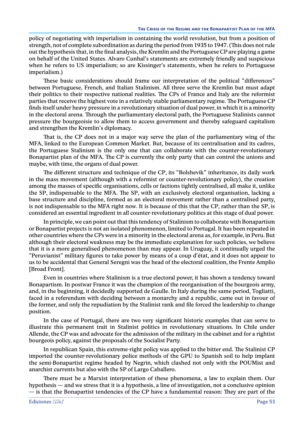policy of negotiating with imperialism in containing the world revolution, but from a position of strength, not of complete subordination as during the period from 1935 to 1947. (This does not rule out the hypothesis that, in the final analysis, the Kremlin and the Portuguese CP are playing a game on behalf of the United States. Alvaro Cunhal's statements are extremely friendly and suspicious when he refers to US imperialism; so are Kissinger's statements, when he refers to Portuguese imperialism.)

These basic considerations should frame our interpretation of the political "differences" between Portuguese, French, and Italian Stalinism. All three serve the Kremlin but must adapt their politics to their respective national realities. The CPs of France and Italy are the reformist parties that receive the highest vote in a relatively stable parliamentary regime. The Portuguese CP finds itself under heavy pressure in a revolutionary situation of dual power, in which it is a minority in the electoral arena. Through the parliamentary electoral path, the Portuguese Stalinists cannot pressure the bourgeoisie to allow them to access government and thereby safeguard capitalism and strengthen the Kremlin's diplomacy.

That is, the CP does not in a major way serve the plan of the parliamentary wing of the MFA, linked to the European Common Market. But, because of its centralisation and its cadres, the Portuguese Stalinism is the only one that can collaborate with the counter-revolutionary Bonapartist plan of the MFA. The CP is currently the only party that can control the unions and maybe, with time, the organs of dual power.

The different structure and technique of the CP, its "Bolshevik" inheritance, its daily work in the mass movement (although with a reformist or counter-revolutionary policy), the creation among the masses of specific organisations, cells or factions tightly centralised, all make it, unlike the SP, indispensable to the MFA. The SP, with an exclusively electoral organisation, lacking a base structure and discipline, formed as an electoral movement rather than a centralised party, is not indispensable to the MFA right now. It is because of this that the CP, rather than the SP, is considered an essential ingredient in all counter-revolutionary politics at this stage of dual power.

In principle, we can point out that this tendency of Stalinism to collaborate with Bonapartism or Bonapartist projects is not an isolated phenomenon, limited to Portugal. It has been repeated in other countries where the CPs were in a minority in the electoral arena as, for example, in Peru. But although their electoral weakness may be the immediate explanation for such policies, we believe that it is a more generalised phenomenon than may appear. In Uruguay, it continually urged the "Peruvianist" military figures to take power by means of a coup d'état, and it does not appear to us to be accidental that General Seregni was the head of the electoral coalition, the Frente Amplio [Broad Front].

Even in countries where Stalinism is a true electoral power, it has shown a tendency toward Bonapartism. In postwar France it was the champion of the reorganisation of the bourgeois army, and, in the beginning, it decidedly supported de Gaulle. In Italy during the same period, Togliatti, faced in a referendum with deciding between a monarchy and a republic, came out in favour of the former, and only the repudiation by the Stalinist rank and file forced the leadership to change position.

In the case of Portugal, there are two very significant historic examples that can serve to illustrate this permanent trait in Stalinist politics in revolutionary situations. In Chile under Allende, the CP was and advocate for the admission of the military in the cabinet and for a rightist bourgeois policy, against the proposals of the Socialist Party.

In republican Spain, this extreme-right policy was applied to the bitter end. The Stalinist CP imported the counter-revolutionary police methods of the GPU to Spanish soil to help implant the semi-Bonapartist regime headed by Negrin, which clashed not only with the POUMist and anarchist currents but also with the SP of Largo Caballero.

There must be a Marxist interpretation of these phenomena, a law to explain them. Our hypothesis — and we stress that it is a hypothesis, a line of investigation, not a conclusive opinion — is that the Bonapartist tendencies of the CP have a fundamental reason: They are part of the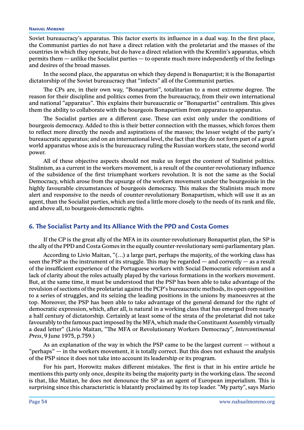Soviet bureaucracy's apparatus. This factor exerts its influence in a dual way. In the first place, the Communist parties do not have a direct relation with the proletariat and the masses of the countries in which they operate, but do have a direct relation with the Kremlin's apparatus, which permits them — unlike the Socialist parties — to operate much more independently of the feelings and desires of the broad masses.

In the second place, the apparatus on which they depend is Bonapartist; it is the Bonapartist dictatorship of the Soviet bureaucracy that "infects" all of the Communist parties.

The CPs are, in their own way, "Bonapartist", totalitarian to a most extreme degree. The reason for their discipline and politics comes from the bureaucracy, from their own international and national "apparatus". This explains their bureaucratic or "Bonapartist" centralism. This gives them the ability to collaborate with the bourgeois Bonapartism from apparatus to apparatus.

The Socialist parties are a different case. These can exist only under the conditions of bourgeois democracy. Added to this is their better connection with the masses, which forces them to reflect more directly the needs and aspirations of the masses; the lesser weight of the party's bureaucratic apparatus; and on an international level, the fact that they do not form part of a great world apparatus whose axis is the bureaucracy ruling the Russian workers state, the second world power.

All of these objective aspects should not make us forget the content of Stalinist politics. Stalinism, as a current in the workers movement, is a result of the counter-revolutionary influence of the subsidence of the first triumphant workers revolution. It is not the same as the Social Democracy, which arose from the upsurge of the workers movement under the bourgeoisie in the highly favourable circumstances of bourgeois democracy. This makes the Stalinists much more alert and responsive to the needs of counter-revolutionary Bonapartism, which will use it as an agent, than the Socialist parties, which are tied a little more closely to the needs of its rank and file, and above all, to bourgeois-democratic rights.

# **6. The Socialist Party and Its Alliance With the PPD and Costa Gomes**

If the CP is the great ally of the MFA in its counter-revolutionary Bonapartist plan, the SP is the ally of the PPD and Costa Gomes in the equally counter-revolutionary semi-parliamentary plan.

According to Livio Maitan, "(…) a large part, perhaps the majority, of the working class has seen the PSP as the instrument of its struggle. This may be regarded  $-$  and correctly  $-$  as a result of the insufficient experience of the Portuguese workers with Social Democratic reformism and a lack of clarity about the roles actually played by the various formations in the workers movement. But, at the same time, it must be understood that the PSP has been able to take advantage of the revulsion of sections of the proletariat against the PCP's bureaucratic methods, its open opposition to a series of struggles, and its seizing the leading positions in the unions by manoeuvres at the top. Moreover, the PSP has been able to take advantage of the general demand for the right of democratic expression, which, after all, is natural in a working class that has emerged from nearly a half century of dictatorship. Certainly at least some of the strata of the proletariat did not take favourably to the famous pact imposed by the MFA, which made the Constituent Assembly virtually a dead letter" (Livio Maitan, "The MFA or Revolutionary Workers Democracy", *Intercontinental Press*, 9 June 1975, p.759.)

As an explanation of the way in which the PSP came to be the largest current — without a "perhaps" — in the workers movement, it is totally correct. But this does not exhaust the analysis of the PSP since it does not take into account its leadership or its program.

For his part, Horowitz makes different mistakes. The first is that in his entire article he mentions this party only once, despite its being the majority party in the working class. The second is that, like Maitan, he does not denounce the SP as an agent of European imperialism. This is surprising since this characteristic is blatantly proclaimed by its top leader. "My party", says Mario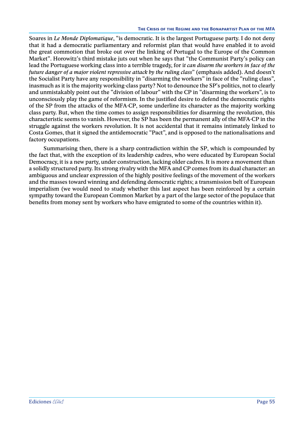Soares in *Le Monde Diplomatique*, "is democratic. It is the largest Portuguese party. I do not deny that it had a democratic parliamentary and reformist plan that would have enabled it to avoid the great commotion that broke out over the linking of Portugal to the Europe of the Common Market". Horowitz's third mistake juts out when he says that "the Communist Party's policy can lead the Portuguese working class into a terrible tragedy, for i*t can disarm the workers in face of the future danger of a major violent repressive attack by the ruling class*" (emphasis added). And doesn't the Socialist Party have any responsibility in "disarming the workers" in face of the "ruling class", inasmuch as it is the majority working-class party? Not to denounce the SP's politics, not to clearly and unmistakably point out the "division of labour" with the CP in "disarming the workers", is to unconsciously play the game of reformism. In the justified desire to defend the democratic rights of the SP from the attacks of the MFA-CP, some underline its character as the majority working class party. But, when the time comes to assign responsibilities for disarming the revolution, this characteristic seems to vanish. However, the SP has been the permanent ally of the MFA-CP in the struggle against the workers revolution. It is not accidental that it remains intimately linked to Costa Gomes, that it signed the antidemocratic "Pact", and is opposed to the nationalisations and factory occupations.

Summarising then, there is a sharp contradiction within the SP, which is compounded by the fact that, with the exception of its leadership cadres, who were educated by European Social Democracy, it is a new party, under construction, lacking older cadres. It is more a movement than a solidly structured party. Its strong rivalry with the MFA and CP comes from its dual character: an ambiguous and unclear expression of the highly positive feelings of the movement of the workers and the masses toward winning and defending democratic rights; a transmission belt of European imperialism (we would need to study whether this last aspect has been reinforced by a certain sympathy toward the European Common Market by a part of the large sector of the populace that benefits from money sent by workers who have emigrated to some of the countries within it).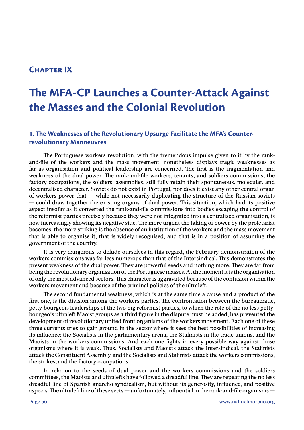# **Chapter IX**

# **The MFA-CP Launches a Counter-Attack Against the Masses and the Colonial Revolution**

# **1. The Weaknesses of the Revolutionary Upsurge Facilitate the MFA's Counterrevolutionary Manoeuvres**

The Portuguese workers revolution, with the tremendous impulse given to it by the rankand-file of the workers and the mass movement, nonetheless displays tragic weaknesses as far as organisation and political leadership are concerned. The first is the fragmentation and weakness of the dual power. The rank-and-file workers, tenants, and soldiers commissions, the factory occupations, the soldiers' assemblies, still fully retain their spontaneous, molecular, and decentralised character. Soviets do not exist in Portugal, nor does it exist any other central organ of workers power that — while not necessarily duplicating the structure of the Russian soviets — could draw together the existing organs of dual power. This situation, which had its positive aspect insofar as it converted the rank-and-file commissions into bodies escaping the control of the reformist parties precisely because they were not integrated into a centralised organisation, is now increasingly showing its negative side. The more urgent the taking of power by the proletariat becomes, the more striking is the absence of an institution of the workers and the mass movement that is able to organise it, that is widely recognised, and that is in a position of assuming the government of the country.

It is very dangerous to delude ourselves in this regard, the February demonstration of the workers commissions was far less numerous than that of the Intersindical. This demonstrates the present weakness of the dual power. They are powerful seeds and nothing more. They are far from being the revolutionary organisation of the Portuguese masses. At the moment it is the organisation of only the most advanced sectors. This character is aggravated because of the confusion within the workers movement and because of the criminal policies of the ultraleft.

The second fundamental weakness, which is at the same time a cause and a product of the first one, is the division among the workers parties. The confrontation between the bureaucratic, petty-bourgeois leaderships of the two big reformist parties, to which the role of the no less pettybourgeois ultraleft Maoist groups as a third figure in the dispute must be added, has prevented the development of revolutionary united front organisms of the workers movement. Each one of these three currents tries to gain ground in the sector where it sees the best possibilities of increasing its influence: the Socialists in the parliamentary arena, the Stalinists in the trade unions, and the Maoists in the workers commissions. And each one fights in every possible way against those organisms where it is weak. Thus, Socialists and Maoists attack the Intersindical, the Stalinists attack the Constituent Assembly, and the Socialists and Stalinists attack the workers commissions, the strikes, and the factory occupations.

In relation to the seeds of dual power and the workers commissions and the soldiers committees, the Maoists and ultralefts have followed a dreadful line. They are repeating the no less dreadful line of Spanish anarcho-syndicalism, but without its generosity, influence, and positive aspects. The ultraleft line of these sects — unfortunately, influential in the rank-and-file organisms —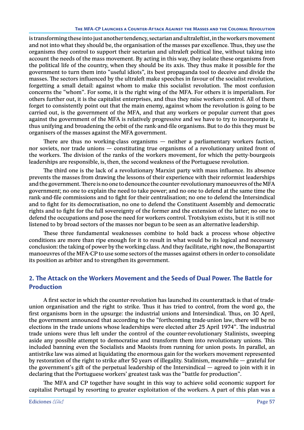#### **The MFA-CP Launches a Counter-Attack Against the Masses and the Colonial Revolution**

is transforming these into just another tendency, sectarian and ultraleftist, in the workers movement and not into what they should be, the organisation of the masses par excellence. Thus, they use the organisms they control to support their sectarian and ultraleft political line, without taking into account the needs of the mass movement. By acting in this way, they isolate these organisms from the political life of the country, when they should be its axis. They thus make it possible for the government to turn them into "useful idiots", its best propaganda tool to deceive and divide the masses. The sectors influenced by the ultraleft make speeches in favour of the socialist revolution, forgetting a small detail: against whom to make this socialist revolution. The most confusion concerns the "whom". For some, it is the right wing of the MFA. For others it is imperialism. For others further out, it is the capitalist enterprises, and thus they raise workers control. All of them forget to consistently point out that the main enemy, against whom the revolution is going to be carried out, is the government of the MFA, and that any workers or popular current that goes against the government of the MFA is relatively progressive and we have to try to incorporate it, thus unifying and broadening the orbit of the rank-and-file organisms. But to do this they must be organisers of the masses against the MFA government.

There are thus no working-class organisms — neither a parliamentary workers faction, nor soviets, nor trade unions — constituting true organisms of a revolutionary united front of the workers. The division of the ranks of the workers movement, for which the petty-bourgeois leaderships are responsible, is, then, the second weakness of the Portuguese revolution.

The third one is the lack of a revolutionary Marxist party with mass influence. Its absence prevents the masses from drawing the lessons of their experience with their reformist leaderships and the government. There is no one to denounce the counter-revolutionary manoeuvres of the MFA government; no one to explain the need to take power; and no one to defend at the same time the rank-and-file commissions and to fight for their centralisation; no one to defend the Intersindical and to fight for its democratisation, no one to defend the Constituent Assembly and democratic rights and to fight for the full sovereignty of the former and the extension of the latter; no one to defend the occupations and pose the need for workers control. Trotskyism exists, but it is still not listened to by broad sectors of the masses nor begun to be seen as an alternative leadership.

These three fundamental weaknesses combine to hold back a process whose objective conditions are more than ripe enough for it to result in what would be its logical and necessary conclusion: the taking of power by the working class. And they facilitate, right now, the Bonapartist manoeuvres of the MFA-CP to use some sectors of the masses against others in order to consolidate its position as arbiter and to strengthen its government.

# **2. The Attack on the Workers Movement and the Seeds of Dual Power. The Battle for Production**

A first sector in which the counter-revolution has launched its counterattack is that of tradeunion organisation and the right to strike. Thus it has tried to control, from the word go, the first organisms born in the upsurge: the industrial unions and Intersindical. Thus, on 30 April, the government announced that according to the "forthcoming trade-union law, there will be no elections in the trade unions whose leaderships were elected after 25 April 1974". The industrial trade unions were thus left under the control of the counter-revolutionary Stalinists, sweeping aside any possible attempt to democratise and transform them into revolutionary unions. This included banning even the Socialists and Maoists from running for union posts. In parallel, an antistrike law was aimed at liquidating the enormous gain for the workers movement represented by restoration of the right to strike after 50 years of illegality. Stalinism, meanwhile — grateful for the government's gift of the perpetual leadership of the Intersindical — agreed to join with it in declaring that the Portuguese workers' greatest task was the "battle for production".

The MFA and CP together have sought in this way to achieve solid economic support for capitalist Portugal by resorting to greater exploitation of the workers. A part of this plan was a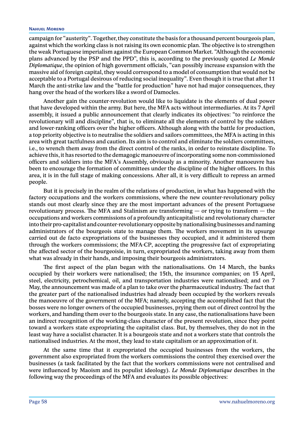#### **Nahuel Moreno**

campaign for "austerity". Together, they constitute the basis for a thousand percent bourgeois plan, against which the working class is not raising its own economic plan. The objective is to strengthen the weak Portuguese imperialism against the European Common Market. "Although the economic plans advanced by the PSP and the PPD", this is, according to the previously quoted *Le Monde Diplomatique*, the opinion of high government officials, "can possibly increase expansion with the massive aid of foreign capital, they would correspond to a model of consumption that would not be acceptable to a Portugal desirous of reducing social inequality". Even though it is true that after 11 March the anti-strike law and the "battle for production" have not had major consequences, they hang over the head of the workers like a sword of Damocles.

Another gain the counter-revolution would like to liquidate is the elements of dual power that have developed within the army. But here, the MFA acts without intermediaries. At its 7 April assembly, it issued a public announcement that clearly indicates its objectives: "to reinforce the revolutionary will and discipline", that is, to eliminate all the elements of control by the soldiers and lower-ranking officers over the higher officers. Although along with the battle for production, a top priority objective is to neutralise the soldiers and sailors committees, the MFA is acting in this area with great tactfulness and caution. Its aim is to control and eliminate the soldiers committees, i.e., to wrench them away from the direct control of the ranks, in order to reinstate discipline. To achieve this, it has resorted to the demagogic manoeuvre of incorporating some non-commissioned officers and soldiers into the MFA's Assembly, obviously as a minority. Another manoeuvre has been to encourage the formation of committees under the discipline of the higher officers. In this area, it is in the full stage of making concessions. After all, it is very difficult to repress an armed people.

But it is precisely in the realm of the relations of production, in what has happened with the factory occupations and the workers commissions, where the new counter-revolutionary policy stands out most clearly since they are the most important advances of the present Portuguese revolutionary process. The MFA and Stalinism are transforming — or trying to transform — the occupations and workers commissions of a profoundly anticapitalistic and revolutionary character into their pro-capitalist and counter-revolutionary opposite by nationalising businesses and naming administrators of the bourgeois state to manage them. The workers movement in its upsurge carried out de facto expropriations of the businesses they occupied, and it administered them through the workers commissions; the MFA-CP, accepting the progressive fact of expropriating the affected sector of the bourgeoisie, in turn, expropriated the workers, taking away from them what was already in their hands, and imposing their bourgeois administrators.

The first aspect of the plan began with the nationalisations. On 14 March, the banks occupied by their workers were nationalised; the 15th, the insurance companies; on 15 April, steel, electricity, petrochemical, oil, and transportation industries were nationalised; and on 7 May, the announcement was made of a plan to take over the pharmaceutical industry. The fact that the greater part of the nationalised industries had already been occupied by the workers reveals the manoeuvre of the government of the MFA; namely, accepting the accomplished fact that the bosses were no longer owners of the occupied businesses, prying them out of direct control by the workers, and handing them over to the bourgeois state. In any case, the nationalisations have been an indirect recognition of the working-class character of the present revolution, since they point toward a workers state expropriating the capitalist class. But, by themselves, they do not in the least way have a socialist character. It is a bourgeois state and not a workers state that controls the nationalised industries. At the most, they lead to state capitalism or an approximation of it.

At the same time that it expropriated the occupied businesses from the workers, the government also expropriated from the workers commissions the control they exercised over the businesses (a task facilitated by the fact that the workers commissions were not centralised and were influenced by Maoism and its populist ideology). *Le Monde Diplomatique* describes in the following way the proceedings of the MFA and evaluates its possible objectives: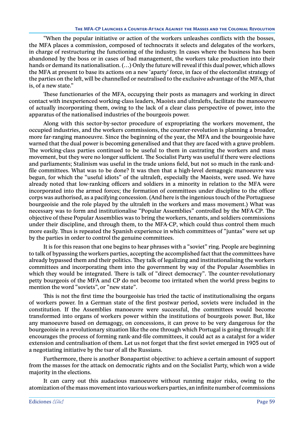"When the popular initiative or action of the workers unleashes conflicts with the bosses, the MFA places a commission, composed of technocrats it selects and delegates of the workers, in charge of restructuring the functioning of the industry. In cases where the business has been abandoned by the boss or in cases of bad management, the workers take production into their hands or demand its nationalisation. (…) Only the future will reveal if this dual power, which allows the MFA at present to base its actions on a new 'aparty' force, in face of the electoralist strategy of the parties on the left, will be channelled or neutralised to the exclusive advantage of the MFA, that is, of a new state."

These functionaries of the MFA, occupying their posts as managers and working in direct contact with inexperienced working-class leaders, Maoists and ultralefts, facilitate the manoeuvre of actually incorporating them, owing to the lack of a clear class perspective of power, into the apparatus of the nationalised industries of the bourgeois power.

Along with this sector-by-sector procedure of expropriating the workers movement, the occupied industries, and the workers commissions, the counter-revolution is planning a broader, more far-ranging manoeuvre. Since the beginning of the year, the MFA and the bourgeoisie have warned that the dual power is becoming generalised and that they are faced with a grave problem. The working-class parties continued to be useful to them in castrating the workers and mass movement, but they were no longer sufficient. The Socialist Party was useful if there were elections and parliaments; Stalinism was useful in the trade unions field, but not so much in the rank-andfile committees. What was to be done? It was then that a high-level demagogic manoeuvre was begun, for which the "useful idiots" of the ultraleft, especially the Maoists, were used. We have already noted that low-ranking officers and soldiers in a minority in relation to the MFA were incorporated into the armed forces; the formation of committees under discipline to the officer corps was authorised, as a pacifying concession. (And here is the ingenious touch of the Portuguese bourgeoisie and the role played by the ultraleft in the workers and mass movement.) What was necessary was to form and institutionalise "Popular Assemblies" controlled by the MFA-CP. The objective of these Popular Assemblies was to bring the workers, tenants, and soldiers commissions under their discipline, and through them, to the MFA-CP, which could thus control them much more easily. Thus is repeated the Spanish experience in which committees of "juntas" were set up by the parties in order to control the genuine committees.

It is for this reason that one begins to hear phrases with a "soviet" ring. People are beginning to talk of bypassing the workers parties, accepting the accomplished fact that the committees have already bypassed them and their politics. They talk of legalizing and institutionalising the workers committees and incorporating them into the government by way of the Popular Assemblies in which they would be integrated. There is talk of "direct democracy". The counter-revolutionary petty bourgeois of the MFA and CP do not become too irritated when the world press begins to mention the word "soviets", or "new state".

This is not the first time the bourgeoisie has tried the tactic of institutionalising the organs of workers power. In a German state of the first postwar period, soviets were included in the constitution. If the Assemblies manoeuvre were successful, the committees would become transformed into organs of workers power within the institutions of bourgeois power. But, like any manoeuvre based on demagogy, on concessions, it can prove to be very dangerous for the bourgeoisie in a revolutionary situation like the one through which Portugal is going through: If it encourages the process of forming rank-and-file committees, it could act as a catalyst for a wider extension and centralisation of them. Let us not forget that the first soviet emerged in 1905 out of a negotiating initiative by the tsar of all the Russians.

Furthermore, there is another Bonapartist objective: to achieve a certain amount of support from the masses for the attack on democratic rights and on the Socialist Party, which won a wide majority in the elections.

It can carry out this audacious manoeuvre without running major risks, owing to the atomization of the mass movement into various workers parties, an infinite number of commissions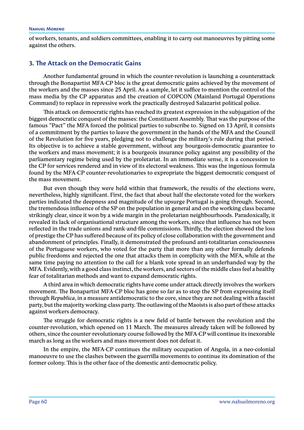of workers, tenants, and soldiers committees, enabling it to carry out manoeuvres by pitting some against the others.

# **3. The Attack on the Democratic Gains**

Another fundamental ground in which the counter-revolution is launching a counterattack through the Bonapartist MFA-CP bloc is the great democratic gains achieved by the movement of the workers and the masses since 25 April. As a sample, let it suffice to mention the control of the mass media by the CP apparatus and the creation of COPCON (Mainland Portugal Operations Command) to replace in repressive work the practically destroyed Salazarist political police.

This attack on democratic rights has reached its greatest expression in the subjugation of the biggest democratic conquest of the masses: the Constituent Assembly. That was the purpose of the famous "Pact" the MFA forced the political parties to subscribe to. Signed on 13 April, it consists of a commitment by the parties to leave the government in the hands of the MFA and the Council of the Revolution for five years, pledging not to challenge the military's rule during that period. Its objective is to achieve a stable government, without any bourgeois-democratic guarantee to the workers and mass movement; it is a bourgeois insurance policy against any possibility of the parliamentary regime being used by the proletariat. In an immediate sense, it is a concession to the CP for services rendered and in view of its electoral weakness. This was the ingenious formula found by the MFA-CP counter-revolutionaries to expropriate the biggest democratic conquest of the mass movement.

But even though they were held within that framework, the results of the elections were, nevertheless, highly significant. First, the fact that about half the electorate voted for the workers parties indicated the deepness and magnitude of the upsurge Portugal is going through. Second, the tremendous influence of the SP on the population in general and on the working class became strikingly clear, since it won by a wide margin in the proletarian neighbourhoods. Paradoxically, it revealed its lack of organisational structure among the workers, since that influence has not been reflected in the trade unions and rank-and-file commissions. Thirdly, the election showed the loss of prestige the CP has suffered because of its policy of close collaboration with the government and abandonment of principles. Finally, it demonstrated the profound anti-totalitarian consciousness of the Portuguese workers, who voted for the party that more than any other formally defends public freedoms and rejected the one that attacks them in complicity with the MFA, while at the same time paying no attention to the call for a blank vote spread in an underhanded way by the MFA. Evidently, with a good class instinct, the workers, and sectors of the middle class feel a healthy fear of totalitarian methods and want to expand democratic rights.

A third area in which democratic rights have come under attack directly involves the workers movement. The Bonapartist MFA-CP bloc has gone so far as to stop the SP from expressing itself through *Republica*, in a measure antidemocratic to the core, since they are not dealing with a fascist party, but the majority working-class party. The outlawing of the Maoists is also part of these attacks against workers democracy.

The struggle for democratic rights is a new field of battle between the revolution and the counter-revolution, which opened on 11 March. The measures already taken will be followed by others, since the counter-revolutionary course followed by the MFA-CP will continue its inexorable march as long as the workers and mass movement does not defeat it.

In the empire, the MFA-CP continues the military occupation of Angola, in a neo-colonial manoeuvre to use the clashes between the guerrilla movements to continue its domination of the former colony. This is the other face of the domestic anti-democratic policy.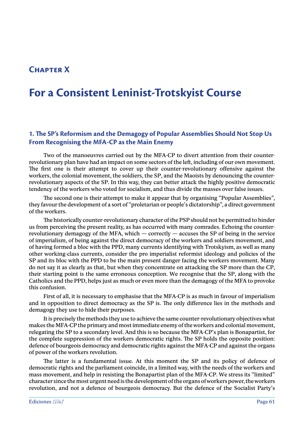# **Chapter X**

# **For a Consistent Leninist-Trotskyist Course**

# **1. The SP's Reformism and the Demagogy of Popular Assemblies Should Not Stop Us From Recognising the MFA-CP as the Main Enemy**

Two of the manoeuvres carried out by the MFA-CP to divert attention from their counterrevolutionary plan have had an impact on some sectors of the left, including of our own movement. The first one is their attempt to cover up their counter-revolutionary offensive against the workers, the colonial movement, the soldiers, the SP, and the Maoists by denouncing the counterrevolutionary aspects of the SP. In this way, they can better attack the highly positive democratic tendency of the workers who voted for socialism, and thus divide the masses over false issues.

The second one is their attempt to make it appear that by organising "Popular Assemblies", they favour the development of a sort of "proletarian or people's dictatorship", a direct government of the workers.

The historically counter-revolutionary character of the PSP should not be permitted to hinder us from perceiving the present reality, as has occurred with many comrades. Echoing the counterrevolutionary demagogy of the MFA, which  $-$  correctly  $-$  accuses the SP of being in the service of imperialism, of being against the direct democracy of the workers and soldiers movement, and of having formed a bloc with the PPD, many currents identifying with Trotskyism, as well as many other working-class currents, consider the pro imperialist reformist ideology and policies of the SP and its bloc with the PPD to be the main present danger facing the workers movement. Many do not say it as clearly as that, but when they concentrate on attacking the SP more than the CP, their starting point is the same erroneous conception. We recognise that the SP, along with the Catholics and the PPD, helps just as much or even more than the demagogy of the MFA to provoke this confusion.

First of all, it is necessary to emphasise that the MFA-CP is as much in favour of imperialism and in opposition to direct democracy as the SP is. The only difference lies in the methods and demagogy they use to hide their purposes.

It is precisely the methods they use to achieve the same counter-revolutionary objectives what makes the MFA-CP the primary and most immediate enemy of the workers and colonial movement, relegating the SP to a secondary level. And this is so because the MFA-CP's plan is Bonapartist, for the complete suppression of the workers democratic rights. The SP holds the opposite position: defence of bourgeois democracy and democratic rights against the MFA-CP and against the organs of power of the workers revolution.

The latter is a fundamental issue. At this moment the SP and its policy of defence of democratic rights and the parliament coincide, in a limited way, with the needs of the workers and mass movement, and help in resisting the Bonapartist plan of the MFA-CP. We stress its "limited" character since the most urgent need is the development of the organs of workers power, the workers revolution, and not a defence of bourgeois democracy. But the defence of the Socialist Party's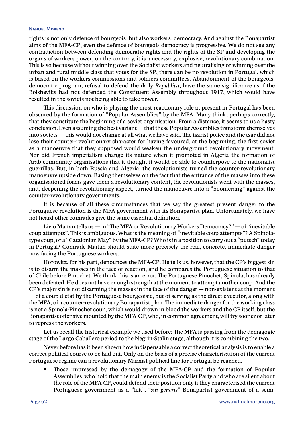### **Nahuel Moreno**

rights is not only defence of bourgeois, but also workers, democracy. And against the Bonapartist aims of the MFA-CP, even the defence of bourgeois democracy is progressive. We do not see any contradiction between defending democratic rights and the rights of the SP and developing the organs of workers power; on the contrary, it is a necessary, explosive, revolutionary combination. This is so because without winning over the Socialist workers and neutralising or winning over the urban and rural middle class that votes for the SP, there can be no revolution in Portugal, which is based on the workers commissions and soldiers committees. Abandonment of the bourgeoisdemocratic program, refusal to defend the daily *Republica*, have the same significance as if the Bolsheviks had not defended the Constituent Assembly throughout 1917, which would have resulted in the soviets not being able to take power.

This discussion on who is playing the most reactionary role at present in Portugal has been obscured by the formation of "Popular Assemblies" by the MFA. Many think, perhaps correctly, that they constitute the beginning of a soviet organisation. From a distance, it seems to us a hasty conclusion. Even assuming the best variant — that these Popular Assemblies transform themselves into soviets — this would not change at all what we have said. The tsarist police and the tsar did not lose their counter-revolutionary character for having favoured, at the beginning, the first soviet as a manoeuvre that they supposed would weaken the underground revolutionary movement. Nor did French imperialism change its nature when it promoted in Algeria the formation of Arab community organisations that it thought it would be able to counterpose to the nationalist guerrillas. But, in both Russia and Algeria, the revolutionists turned the counter-revolutionary manoeuvre upside down. Basing themselves on the fact that the entrance of the masses into these organisational forms gave them a revolutionary content, the revolutionists went with the masses, and, deepening the revolutionary aspect, turned the manoeuvre into a "boomerang" against the counter-revolutionary governments.

It is because of all these circumstances that we say the greatest present danger to the Portuguese revolution is the MFA government with its Bonapartist plan. Unfortunately, we have not heard other comrades give the same essential definition.

Livio Maitan tells us  $-$  in "The MFA or Revolutionary Workers Democracy?"  $-$  of "inevitable" coup attempts". This is ambiguous. What is the meaning of "inevitable coup attempts"? A Spínolatype coup, or a "Catalonian May" by the MFA-CP? Who is in a position to carry out a "putsch" today in Portugal? Comrade Maitan should state more precisely the real, concrete, immediate danger now facing the Portuguese workers.

Horowitz, for his part, denounces the MFA-CP. He tells us, however, that the CP's biggest sin is to disarm the masses in the face of reaction, and he compares the Portuguese situation to that of Chile before Pinochet. We think this is an error. The Portuguese Pinochet, Spinola, has already been defeated. He does not have enough strength at the moment to attempt another coup. And the  $CP$ 's major sin is not disarming the masses in the face of the danger  $-$  non-existent at the moment — of a coup d'état by the Portuguese bourgeoisie, but of serving as the direct executor, along with the MFA, of a counter-revolutionary Bonapartist plan. The immediate danger for the working class is not a Spinola-Pinochet coup, which would drown in blood the workers and the CP itself, but the Bonapartist offensive mounted by the MFA-CP, who, in common agreement, will try sooner or later to repress the workers.

Let us recall the historical example we used before: The MFA is passing from the demagogic stage of the Largo Caballero period to the Negrin-Stalin stage, although it is combining the two.

Never before has it been shown how indispensable a correct theoretical analysis is to enable a correct political course to be laid out. Only on the basis of a precise characterisation of the current Portuguese regime can a revolutionary Marxist political line for Portugal be reached.

Those impressed by the demagogy of the MFA-CP and the formation of Popular Assemblies, who hold that the main enemy is the Socialist Party and who are silent about the role of the MFA-CP, could defend their position only if they characterised the current Portuguese government as a "left", "*sui generis*" Bonapartist government of a semi-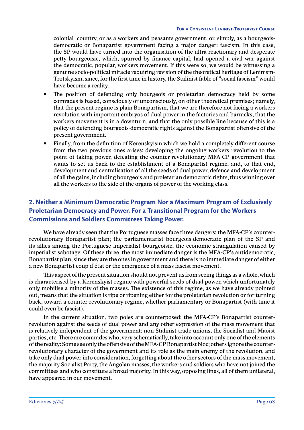colonial country, or as a workers and peasants government, or, simply, as a bourgeoisdemocratic or Bonapartist government facing a major danger: fascism. In this case, the SP would have turned into the organisation of the ultra-reactionary and desperate petty bourgeoisie, which, spurred by finance capital, had opened a civil war against the democratic, popular, workers movement. If this were so, we would be witnessing a genuine socio-political miracle requiring revision of the theoretical heritage of Leninism-Trotskyism, since, for the first time in history, the Stalinist fable of "social fascism" would have become a reality.

- The position of defending only bourgeois or proletarian democracy held by some comrades is based, consciously or unconsciously, on other theoretical premises; namely, that the present regime is plain Bonapartism, that we are therefore not facing a workers revolution with important embryos of dual power in the factories and barracks, that the workers movement is in a downturn, and that the only possible line because of this is a policy of defending bourgeois-democratic rights against the Bonapartist offensive of the present government.
- Finally, from the definition of Kerenskyism which we hold a completely different course from the two previous ones arises: developing the ongoing workers revolution to the point of taking power, defeating the counter-revolutionary MFA-CP government that wants to set us back to the establishment of a Bonapartist regime; and, to that end, development and centralisation of all the seeds of dual power, defence and development of all the gains, including bourgeois and proletarian democratic rights, thus winning over all the workers to the side of the organs of power of the working class.

# **2. Neither a Minimum Democratic Program Nor a Maximum Program of Exclusively Proletarian Democracy and Power. For a Transitional Program for the Workers Commissions and Soldiers Committees Taking Power.**

We have already seen that the Portuguese masses face three dangers: the MFA-CP's counterrevolutionary Bonapartist plan; the parliamentarist bourgeois-democratic plan of the SP and its allies among the Portuguese imperialist bourgeoisie; the economic strangulation caused by imperialist sabotage. Of these three, the most immediate danger is the MFA-CP's antidemocratic, Bonapartist plan, since they are the ones in government and there is no immediate danger of either a new Bonapartist coup d'état or the emergence of a mass fascist movement.

This aspect of the present situation should not prevent us from seeing things as a whole, which is characterised by a Kerenskyist regime with powerful seeds of dual power, which unfortunately only mobilise a minority of the masses. The existence of this regime, as we have already pointed out, means that the situation is ripe or ripening either for the proletarian revolution or for turning back, toward a counter-revolutionary regime, whether parliamentary or Bonapartist (with time it could even be fascist).

In the current situation, two poles are counterposed: the MFA-CP's Bonapartist counterrevolution against the seeds of dual power and any other expression of the mass movement that is relatively independent of the government: non-Stalinist trade unions, the Socialist and Maoist parties, etc. There are comrades who, very schematically, take into account only one of the elements of the reality: Some see only the offensive of the MFA-CP Bonapartist bloc; others ignore the counterrevolutionary character of the government and its role as the main enemy of the revolution, and take only dual power into consideration, forgetting about the other sectors of the mass movement, the majority Socialist Party, the Angolan masses, the workers and soldiers who have not joined the committees and who constitute a broad majority. In this way, opposing lines, all of them unilateral, have appeared in our movement.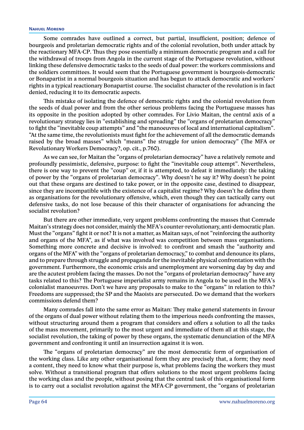#### **Nahuel Moreno**

Some comrades have outlined a correct, but partial, insufficient, position; defence of bourgeois and proletarian democratic rights and of the colonial revolution, both under attack by the reactionary MFA-CP. Thus they pose essentially a minimum democratic program and a call for the withdrawal of troops from Angola in the current stage of the Portuguese revolution, without linking these defensive democratic tasks to the seeds of dual power: the workers commissions and the soldiers committees. It would seem that the Portuguese government is bourgeois-democratic or Bonapartist in a normal bourgeois situation and has begun to attack democratic and workers' rights in a typical reactionary Bonapartist course. The socialist character of the revolution is in fact denied, reducing it to its democratic aspects.

This mistake of isolating the defence of democratic rights and the colonial revolution from the seeds of dual power and from the other serious problems facing the Portuguese masses has its opposite in the position adopted by other comrades. For Livio Maitan, the central axis of a revolutionary strategy lies in "establishing and spreading" the "organs of proletarian democracy" to fight the "inevitable coup attempts" and "the manoeuvres of local and international capitalism". "At the same time, the revolutionists must fight for the achievement of all the democratic demands raised by the broad masses" which "means" the struggle for union democracy" (The MFA or Revolutionary Workers Democracy?, op. cit., p.760).

As we can see, for Maitan the "organs of proletarian democracy" have a relatively remote and profoundly pessimistic, defensive, purpose: to fight the "inevitable coup attempt". Nevertheless, there is one way to prevent the "coup" or, if it is attempted, to defeat it immediately: the taking of power by the "organs of proletarian democracy". Why doesn't he say it? Why doesn't he point out that these organs are destined to take power, or in the opposite case, destined to disappear, since they are incompatible with the existence of a capitalist regime? Why doesn't he define them as organisations for the revolutionary offensive, which, even though they can tactically carry out defensive tasks, do not lose because of this their character of organisations for advancing the socialist revolution?

But there are other immediate, very urgent problems confronting the masses that Comrade Maitan's strategy does not consider, mainly the MFA's counter-revolutionary, anti-democratic plan. Must the "organs" fight it or not? It is not a matter, as Maitan says, of not "reinforcing the authority and organs of the MFA", as if what was involved was competition between mass organisations. Something more concrete and decisive is involved: to confront and smash the "authority and organs of the MFA" with the "organs of proletarian democracy," to combat and denounce its plans, and to prepare through struggle and propaganda for the inevitable physical confrontation with the government. Furthermore, the economic crisis and unemployment are worsening day by day and are the acutest problem facing the masses. Do not the "organs of proletarian democracy" have any tasks related to this? The Portuguese imperialist army remains in Angola to be used in the MFA's colonialist manoeuvres. Don't we have any proposals to make to the "organs" in relation to this? Freedoms are suppressed; the SP and the Maoists are persecuted. Do we demand that the workers commissions defend them?

Many comrades fall into the same error as Maitan: They make general statements in favour of the organs of dual power without relating them to the imperious needs confronting the masses, without structuring around them a program that considers and offers a solution to all the tasks of the mass movement, primarily to the most urgent and immediate of them all at this stage, the socialist revolution, the taking of power by these organs, the systematic denunciation of the MFA government and confronting it until an insurrection against it is won.

The "organs of proletarian democracy" are the most democratic form of organisation of the working class. Like any other organisational form they are precisely that, a form; they need a content, they need to know what their purpose is, what problems facing the workers they must solve. Without a transitional program that offers solutions to the most urgent problems facing the working class and the people, without posing that the central task of this organisational form is to carry out a socialist revolution against the MFA-CP government, the "organs of proletarian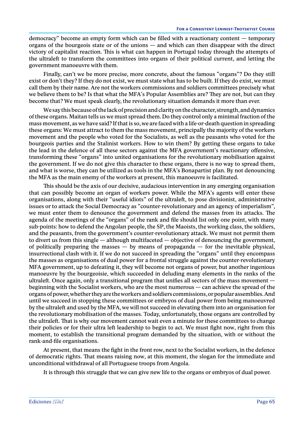democracy" become an empty form which can be filled with a reactionary content — temporary organs of the bourgeois state or of the unions — and which can then disappear with the direct victory of capitalist reaction. This is what can happen in Portugal today through the attempts of the ultraleft to transform the committees into organs of their political current, and letting the government manoeuvre with them.

Finally, can't we be more precise, more concrete, about the famous "organs"? Do they still exist or don't they? If they do not exist, we must state what has to be built. If they do exist, we must call them by their name. Are not the workers commissions and soldiers committees precisely what we believe them to be? Is that what the MFA's Popular Assemblies are? They are not, but can they become that? We must speak clearly, the revolutionary situation demands it more than ever.

We say this because of the lack of precision and clarity on the character, strength, and dynamics of these organs. Maitan tells us we must spread them. Do they control only a minimal fraction of the mass movement, as we have said? If that is so, we are faced with a life-or-death question in spreading these organs: We must attract to them the mass movement, principally the majority of the workers movement and the people who voted for the Socialists, as well as the peasants who voted for the bourgeois parties and the Stalinist workers. How to win them? By getting these organs to take the lead in the defence of all these sectors against the MFA government's reactionary offensive, transforming these "organs" into united organisations for the revolutionary mobilisation against the government. If we do not give this character to these organs, there is no way to spread them, and what is worse, they can be utilized as tools in the MFA's Bonapartist plan. By not denouncing the MFA as the main enemy of the workers at present, this manoeuvre is facilitated.

This should be the axis of our decisive, audacious intervention in any emerging organisation that can possibly become an organ of workers power. While the MFA's agents will enter these organisations, along with their "useful idiots" of the ultraleft, to pose divisionist, administrative issues or to attack the Social Democracy as "counter-revolutionary and an agency of imperialism", we must enter them to denounce the government and defend the masses from its attacks. The agenda of the meetings of the "organs" of the rank and file should list only one point, with many sub-points: how to defend the Angolan people, the SP, the Maoists, the working class, the soldiers, and the peasants, from the government's counter-revolutionary attack. We must not permit them to divert us from this single — although multifaceted — objective of denouncing the government, of politically preparing the masses  $-$  by means of propaganda  $-$  for the inevitable physical, insurrectional clash with it. If we do not succeed in spreading the "organs" until they encompass the masses as organisations of dual power for a frontal struggle against the counter-revolutionary MFA government, up to defeating it, they will become not organs of power, but another ingenious manoeuvre by the bourgeoisie, which succeeded in deluding many elements in the ranks of the ultraleft. Once again, only a transitional program that unifies all sectors of the mass movement beginning with the Socialist workers, who are the most numerous — can achieve the spread of the organs of power, whether they are the workers and soldiers commissions, or popular assemblies. And until we succeed in stopping these committees or embryos of dual power from being manoeuvred by the ultraleft and used by the MFA, we will not succeed in elevating them into an organisation for the revolutionary mobilisation of the masses. Today, unfortunately, those organs are controlled by the ultraleft. That is why our movement cannot wait even a minute for these committees to change their policies or for their ultra left leadership to begin to act. We must fight now, right from this moment, to establish the transitional program demanded by the situation, with or without the rank-and-file organisations.

At present, that means the fight in the front row, next to the Socialist workers, in the defence of democratic rights. That means raising now, at this moment, the slogan for the immediate and unconditional withdrawal of all Portuguese troops from Angola.

It is through this struggle that we can give new life to the organs or embryos of dual power.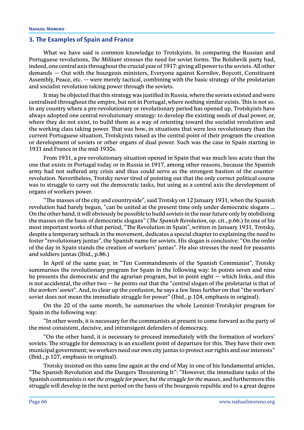# **3. The Examples of Spain and France**

What we have said is common knowledge to Trotskyists. In comparing the Russian and Portuguese revolutions, *The Militant* stresses the need for soviet forms. The Bolshevik party had, indeed, one central axis throughout the crucial year of 1917: giving all power to the soviets. All other demands — Out with the bourgeois ministers, Everyone against Kornilov, Boycott, Constituent Assembly, Peace, etc. — were merely tactical, combining with the basic strategy of the proletarian and socialist revolution taking power through the soviets.

It may be objected that this strategy was justified in Russia, where the soviets existed and were centralised throughout the empire, but not in Portugal, where nothing similar exists. This is not so. In any country where a pre-revolutionary or revolutionary period has opened up, Trotskyists have always adopted one central revolutionary strategy: to develop the existing seeds of dual power, or, where they do not exist, to build them as a way of orienting toward the socialist revolution and the working class taking power. That was how, in situations that were less revolutionary than the current Portuguese situation, Trotskyists raised as the central point of their program the creation or development of soviets or other organs of dual power. Such was the case in Spain starting in 1931 and France in the mid-1930s.

From 1931, a pre-revolutionary situation opened in Spain that was much less acute than the one that exists in Portugal today or in Russia in 1917, among other reasons, because the Spanish army had not suffered any crisis and thus could serve as the strongest bastion of the counterrevolution. Nevertheless, Trotsky never tired of pointing out that the only correct political course was to struggle to carry out the democratic tasks, but using as a central axis the development of organs of workers power.

"The masses of the city and countryside", said Trotsky on 12 January 1931, when the Spanish revolution had barely begun, "can be united at the present time only under democratic slogans ... On the other hand, it will obviously be possible to build soviets in the near future only by mobilising the masses on the basis of democratic slogans" (*The Spanish Revolution*, op. cit., p.66.) In one of his most important works of that period, "The Revolution in Spain", written in January 1931, Trotsky, despite a temporary setback in the movement, dedicates a special chapter to explaining the need to foster "revolutionary juntas", the Spanish name for soviets. His slogan is conclusive: "On the order of the day in Spain stands the creation of workers' juntas". He also stresses the need for peasants and soldiers juntas (Ibid., p.86.)

In April of the same year, in "Ten Commandments of the Spanish Communist", Trotsky summarises the revolutionary program for Spain in the following way: In points seven and nine he presents the democratic and the agrarian program, but in point eight — which links, and this is not accidental, the other two — he points out that the "central slogan of the proletariat is that of the *workers' soviet*". And, to clear up the confusion, he says a few lines further on that "the workers' soviet does not mean the immediate struggle for power" (Ibid., p.104, emphasis in original).

On the 20 of the same month, he summarises the whole Leninist-Trotskyist program for Spain in the following way:

"In other words, it is necessary for the communists at present to come forward as the party of the most consistent, decisive, and intransigent defenders of democracy.

"On the other hand, it is necessary to proceed immediately with the formation of workers' soviets. The struggle for democracy is an excellent point of departure for this. They have their own municipal government; we workers need our own city juntas to protect our rights and our interests" (Ibid., p.107, emphasis in original).

Trotsky insisted on this same line again at the end of May in one of his fundamental articles, "The Spanish Revolution and the Dangers Threatening It": "However, the immediate tasks of the Spanish communists *is not the struggle for power, but the struggle for the masses*, and furthermore this struggle will develop in the next period on the basis of the bourgeois republic and to a great degree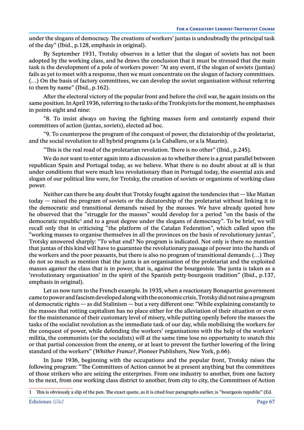under the slogans of democracy. The creations of workers' juntas is undoubtedly the principal task of the day" (Ibid., p.128, emphasis in original).

By September 1931, Trotsky observes in a letter that the slogan of soviets has not been adopted by the working class, and he draws the conclusion that it must be stressed that the main task is the development of a pole of workers power: "At any event, if the slogan of soviets (juntas) fails as yet to meet with a response, then we must concentrate on the slogan of factory committees. (…) On the basis of factory committees, we can develop the soviet organisation without referring to them by name" (Ibid., p.162).

After the electoral victory of the popular front and before the civil war, he again insists on the same position. In April 1936, referring to the tasks of the Trotskyists for the moment, he emphasises in points eight and nine:

"8. To insist always on having the fighting masses form and constantly expand their committees of action (juntas, soviets), elected ad hoc.

"9. To counterpose the program of the conquest of power, the dictatorship of the proletariat, and the social revolution to all hybrid programs (a la Caballero, or a la Maurin).

"This is the real road of the proletarian revolution. There is no other" (Ibid., p.245).

We do not want to enter again into a discussion as to whether there is a great parallel between republican Spain and Portugal today, as we believe. What there is no doubt about at all is that under conditions that were much less revolutionary than in Portugal today, the essential axis and slogan of our political line were, for Trotsky, the creation of soviets or organisms of working-class power.

Neither can there be any doubt that Trotsky fought against the tendencies that — like Maitan today — raised the program of soviets or the dictatorship of the proletariat without linking it to the democratic and transitional demands raised by the masses. We have already quoted how he observed that the "struggle for the masses" would develop for a period "on the basis of the democratic republic<sup>1</sup> and to a great degree under the slogans of democracy". To be brief, we will recall only that in criticising "the platform of the Catalan Federation", which called upon the "working masses to organise themselves in all the provinces on the basis of revolutionary juntas", Trotsky answered sharply: "To what end? No program is indicated. Not only is there no mention that juntas of this kind will have to guarantee the revolutionary passage of power into the hands of the workers and the poor peasants, but there is also no program of transitional demands (…) They do not so much as mention that the junta is an organisation of the proletariat and the exploited masses *against* the class that is in power, that is, against the bourgeoisie. The junta is taken as a 'revolutionary organisation' in the spirit of the Spanish petty-bourgeois tradition" (Ibid., p.137, emphasis in original).

Let us now turn to the French example. In 1935, when a reactionary Bonapartist government came to power and fascism developed along with the economic crisis, Trotsky did not raise a program of democratic rights — as did Stalinism — but a very different one: "While explaining constantly to the masses that rotting capitalism has no place either for the alleviation of their situation or even for the maintenance of their customary level of misery, while putting openly before the masses the tasks of the socialist revolution as the immediate task of our day, while mobilising the workers for the conquest of power, while defending the workers' organisations with the help of the workers' militia, the communists (or the socialists) will at the same time lose no opportunity to snatch this or that partial concession from the enemy, or at least to prevent the further lowering of the living standard of the workers" (*Whither France?*, Pioneer Publishers, New York, p.66).

In June 1936, beginning with the occupations and the popular front, Trotsky raises the following program: "The Committees of Action cannot be at present anything but the committees of those strikers who are seizing the enterprises. From one industry to another, from one factory to the next, from one working class district to another, from city to city, the Committees of Action

<sup>1</sup> This is obviously a slip of the pen. The exact quote, as it is cited four paragraphs earlier, is "bourgeois republic" (Ed.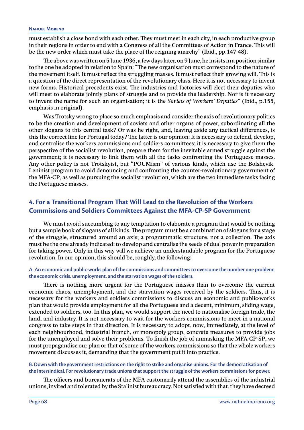#### **Nahuel Moreno**

must establish a close bond with each other. They must meet in each city, in each productive group in their regions in order to end with a Congress of all the Committees of Action in France. This will be the new order which must take the place of the reigning anarchy" (Ibid., pp.147-48).

The above was written on 5 June 1936; a few days later, on 9 June, he insists in a position similar to the one he adopted in relation to Spain: "The new organisation must correspond to the nature of the movement itself. It must reflect the struggling masses. It must reflect their growing will. This is a question of the direct representation of the revolutionary class. Here it is not necessary to invent new forms. Historical precedents exist. The industries and factories will elect their deputies who will meet to elaborate jointly plans of struggle and to provide the leadership. Nor is it necessary to invent the name for such an organisation; it is the *Soviets of Workers' Deputies*" (Ibid., p.155, emphasis in original).

Was Trotsky wrong to place so much emphasis and consider the axis of revolutionary politics to be the creation and development of soviets and other organs of power, subordinating all the other slogans to this central task? Or was he right, and, leaving aside any tactical differences, is this the correct line for Portugal today? The latter is our opinion: It is necessary to defend, develop, and centralise the workers commissions and soldiers committees; it is necessary to give them the perspective of the socialist revolution, prepare them for the inevitable armed struggle against the government; it is necessary to link them with all the tasks confronting the Portuguese masses. Any other policy is not Trotskyist, but "POUMism" of various kinds, which use the Bolshevik-Leninist program to avoid denouncing and confronting the counter-revolutionary government of the MFA-CP, as well as pursuing the socialist revolution, which are the two immediate tasks facing the Portuguese masses.

# **4. For a Transitional Program That Will Lead to the Revolution of the Workers Commissions and Soldiers Committees Against the MFA-CP-SP Government**

We must avoid succumbing to any temptation to elaborate a program that would be nothing but a sample book of slogans of all kinds. The program must be a combination of slogans for a stage of the struggle, structured around an axis; a programmatic structure, not a collection. The axis must be the one already indicated: to develop and centralise the seeds of dual power in preparation for taking power. Only in this way will we achieve an understandable program for the Portuguese revolution. In our opinion, this should be, roughly, the following:

### **A. An economic and public-works plan of the commissions and committees to overcome the number one problem: the economic crisis, unemployment, and the starvation wages of the soldiers.**

There is nothing more urgent for the Portuguese masses than to overcome the current economic chaos, unemployment, and the starvation wages received by the soldiers. Thus, it is necessary for the workers and soldiers commissions to discuss an economic and public-works plan that would provide employment for all the Portuguese and a decent, minimum, sliding wage, extended to soldiers, too. In this plan, we would support the need to nationalise foreign trade, the land, and industry. It is not necessary to wait for the workers commissions to meet in a national congress to take steps in that direction. It is necessary to adopt, now, immediately, at the level of each neighbourhood, industrial branch, or monopoly group, concrete measures to provide jobs for the unemployed and solve their problems. To finish the job of unmasking the MFA-CP-SP, we must propagandise our plan or that of some of the workers commissions so that the whole workers movement discusses it, demanding that the government put it into practice.

### **B. Down with the government restrictions on the right to strike and organise unions. For the democratisation of the Intersindical. For revolutionary trade unions that support the struggle of the workers commissions for power.**

The officers and bureaucrats of the MFA customarily attend the assemblies of the industrial unions, invited and tolerated by the Stalinist bureaucracy. Not satisfied with that, they have decreed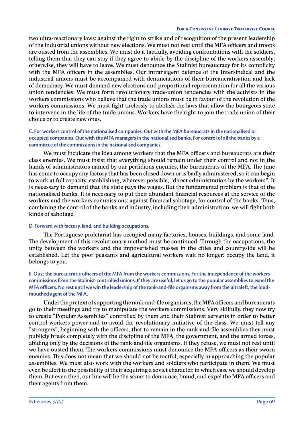two ultra-reactionary laws: against the right to strike and of recognition of the present leadership of the industrial unions without new elections. We must not rest until the MFA officers and troops are ousted from the assemblies. We must do it tactfully, avoiding confrontations with the soldiers, telling them that they can stay if they agree to abide by the discipline of the workers assembly; otherwise, they will have to leave. We must denounce the Stalinist bureaucracy for its complicity with the MFA officers in the assemblies. Our intransigent defence of the Intersindical and the industrial unions must be accompanied with denunciations of their bureaucratisation and lack of democracy. We must demand new elections and proportional representation for all the various union tendencies. We must form revolutionary trade-union tendencies with the activists in the workers commissions who believe that the trade unions must be in favour of the revolution of the workers commissions. We must fight tirelessly to abolish the laws that allow the bourgeois state to intervene in the life of the trade unions. Workers have the right to join the trade union of their choice or to create new ones.

## **C. For workers control of the nationalised companies. Out with the MFA bureaucrats in the nationalised or occupied companies. Out with the MFA managers in the nationalised banks. For control of all the banks by a committee of the commissions in the nationalised companies.**

We must inculcate the idea among workers that the MFA officers and bureaucrats are their class enemies. We must insist that everything should remain under their control and not in the hands of administrators named by our perfidious enemies, the bureaucrats of the MFA. The time has come to occupy any factory that has been closed down or is badly administered, so it can begin to work at full capacity, establishing, wherever possible, "direct administration by the workers". It is necessary to demand that the state pays the wages. But the fundamental problem is that of the nationalised banks. It is necessary to put their abundant financial resources at the service of the workers and the workers commissions: against financial sabotage, for control of the banks. Thus, combining the control of the banks and industry, including their administration, we will fight both kinds of sabotage.

### **D. Forward with factory, land, and building occupations.**

The Portuguese proletariat has occupied many factories, houses, buildings, and some land. The development of this revolutionary method must be continued. Through the occupations, the unity between the workers and the impoverished masses in the cities and countryside will be established. Let the poor peasants and agricultural workers wait no longer: occupy the land, it belongs to you.

## **E. Oust the bureaucratic officers of the MFA from the workers commissions. For the independence of the workers commissions from the Stalinist-controlled unions. If they are useful, let us go to the popular assemblies to expel the MFA officers. No rest until we win the leadership of the rank-and-file organisms away from the ultraleft, the loudmouthed agent of the MFA.**

Under the pretext of supporting the rank-and-file organisms, the MFA officers and bureaucrats go to their meetings and try to manipulate the workers commissions. Very skilfully, they now try to create "Popular Assemblies" controlled by them and their Stalinist servants in order to better control workers power and to avoid the revolutionary initiative of the class. We must tell any "strangers", beginning with the officers, that to remain in the rank-and-file assemblies they must publicly break completely with the discipline of the MFA, the government, and the armed forces, abiding only by the decisions of the rank-and-file organisms. If they refuse, we must not rest until we have ousted them. The workers commissions must denounce the MFA officers as their sworn enemies. This does not mean that we should not be tactful, especially in approaching the popular assemblies. We must also work with the workers and soldiers who participate in them. We must even be alert to the possibility of their acquiring a soviet character, in which case we should develop them. But even then, our line will be the same: to denounce, brand, and expel the MFA officers and their agents from them.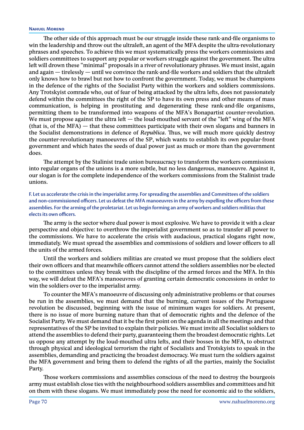The other side of this approach must be our struggle inside these rank-and-file organisms to win the leadership and throw out the ultraleft, an agent of the MFA despite the ultra-revolutionary phrases and speeches. To achieve this we must systematically press the workers commissions and soldiers committees to support any popular or workers struggle against the government. The ultra left will drown these "minimal" proposals in a river of revolutionary phrases. We must insist, again and again — tirelessly — until we convince the rank-and-file workers and soldiers that the ultraleft only knows how to brawl but not how to confront the government. Today, we must be champions in the defence of the rights of the Socialist Party within the workers and soldiers commissions. Any Trotskyist comrade who, out of fear of being attacked by the ultra lefts, does not passionately defend within the committees the right of the SP to have its own press and other means of mass communication, is helping in prostituting and degenerating these rank-and-file organisms, permitting them to be transformed into weapons of the MFA's Bonapartist counter-revolution. We must propose against the ultra left  $-$  the loud-mouthed servant of the "left" wing of the MFA (that is, of the MFA) — that these committees participate with their own slogans and banners in the Socialist demonstrations in defence of *Republica*. Thus, we will much more quickly destroy the counter-revolutionary manoeuvres of the SP, which wants to establish its own popular-front government and which hates the seeds of dual power just as much or more than the government does.

The attempt by the Stalinist trade union bureaucracy to transform the workers commissions into regular organs of the unions is a more subtle, but no less dangerous, manoeuvre. Against it, our slogan is for the complete independence of the workers commissions from the Stalinist trade unions.

**F. Let us accelerate the crisis in the imperialist army. For spreading the assemblies and Committees of the soldiers and non-commissioned officers. Let us defeat the MFA manoeuvres in the army by expelling the officers from these assemblies. For the arming of the proletariat. Let us begin forming an army of workers and soldiers militias that elects its own officers.**

The army is the sector where dual power is most explosive. We have to provide it with a clear perspective and objective: to overthrow the imperialist government so as to transfer all power to the commissions. We have to accelerate the crisis with audacious, practical slogans right now, immediately. We must spread the assemblies and commissions of soldiers and lower officers to all the units of the armed forces.

Until the workers and soldiers militias are created we must propose that the soldiers elect their own officers and that meanwhile officers cannot attend the soldiers assemblies nor be elected to the committees unless they break with the discipline of the armed forces and the MFA. In this way, we will defeat the MFA's manoeuvres of granting certain democratic concessions in order to win the soldiers over to the imperialist army.

To counter the MFA's manoeuvre of discussing only administrative problems or that courses be run in the assemblies, we must demand that the burning, current issues of the Portuguese revolution be discussed, beginning with the issue of minimum wages for soldiers. At present, there is no issue of more burning nature than that of democratic rights and the defence of the Socialist Party. We must demand that it be the first point on the agenda in all the meetings and that representatives of the SP be invited to explain their policies. We must invite all Socialist soldiers to attend the assemblies to defend their party, guaranteeing them the broadest democratic rights. Let us oppose any attempt by the loud-mouthed ultra lefts, and their bosses in the MFA, to obstruct through physical and ideological terrorism the right of Socialists and Trotskyists to speak in the assemblies, demanding and practicing the broadest democracy. We must turn the soldiers against the MFA government and bring them to defend the rights of all the parties, mainly the Socialist Party.

Those workers commissions and assemblies conscious of the need to destroy the bourgeois army must establish close ties with the neighbourhood soldiers assemblies and committees and hit on them with these slogans. We must immediately pose the need for economic aid to the soldiers,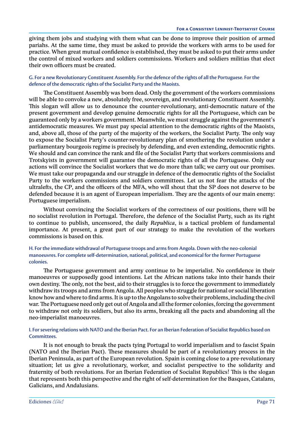giving them jobs and studying with them what can be done to improve their position of armed pariahs. At the same time, they must be asked to provide the workers with arms to be used for practice. When great mutual confidence is established, they must be asked to put their arms under the control of mixed workers and soldiers commissions. Workers and soldiers militias that elect their own officers must be created.

### **G. For a new Revolutionary Constituent Assembly. For the defence of the rights of all the Portuguese. For the defence of the democratic rights of the Socialist Party and the Maoists.**

The Constituent Assembly was born dead. Only the government of the workers commissions will be able to convoke a new, absolutely free, sovereign, and revolutionary Constituent Assembly. This slogan will allow us to denounce the counter-revolutionary, anti-democratic nature of the present government and develop genuine democratic rights for all the Portuguese, which can be guaranteed only by a workers government. Meanwhile, we must struggle against the government's antidemocratic measures. We must pay special attention to the democratic rights of the Maoists, and, above all, those of the party of the majority of the workers, the Socialist Party. The only way to expose the Socialist Party's counter-revolutionary plan of smothering the revolution under a parliamentary bourgeois regime is precisely by defending, and even extending, democratic rights. We should and can convince the rank and file of the Socialist Party that workers commissions and Trotskyists in government will guarantee the democratic rights of all the Portuguese. Only our actions will convince the Socialist workers that we do more than talk; we carry out our promises. We must take our propaganda and our struggle in defence of the democratic rights of the Socialist Party to the workers commissions and soldiers committees. Let us not fear the attacks of the ultralefts, the CP, and the officers of the MFA, who will shout that the SP does not deserve to be defended because it is an agent of European imperialism. They are the agents of our main enemy: Portuguese imperialism.

Without convincing the Socialist workers of the correctness of our positions, there will be no socialist revolution in Portugal. Therefore, the defence of the Socialist Party, such as its right to continue to publish, uncensored, the daily *Republica*, is a tactical problem of fundamental importance. At present, a great part of our strategy to make the revolution of the workers commissions is based on this.

## **H. For the immediate withdrawal of Portuguese troops and arms from Angola. Down with the neo-colonial manoeuvres. For complete self-determination, national, political, and economical for the former Portuguese colonies.**

The Portuguese government and army continue to be imperialist. No confidence in their manoeuvres or supposedly good intentions. Let the African nations take into their hands their own destiny. The only, not the best, aid to their struggles is to force the government to immediately withdraw its troops and arms from Angola. All peoples who struggle for national or social liberation know how and where to find arms. It is up to the Angolans to solve their problems, including the civil war. The Portuguese need only get out of Angola and all the former colonies, forcing the government to withdraw not only its soldiers, but also its arms, breaking all the pacts and abandoning all the neo-imperialist manoeuvres.

### **I. For severing relations with NATO and the Iberian Pact. For an Iberian Federation of Socialist Republics based on Committees.**

It is not enough to break the pacts tying Portugal to world imperialism and to fascist Spain (NATO and the Iberian Pact). These measures should be part of a revolutionary process in the Iberian Peninsula, as part of the European revolution. Spain is coming close to a pre-revolutionary situation; let us give a revolutionary, worker, and socialist perspective to the solidarity and fraternity of both revolutions. For an Iberian Federation of Socialist Republics! This is the slogan that represents both this perspective and the right of self-determination for the Basques, Catalans, Galicians, and Andalusians.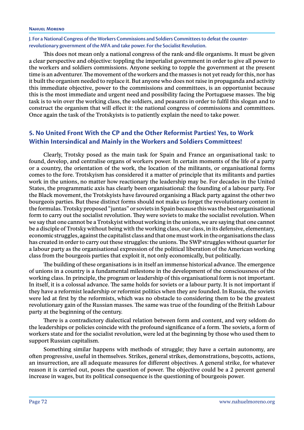#### **Nahuel Moreno**

**J. For a National Congress of the Workers Commissions and Soldiers Committees to defeat the counterrevolutionary government of the MFA and take power. For the Socialist Revolution.**

This does not mean only a national congress of the rank-and-file organisms. It must be given a clear perspective and objective: toppling the imperialist government in order to give all power to the workers and soldiers commissions. Anyone seeking to topple the government at the present time is an adventurer. The movement of the workers and the masses is not yet ready for this, nor has it built the organism needed to replace it. But anyone who does not raise in propaganda and activity this immediate objective, power to the commissions and committees, is an opportunist because this is the most immediate and urgent need and possibility facing the Portuguese masses. The big task is to win over the working class, the soldiers, and peasants in order to fulfil this slogan and to construct the organism that will effect it: the national congress of commissions and committees. Once again the task of the Trotskyists is to patiently explain the need to take power.

# **5. No United Front With the CP and the Other Reformist Parties! Yes, to Work Within Intersindical and Mainly in the Workers and Soldiers Committees!**

Clearly, Trotsky posed as the main task for Spain and France an organisational task: to found, develop, and centralise organs of workers power. In certain moments of the life of a party or a country, the orientation of the work, the location of the militants, or organisational forms comes to the fore. Trotskyism has considered it a matter of principle that its militants and parties work in the unions, no matter how reactionary the leadership may be. For decades in the United States, the programmatic axis has clearly been organisational: the founding of a labour party. For the Black movement, the Trotskyists have favoured organising a Black party against the other two bourgeois parties. But these distinct forms should not make us forget the revolutionary content in the formulas. Trotsky proposed "juntas" or soviets in Spain because this was the best organisational form to carry out the socialist revolution. They were soviets to make the socialist revolution. When we say that one cannot be a Trotskyist without working in the unions, we are saying that one cannot be a disciple of Trotsky without being with the working class, our class, in its defensive, elementary, economic struggles, against the capitalist class and that one must work in the organisations the class has created in order to carry out these struggles: the unions. The SWP struggles without quarter for a labour party as the organisational expression of the political liberation of the American working class from the bourgeois parties that exploit it, not only economically, but politically.

The building of these organisations is in itself an immense historical advance. The emergence of unions in a country is a fundamental milestone in the development of the consciousness of the working class. In principle, the program or leadership of this organisational form is not important. In itself, it is a colossal advance. The same holds for soviets or a labour party. It is not important if they have a reformist leadership or reformist politics when they are founded. In Russia, the soviets were led at first by the reformists, which was no obstacle to considering them to be the greatest revolutionary gain of the Russian masses. The same was true of the founding of the British Labour party at the beginning of the century.

There is a contradictory dialectical relation between form and content, and very seldom do the leaderships or policies coincide with the profound significance of a form. The soviets, a form of workers state and for the socialist revolution, were led at the beginning by those who used them to support Russian capitalism.

Something similar happens with methods of struggle; they have a certain autonomy, are often progressive, useful in themselves. Strikes, general strikes, demonstrations, boycotts, actions, an insurrection, are all adequate measures for different objectives. A general strike, for whatever reason it is carried out, poses the question of power. The objective could be a 2 percent general increase in wages, but its political consequence is the questioning of bourgeois power.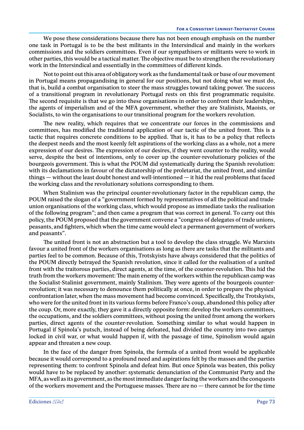We pose these considerations because there has not been enough emphasis on the number one task in Portugal is to be the best militants in the Intersindical and mainly in the workers commissions and the soldiers committees. Even if our sympathisers or militants were to work in other parties, this would be a tactical matter. The objective must be to strengthen the revolutionary work in the Intersindical and essentially in the committees of different kinds.

Not to point out this area of obligatory work as the fundamental task or base of our movement in Portugal means propagandising in general for our positions, but not doing what we must do, that is, build a combat organisation to steer the mass struggles toward taking power. The success of a transitional program in revolutionary Portugal rests on this first programmatic requisite. The second requisite is that we go into these organisations in order to confront their leaderships, the agents of imperialism and of the MFA government, whether they are Stalinists, Maoists, or Socialists, to win the organisations to our transitional program for the workers revolution.

The new reality, which requires that we concentrate our forces in the commissions and committees, has modified the traditional application of our tactic of the united front. This is a tactic that requires concrete conditions to be applied. That is, it has to be a policy that reflects the deepest needs and the most keenly felt aspirations of the working class as a whole, not a mere expression of our desires. The expression of our desires, if they went counter to the reality, would serve, despite the best of intentions, only to cover up the counter-revolutionary policies of the bourgeois government. This is what the POUM did systematically during the Spanish revolution: with its declamations in favour of the dictatorship of the proletariat, the united front, and similar things — without the least doubt honest and well-intentioned — it hid the real problems that faced the working class and the revolutionary solutions corresponding to them.

When Stalinism was the principal counter-revolutionary factor in the republican camp, the POUM raised the slogan of a "government formed by representatives of all the political and tradeunion organisations of the working class, which would propose as immediate tasks the realisation of the following program"; and then came a program that was correct in general. To carry out this policy, the POUM proposed that the government convene a "congress of delegates of trade unions, peasants, and fighters, which when the time came would elect a permanent government of workers and peasants".

The united front is not an abstraction but a tool to develop the class struggle. We Marxists favour a united front of the workers organisations as long as there are tasks that the militants and parties feel to be common. Because of this, Trotskyists have always considered that the politics of the POUM directly betrayed the Spanish revolution, since it called for the realisation of a united front with the traitorous parties, direct agents, at the time, of the counter-revolution. This hid the truth from the workers movement: The main enemy of the workers within the republican camp was the Socialist-Stalinist government, mainly Stalinism. They were agents of the bourgeois counterrevolution; it was necessary to denounce them politically at once, in order to prepare the physical confrontation later, when the mass movement had become convinced. Specifically, the Trotskyists, who were for the united front in its various forms before Franco's coup, abandoned this policy after the coup. Or, more exactly, they gave it a directly opposite form: develop the workers committees, the occupations, and the soldiers committees, without posing the united front among the workers parties, direct agents of the counter-revolution. Something similar to what would happen in Portugal if Spinola's putsch, instead of being defeated, had divided the country into two camps locked in civil war, or what would happen if, with the passage of time, Spinolism would again appear and threaten a new coup.

In the face of the danger from Spinola, the formula of a united front would be applicable because it would correspond to a profound need and aspirations felt by the masses and the parties representing them: to confront Spinola and defeat him. But once Spinola was beaten, this policy would have to be replaced by another: systematic denunciation of the Communist Party and the MFA, as well as its government, as the most immediate danger facing the workers and the conquests of the workers movement and the Portuguese masses. There are  $no$  — there cannot be for the time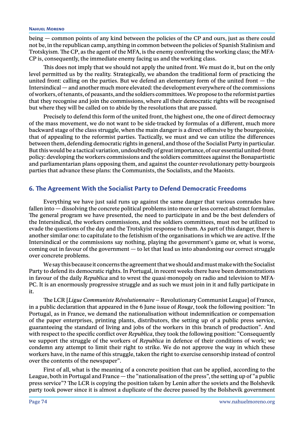being — common points of any kind between the policies of the CP and ours, just as there could not be, in the republican camp, anything in common between the policies of Spanish Stalinism and Trotskyism. The CP, as the agent of the MFA, is the enemy confronting the working class; the MFA-CP is, consequently, the immediate enemy facing us and the working class.

This does not imply that we should not apply the united front. We must do it, but on the only level permitted us by the reality. Strategically, we abandon the traditional form of practicing the united front: calling on the parties. But we defend an elementary form of the united front  $-$  the Intersindical — and another much more elevated: the development everywhere of the commissions of workers, of tenants, of peasants, and the soldiers committees. We propose to the reformist parties that they recognise and join the commissions, where all their democratic rights will be recognised but where they will be called on to abide by the resolutions that are passed.

Precisely to defend this form of the united front, the highest one, the one of direct democracy of the mass movement, we do not want to be side-tracked by formulas of a different, much more backward stage of the class struggle, when the main danger is a direct offensive by the bourgeoisie, that of appealing to the reformist parties. Tactically, we must and we can utilize the differences between them, defending democratic rights in general, and those of the Socialist Party in particular. But this would be a tactical variation, undoubtedly of great importance, of our essential united-front policy: developing the workers commissions and the soldiers committees against the Bonapartistic and parliamentarian plans opposing them, and against the counter-revolutionary petty-bourgeois parties that advance these plans: the Communists, the Socialists, and the Maoists.

# **6. The Agreement With the Socialist Party to Defend Democratic Freedoms**

Everything we have just said runs up against the same danger that various comrades have fallen into — dissolving the concrete political problems into more or less correct abstract formulas. The general program we have presented, the need to participate in and be the best defenders of the Intersindical, the workers commissions, and the soldiers committees, must not be utilized to evade the questions of the day and the Trotskyist response to them. As part of this danger, there is another similar one: to capitulate to the fetishism of the organisations in which we are active. If the Intersindical or the commissions say nothing, playing the government's game or, what is worse, coming out in favour of the government — to let that lead us into abandoning our correct struggle over concrete problems.

We say this because it concerns the agreement that we should and must make with the Socialist Party to defend its democratic rights. In Portugal, in recent weeks there have been demonstrations in favour of the daily *Republica* and to wrest the quasi-monopoly on radio and television to MFA-PC. It is an enormously progressive struggle and as such we must join in it and fully participate in it.

The LCR [*Ligue Communiste Révolutionnaire* – Revolutionary Communist League] of France, in a public declaration that appeared in the 6 June issue of *Rouge*, took the following position: "In Portugal, as in France, we demand the nationalisation without indemnification or compensation of the paper enterprises, printing plants, distributors, the setting up of a public press service, guaranteeing the standard of living and jobs of the workers in this branch of production". And with respect to the specific conflict over *Republica*, they took the following position: "Consequently we support the struggle of the workers of *Republica* in defence of their conditions of work; we condemn any attempt to limit their right to strike. We do not approve the way in which these workers have, in the name of this struggle, taken the right to exercise censorship instead of control over the contents of the newspaper".

First of all, what is the meaning of a concrete position that can be applied, according to the League, both in Portugal and France — the "nationalisation of the press", the setting up of "a public press service"? The LCR is copying the position taken by Lenin after the soviets and the Bolshevik party took power since it is almost a duplicate of the decree passed by the Bolshevik government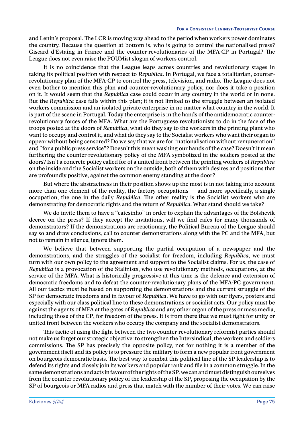and Lenin's proposal. The LCR is moving way ahead to the period when workers power dominates the country. Because the question at bottom is, who is going to control the nationalised press? Giscard d'Estaing in France and the counter-revolutionaries of the MFA-CP in Portugal? The League does not even raise the POUMist slogan of workers control.

It is no coincidence that the League leaps across countries and revolutionary stages in taking its political position with respect to *Republica*. In Portugal, we face a totalitarian, counterrevolutionary plan of the MFA-CP to control the press, television, and radio. The League does not even bother to mention this plan and counter-revolutionary policy, nor does it take a position on it. It would seem that the *Republica* case could occur in any country in the world or in none. But the *Republica* case falls within this plan; it is not limited to the struggle between an isolated workers commission and an isolated private enterprise in no matter what country in the world. It is part of the scene in Portugal. Today the enterprise is in the hands of the antidemocratic counterrevolutionary forces of the MFA. What are the Portuguese revolutionists to do in the face of the troops posted at the doors of *Republica*, what do they say to the workers in the printing plant who want to occupy and control it, and what do they say to the Socialist workers who want their organ to appear without being censored? Do we say that we are for "nationalisation without remuneration" and "for a public press service"? Doesn't this mean washing our hands of the case? Doesn't it mean furthering the counter-revolutionary policy of the MFA symbolized in the soldiers posted at the doors? Isn't a concrete policy called for of a united front between the printing workers of *Republica* on the inside and the Socialist workers on the outside, both of them with desires and positions that are profoundly positive, against the common enemy standing at the door?

But where the abstractness in their position shows up the most is in not taking into account more than one element of the reality, the factory occupations  $-$  and more specifically, a single occupation, the one in the daily *Republica*. The other reality is the Socialist workers who are demonstrating for democratic rights and the return of *Republica*. What stand should we take?

We do invite them to have a "cafesinho" in order to explain the advantages of the Bolshevik decree on the press? If they accept the invitations, will we find cafes for many thousands of demonstrators? If the demonstrations are reactionary, the Political Bureau of the League should say so and draw conclusions, call to counter demonstrations along with the PC and the MFA, but not to remain in silence, ignore them.

We believe that between supporting the partial occupation of a newspaper and the demonstrations, and the struggles of the socialist for freedom, including *Republica*, we must turn with our own policy to the agreement and support to the Socialist claims. For us, the case of *Republica* is a provocation of the Stalinists, who use revolutionary methods, occupations, at the service of the MFA. What is historically progressive at this time is the defence and extension of democratic freedoms and to defeat the counter-revolutionary plans of the MFA-PC government. All our tactics must be based on supporting the demonstrations and the current struggle of the SP for democratic freedoms and in favour of *Republica*. We have to go with our flyers, posters and especially with our class political line to these demonstrations or socialist acts. Our policy must be against the agents of MFA at the gates of *Republica* and any other organ of the press or mass media, including those of the CP, for freedom of the press. It is from there that we must fight for unity or united front between the workers who occupy the company and the socialist demonstrators.

This tactic of using the fight between the two counter-revolutionary reformist parties should not make us forget our strategic objective: to strengthen the Intersindical, the workers and soldiers commissions. The SP has precisely the opposite policy, not for nothing it is a member of the government itself and its policy is to pressure the military to form a new popular front government on bourgeois democratic basis. The best way to combat this political line of the SP leadership is to defend its rights and closely join its workers and popular rank and file in a common struggle. In the same demonstrations and acts in favour of the rights of the SP, we can and must distinguish ourselves from the counter-revolutionary policy of the leadership of the SP, proposing the occupation by the SP of bourgeois or MFA radios and press that match with the number of their votes. We can raise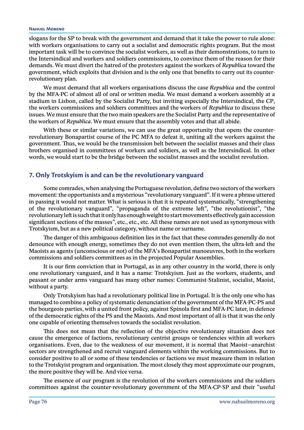#### **Nahuel Moreno**

slogans for the SP to break with the government and demand that it take the power to rule alone: with workers organisations to carry out a socialist and democratic rights program. But the most important task will be to convince the socialist workers, as well as their demonstrations, to turn to the Intersindical and workers and soldiers commissions, to convince them of the reason for their demands. We must divert the hatred of the protesters against the workers of *Republica* toward the government, which exploits that division and is the only one that benefits to carry out its counterrevolutionary plan.

We must demand that all workers organisations discuss the case *Republica* and the control by the MFA-PC of almost all of oral or written media. We must demand a workers assembly at a stadium in Lisbon, called by the Socialist Party, but inviting especially the Intersindical, the CP, the workers commissions and soldiers committees and the workers of *Republica* to discuss these issues. We must ensure that the two main speakers are the Socialist Party and the representative of the workers of *Republica*. We must ensure that the assembly votes and that all abide.

With these or similar variations, we can use the great opportunity that opens the counterrevolutionary Bonapartist course of the PC MFA to defeat it, uniting all the workers against the government. Thus, we would be the transmission belt between the socialist masses and their class brothers organised in committees of workers and soldiers, as well as the Intersindical. In other words, we would start to be the bridge between the socialist masses and the socialist revolution.

## **7. Only Trotskyism is and can be the revolutionary vanguard**

Some comrades, when analysing the Portuguese revolution, define two sectors of the workers movement: the opportunists and a mysterious "revolutionary vanguard". If it were a phrase uttered in passing it would not matter. What is serious is that it is repeated systematically, "strengthening of the revolutionary vanguard", "propaganda of the extreme left", "the revolutionist", "the revolutionary left is such that it only has enough weight to start movements effectively gain accession significant sections of the masses", etc., etc., etc. All these names are not used as synonymous with Trotskyism, but as a new political category, without name or surname.

The danger of this ambiguous definition lies in the fact that these comrades generally do not denounce with enough energy, sometimes they do not even mention them, the ultra-left and the Maoists as agents (unconscious or not) of the MFA's Bonapartist manoeuvres, both in the workers commissions and soldiers committees as in the projected Popular Assemblies.

It is our firm conviction that in Portugal, as in any other country in the world, there is only one revolutionary vanguard, and it has a name: Trotskyism. Just as the workers, students, and peasant or under arms vanguard has many other names: Communist-Stalinist, socialist, Maoist, without a party.

Only Trotskyism has had a revolutionary political line in Portugal. It is the only one who has managed to combine a policy of systematic denunciation of the government of the MFA-PC-PS and the bourgeois parties, with a united front policy, against Spinola first and MFA-PC later, in defence of the democratic rights of the PS and the Maoists. And most important of all is that it was the only one capable of orienting themselves towards the socialist revolution.

This does not mean that the reflection of the objective revolutionary situation does not cause the emergence of factions, revolutionary centrist groups or tendencies within all workers organisations. Even, due to the weakness of our movement, it is normal that Maoist–anarchist sectors are strengthened and recruit vanguard elements within the working commissions. But to consider positive to all or some of these tendencies or factions we must measure them in relation to the Trotskyist program and organisation. The most closely they most approximate our program, the more positive they will be. And vice versa.

The essence of our program is the revolution of the workers commissions and the soldiers committees against the counter-revolutionary government of the MFA-CP-SP and their "useful